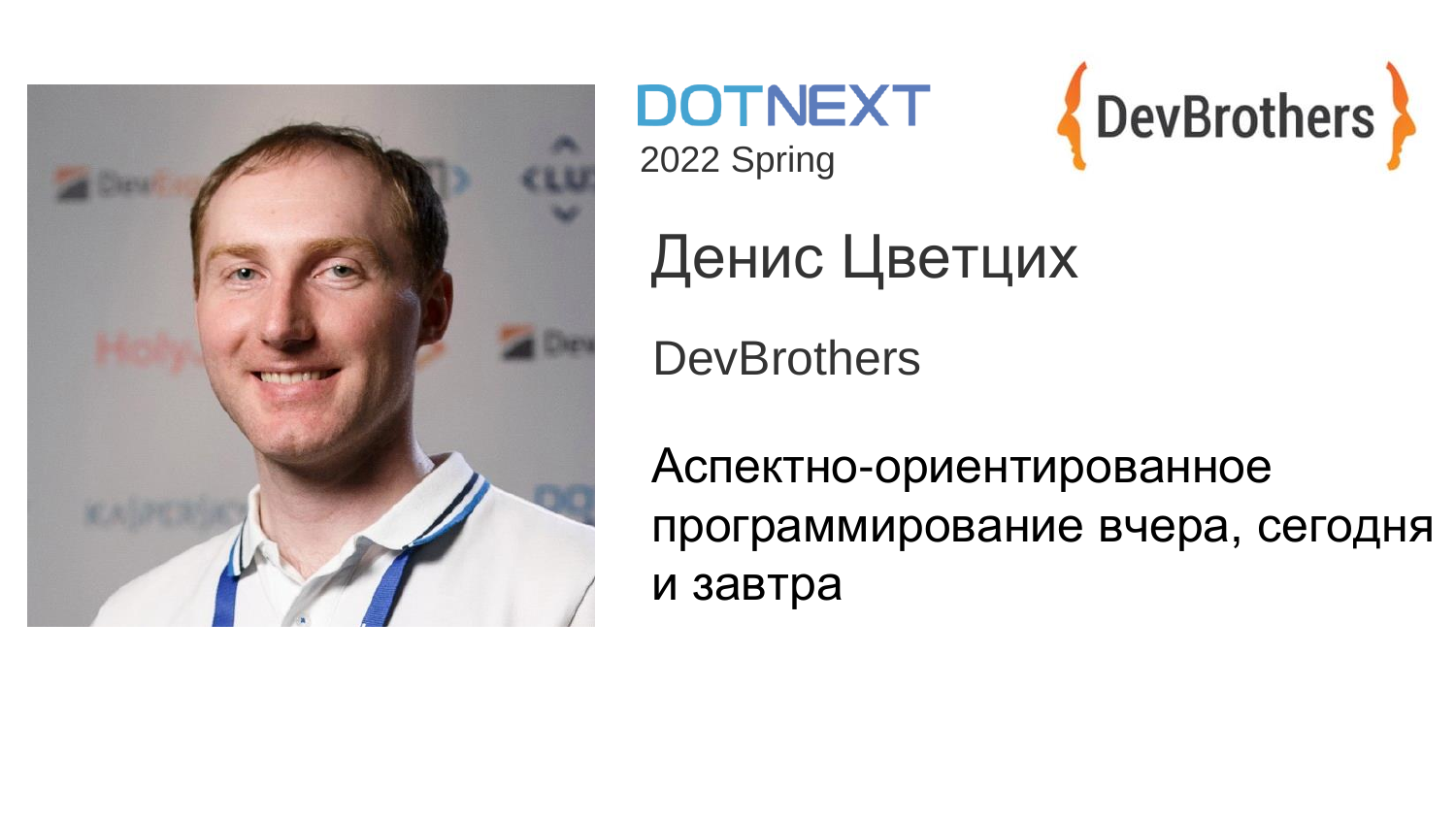

**DOTNEXT** 2022 Spring



Денис Цветцих

**DevBrothers** 

Аспектно-ориентированное программирование вчера, сегодня и завтра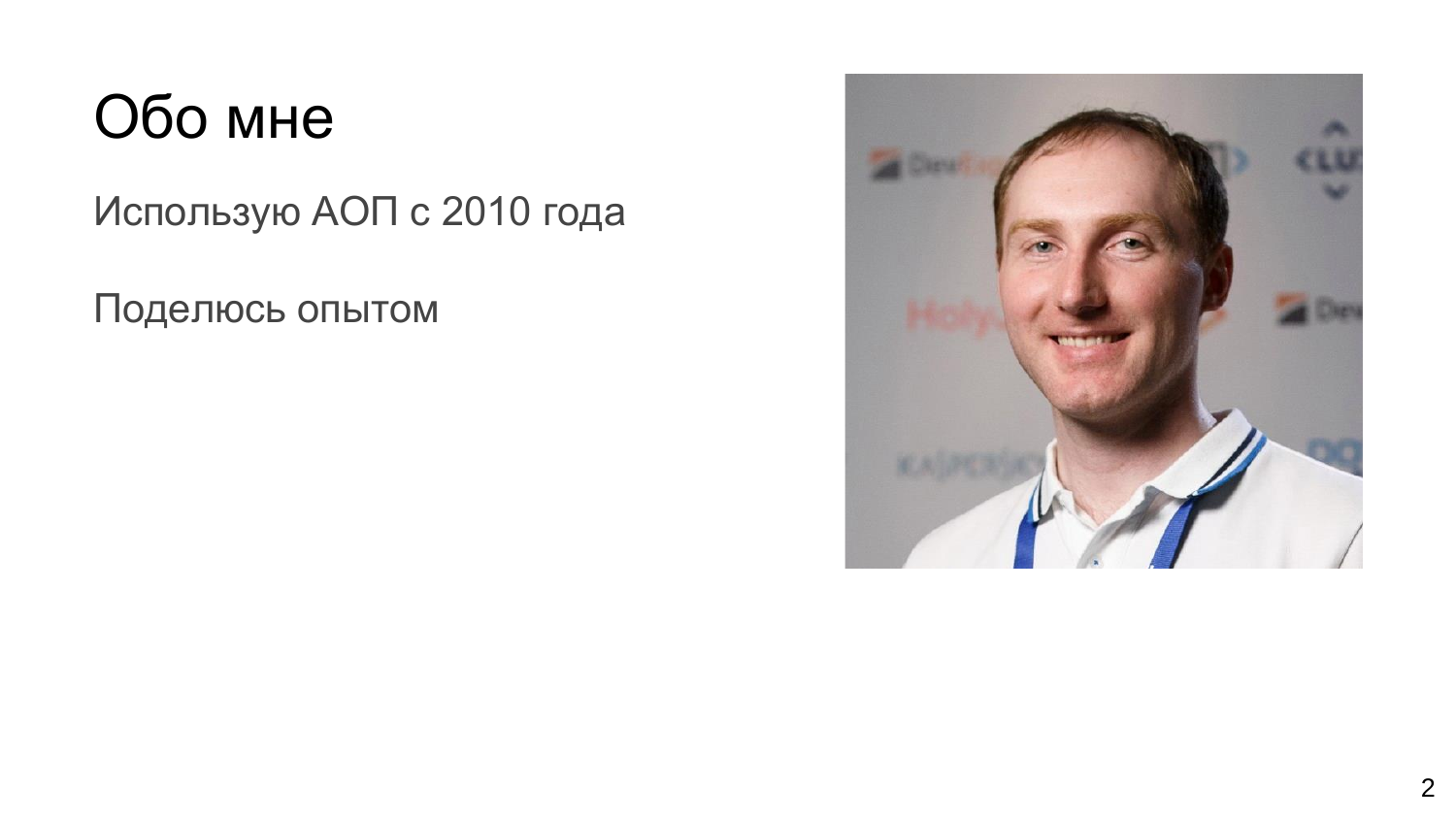## Обо мне

Использую АОП с 2010 года

Поделюсь опытом

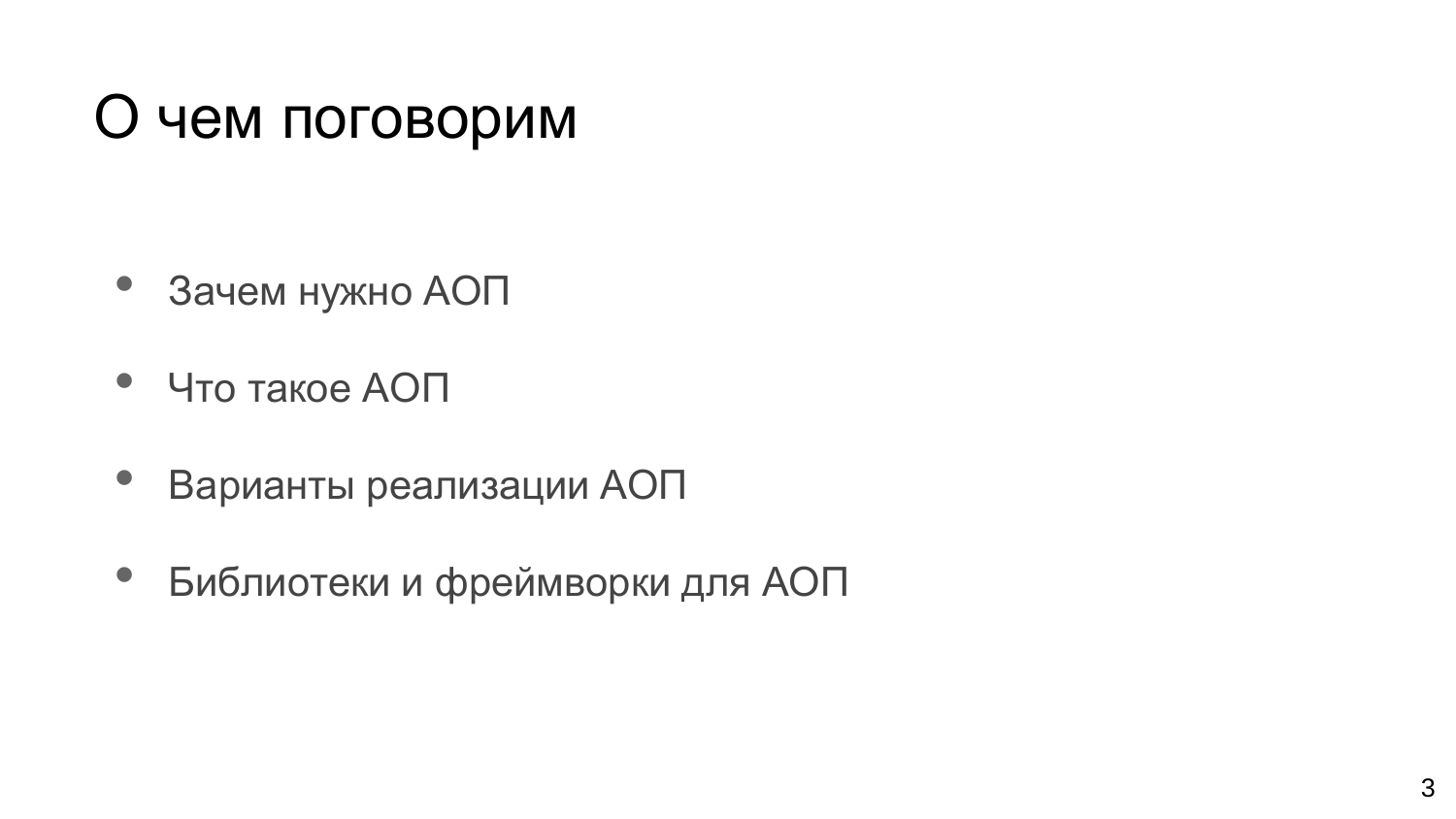# О чем поговорим

- Зачем нужно АОП
- Что такое АОП
- Варианты реализации АОП
- Библиотеки и фреймворки для АОП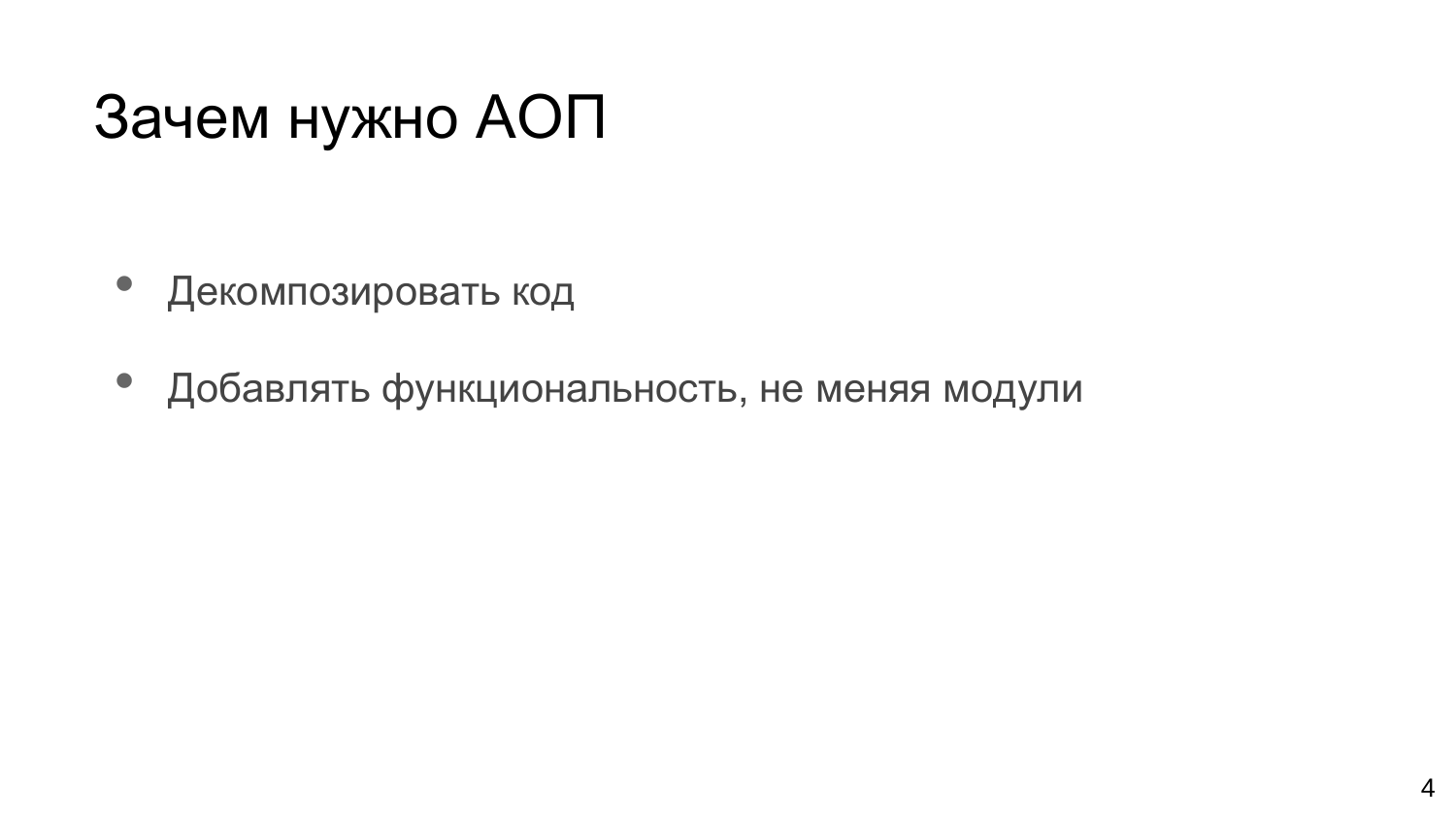## Зачем нужно АОП

- Декомпозировать код
- Добавлять функциональность, не меняя модули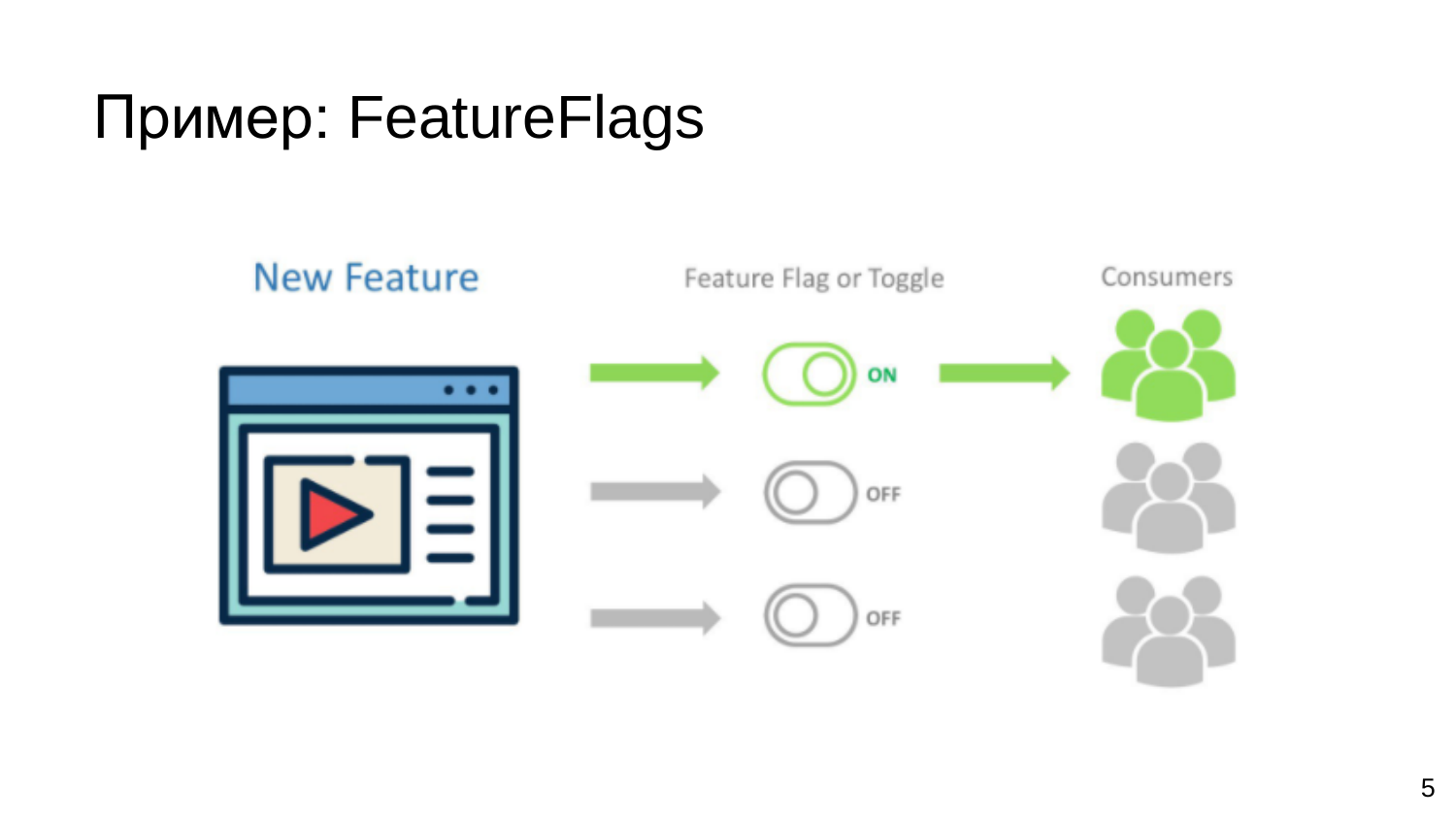# Пример: FeatureFlags

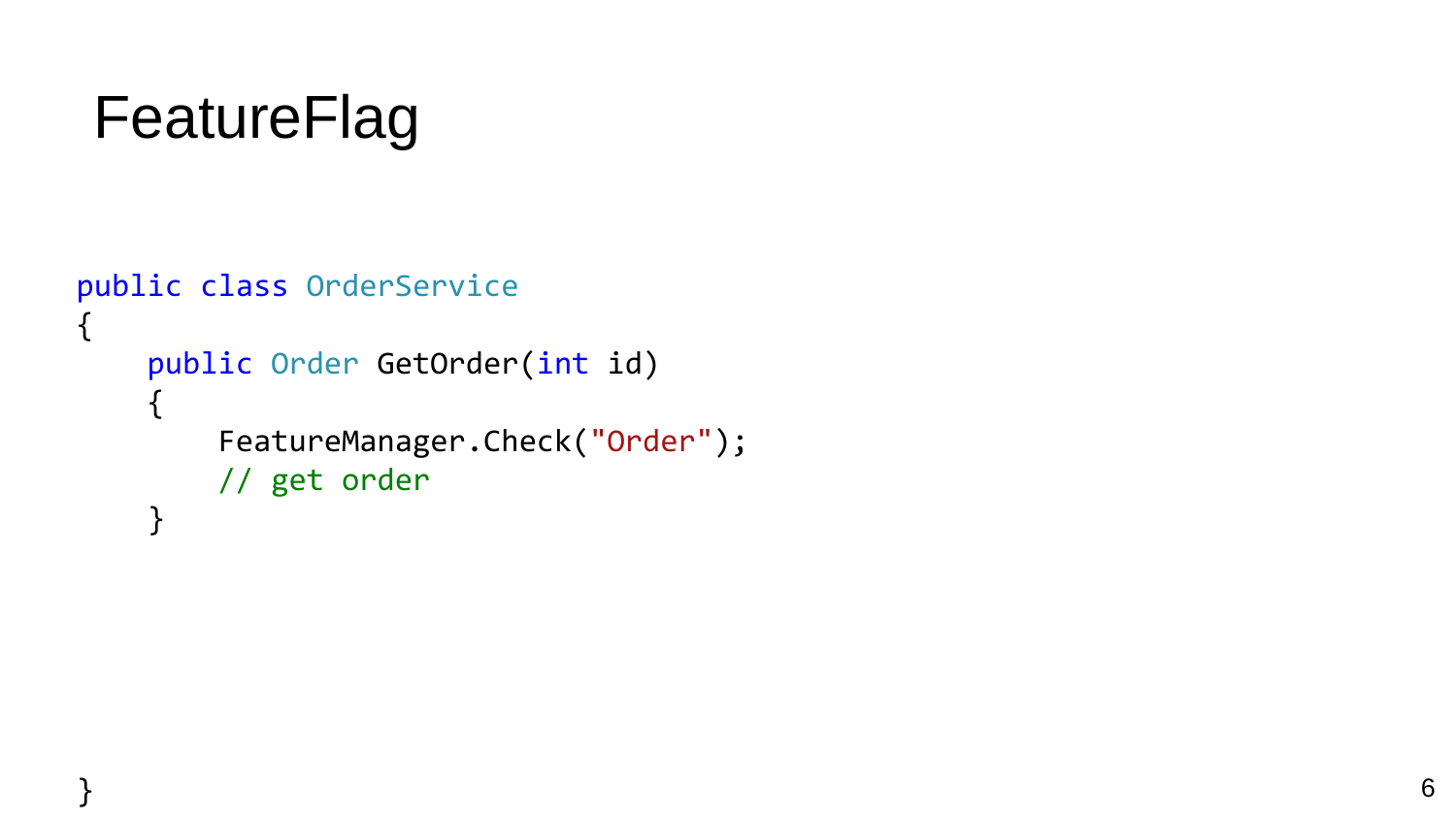# FeatureFlag

```
public class OrderService
{
    public Order GetOrder(int id)
    {
        FeatureManager.Check("Order");
        // get order
    }
```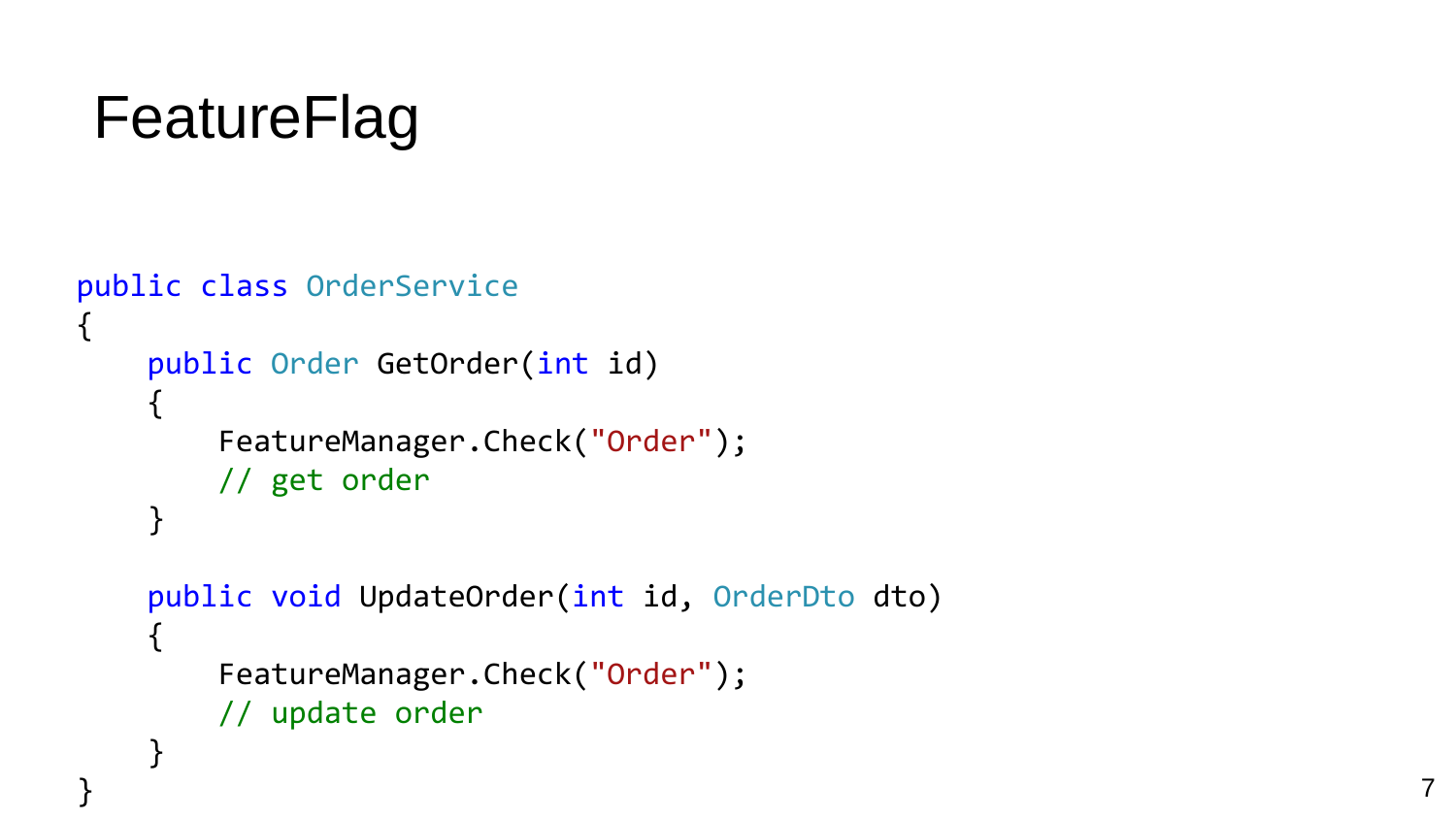# FeatureFlag

```
public class OrderService
{
    public Order GetOrder(int id)
    {
        FeatureManager.Check("Order");
        // get order
    }
    public void UpdateOrder(int id, OrderDto dto)
    {
        FeatureManager.Check("Order");
        // update order
    }
```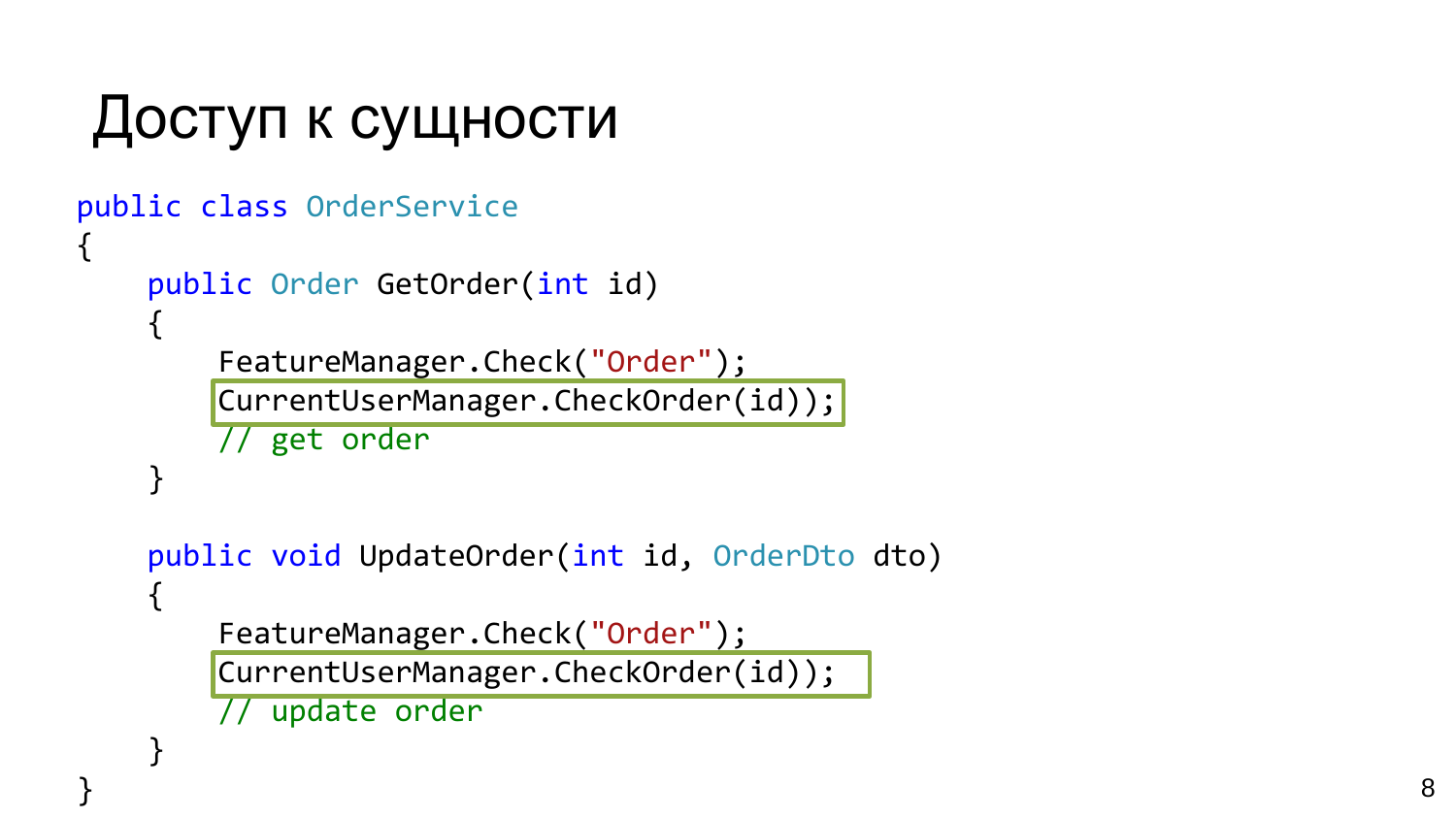```
Доступ к сущности
```

```
public class OrderService {
    public Order GetOrder
(int id)
    {
        FeatureManager.Check
("Order");
        CurrentUserManager.CheckOrder(id)
)
;
        // get order
    }
    public void UpdateOrder
(int id, OrderDto dto
)
    {
        FeatureManager.Check
("Order");
        CurrentUserManager.CheckOrder(id)
)
;
```

```
// update order
```
}

}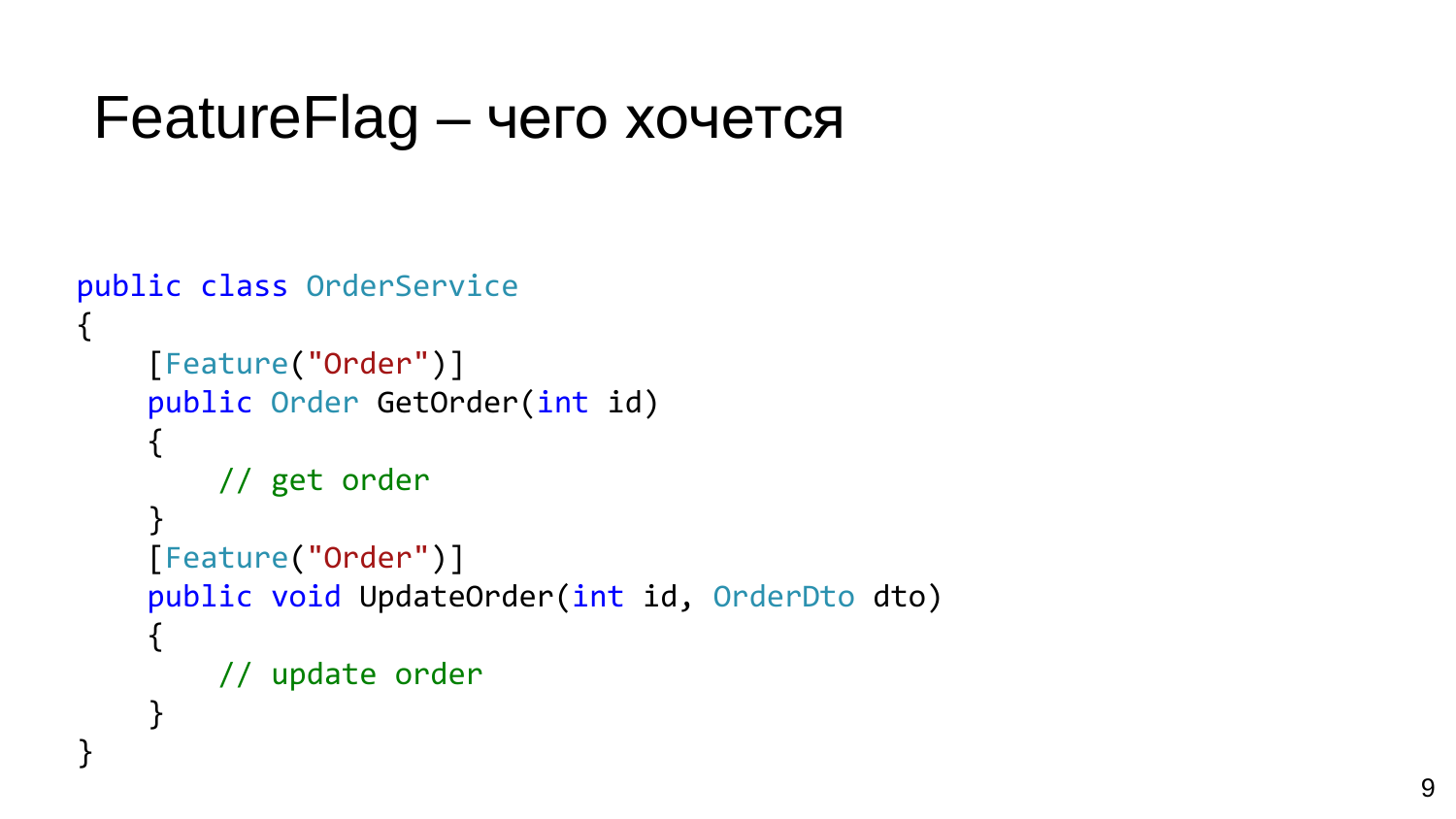### FeatureFlag – чего хочется

```
public class OrderService { [Feature("Order")]
    public Order GetOrder
(int id)
    {
        // get order
    }[Feature
("Order")]
    public void UpdateOrder
(int id, OrderDto dto
)
    {
        // update order
    }
}
```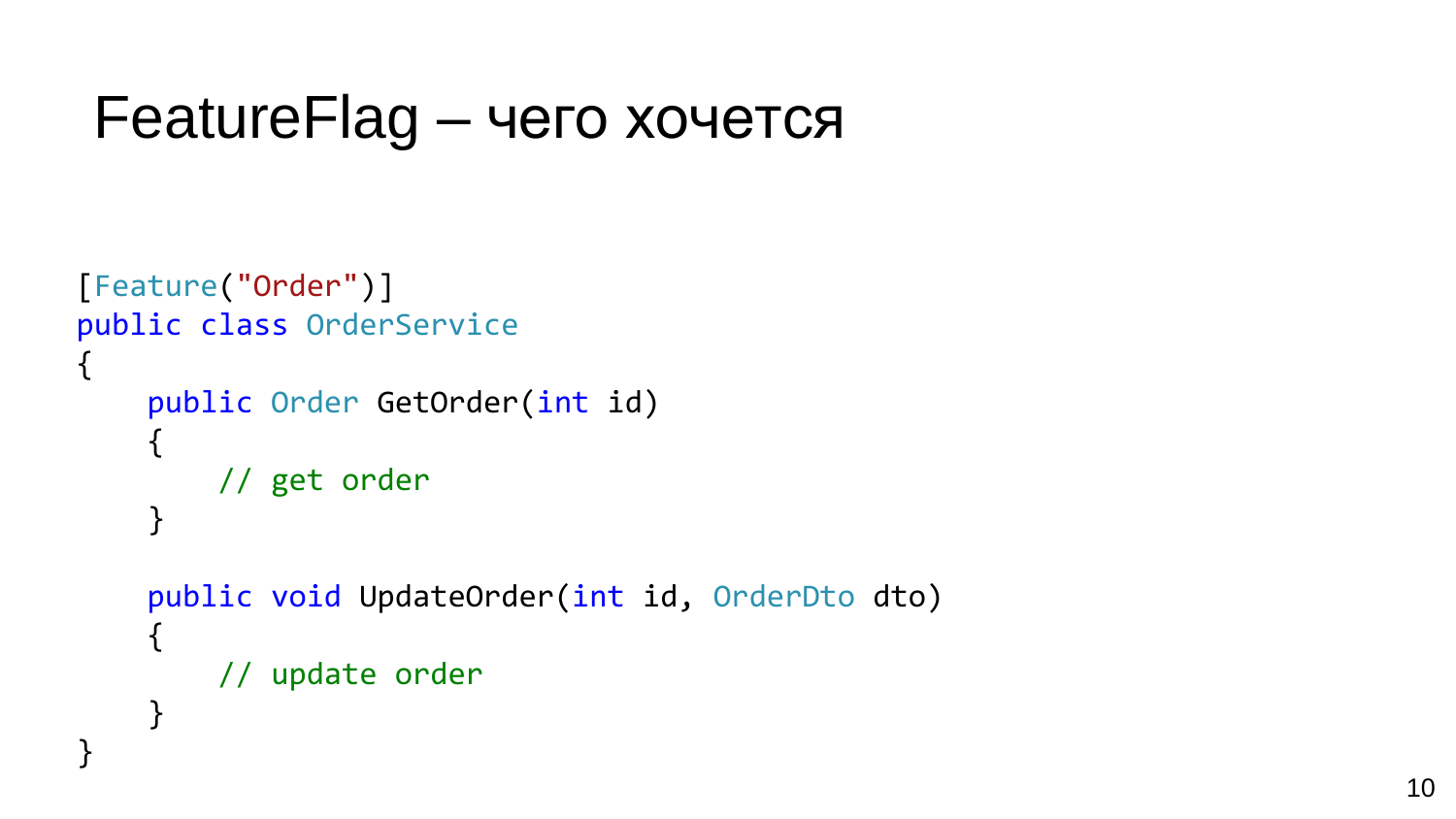### FeatureFlag – чего хочется

```
[Feature("Order")]
public class OrderService
{
    public Order GetOrder(int id)
    {
        // get order
    }
    public void UpdateOrder(int id, OrderDto dto)
    {
        // update order
    }
}
```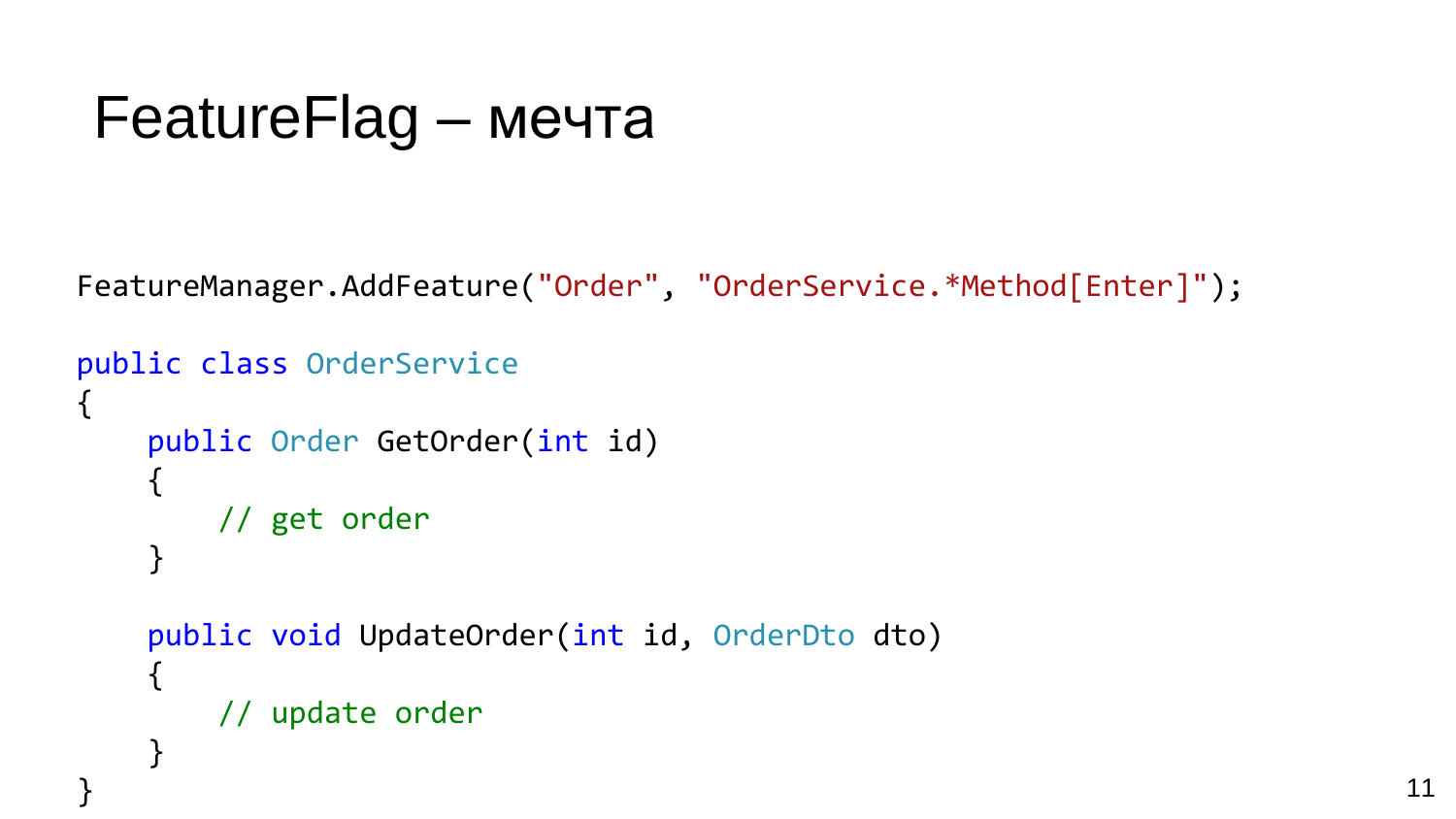### FeatureFlag – мечта

FeatureManager.AddFeature("Order", "OrderService.\*Method[Enter]");

```
public class OrderService
{
    public Order GetOrder(int id)
    {
        // get order
    }
    public void UpdateOrder(int id, OrderDto dto)
    {
        // update order
    }
```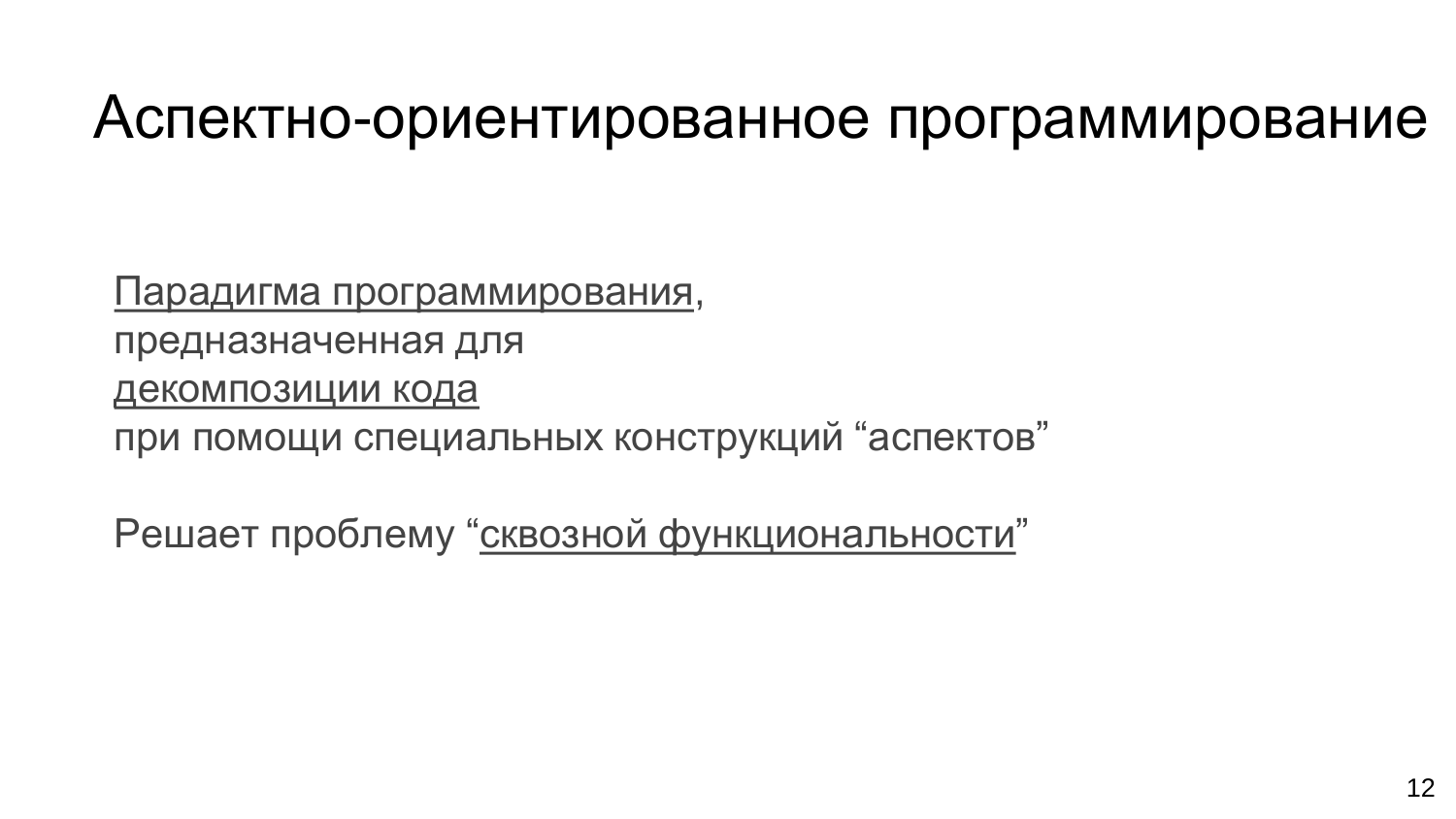### Аспектно-ориентированное программирование

Парадигма программирования, предназначенная для декомпозиции кода при помощи специальных конструкций "аспектов"

Решает проблему "сквозной функциональности"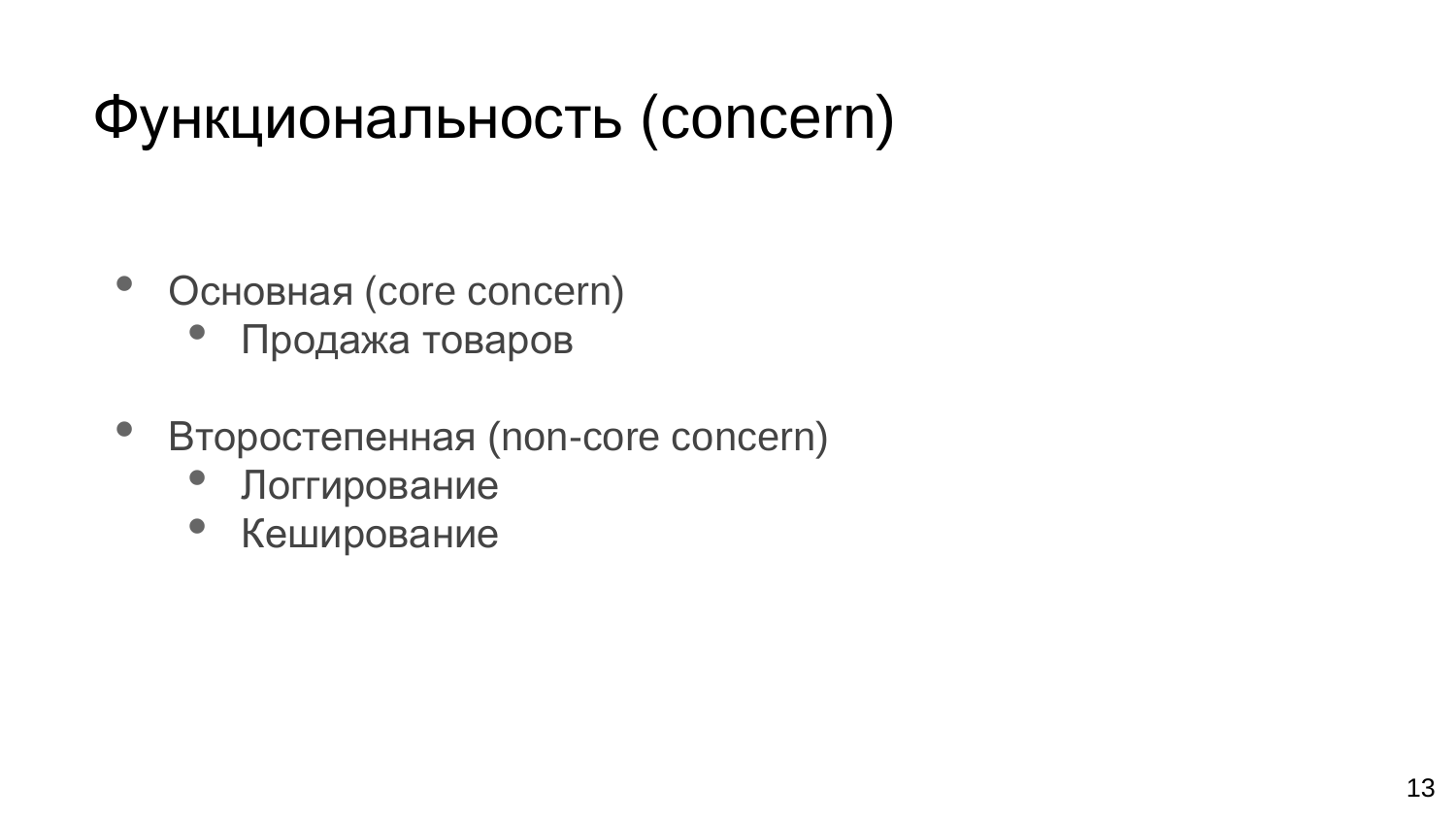# Функциональность (concern)

- Основная (core concern)
	- Продажа товаров
- Второстепенная (non-core concern)
	- Логгирование
	- Кеширование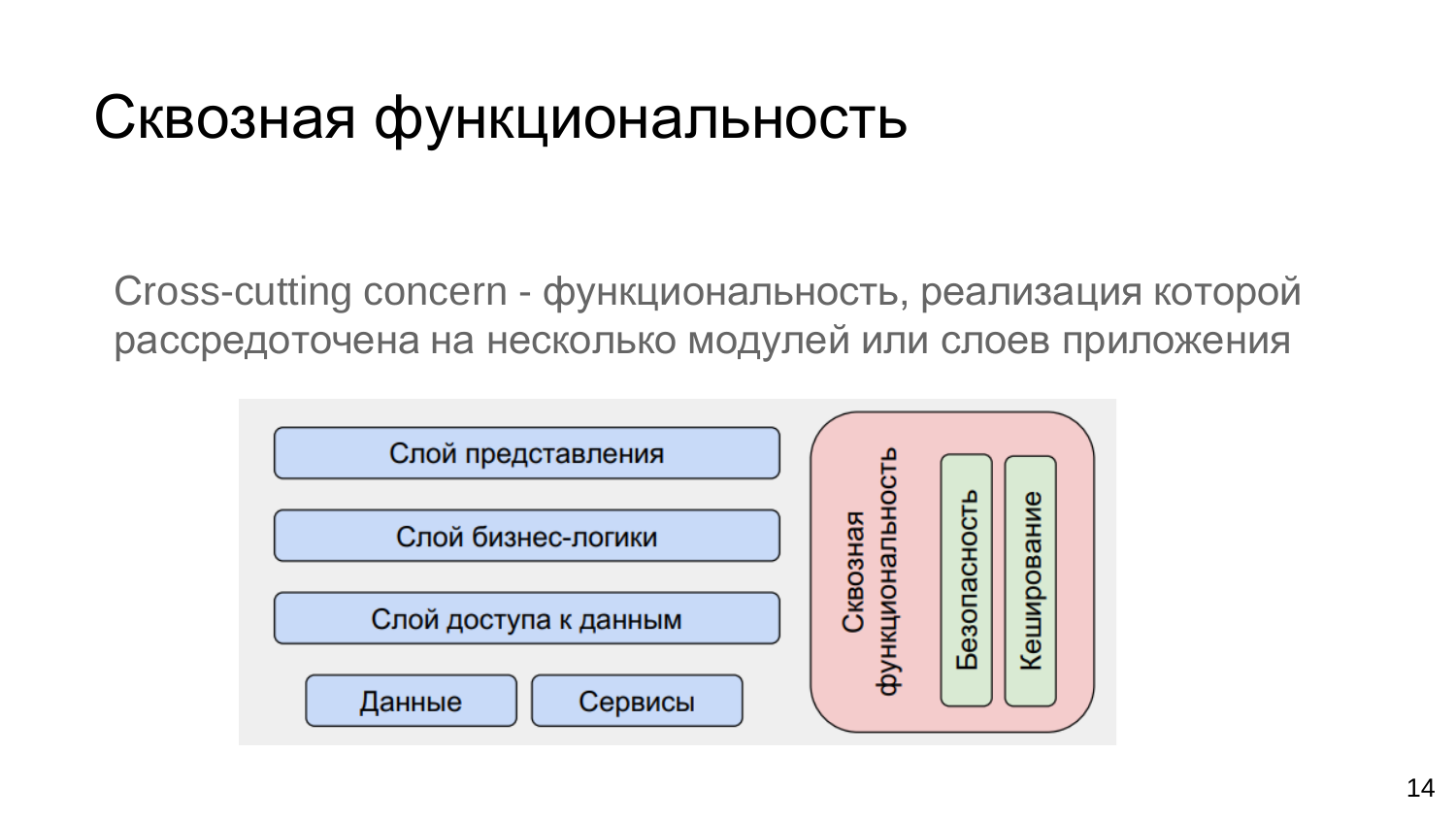## Сквозная функциональность

Сross-cutting concern - функциональность, реализация которой рассредоточена на несколько модулей или слоев приложения

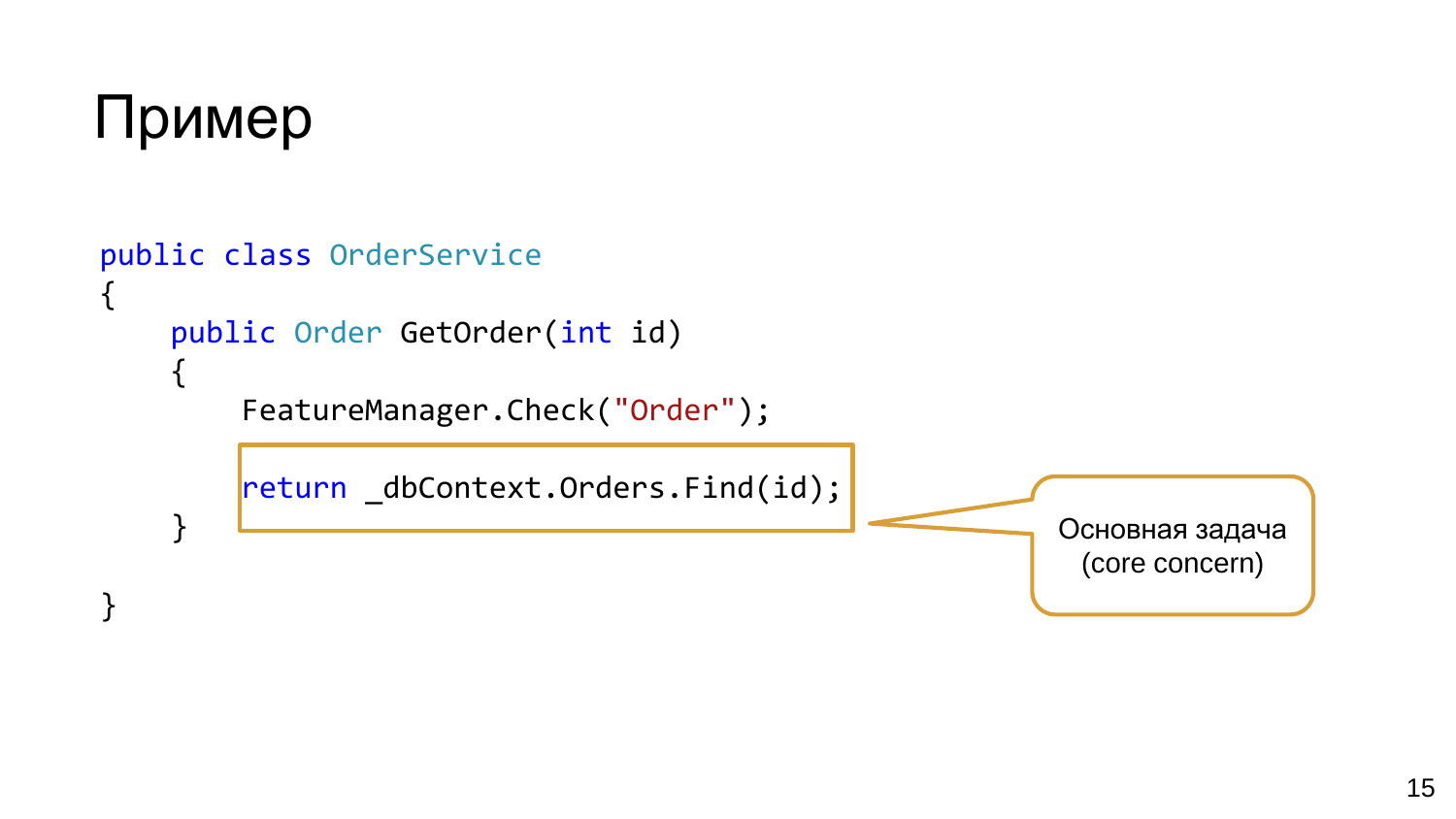

}

```
public class OrderService
{
    public Order GetOrder(int id)
    {
        FeatureManager.Check("Order");
        return _dbContext.Orders.Find(id);
    }
                                                          Основная задача
                                                           (core concern)
```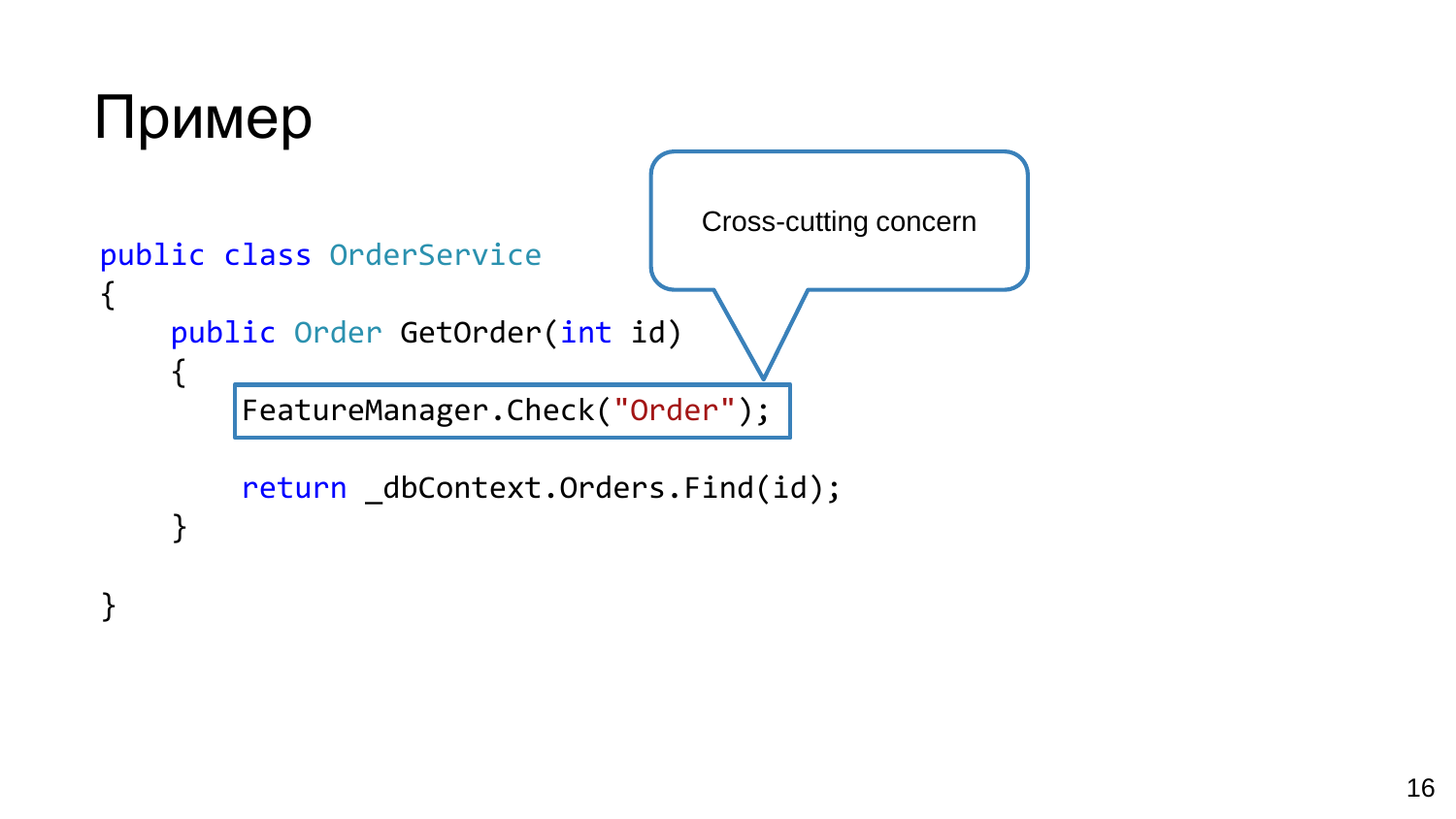```
Пример
                                   Cross-cutting concern
public class OrderService
{
    public Order GetOrder(int id)
    {
        FeatureManager.Check("Order");
        return _dbContext.Orders.Find(id);
    }
```
}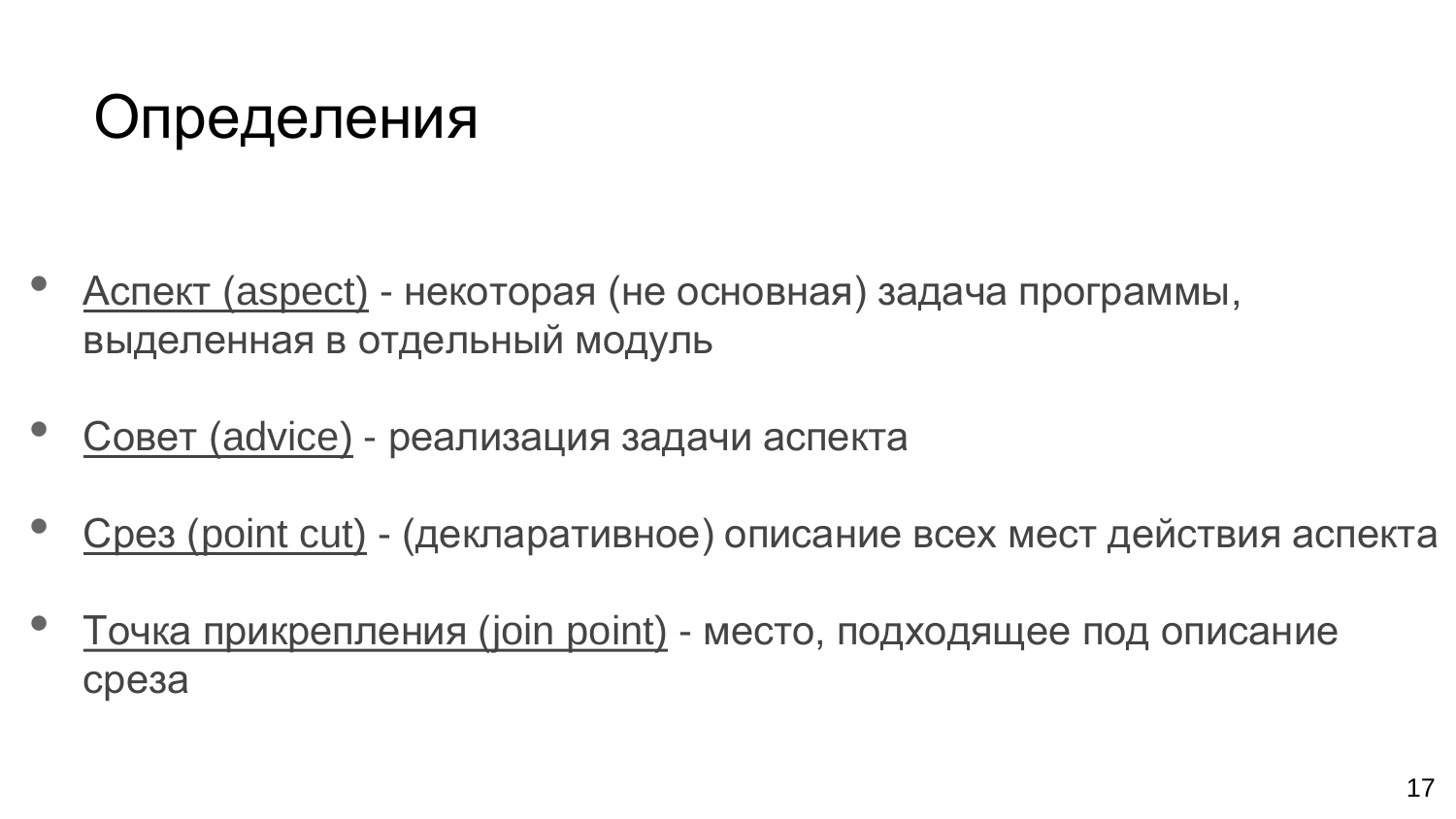# Определения

- Аспект (aspect) некоторая (не основная) задача программы, выделенная в отдельный модуль
- Совет (advice) реализация задачи аспекта
- Срез (point cut) (декларативное) описание всех мест действия аспекта
- Точка прикрепления (join point) место, подходящее под описание среза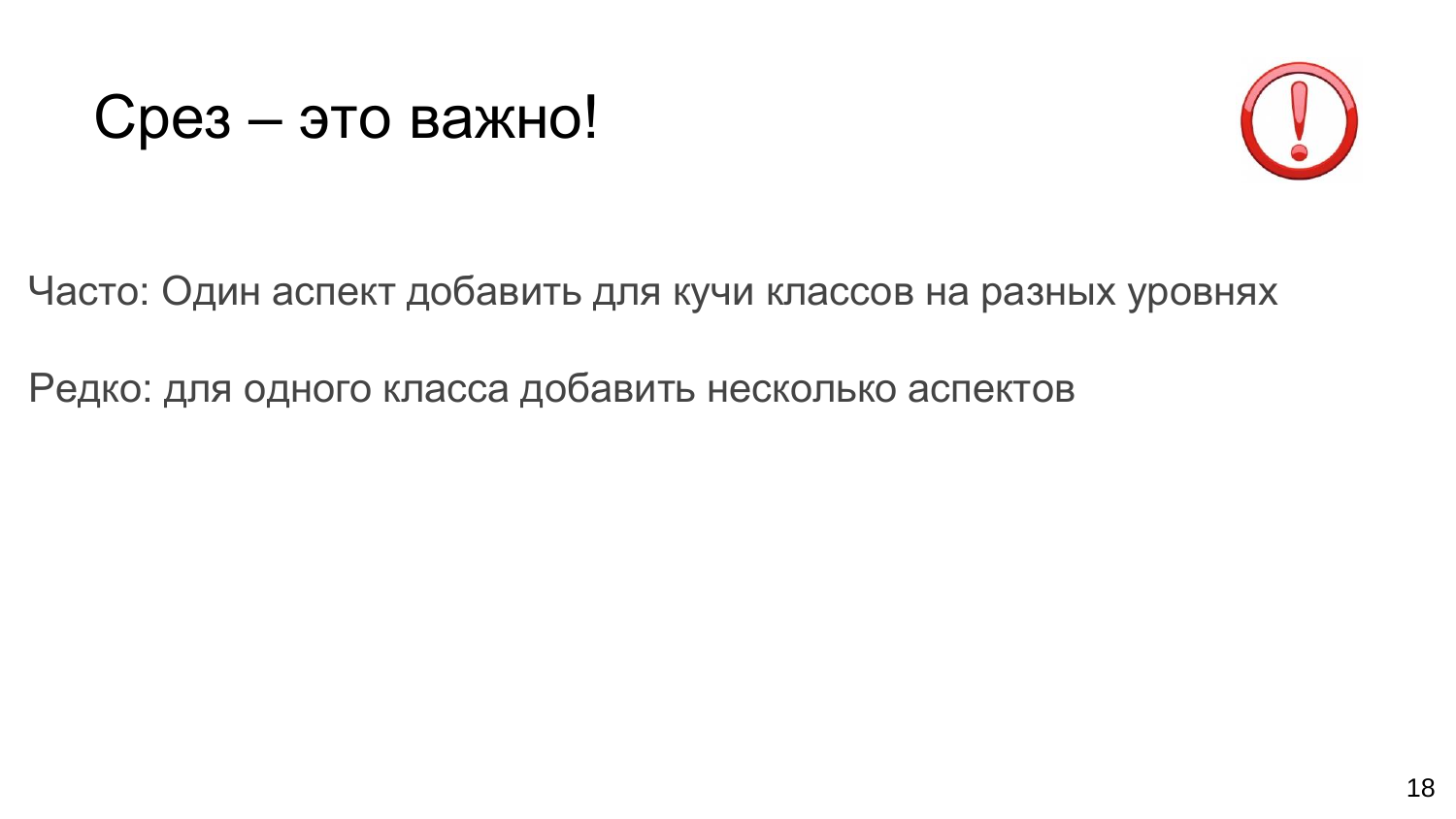#### Срез – это важно!



Часто: Один аспект добавить для кучи классов на разных уровнях

Редко: для одного класса добавить несколько аспектов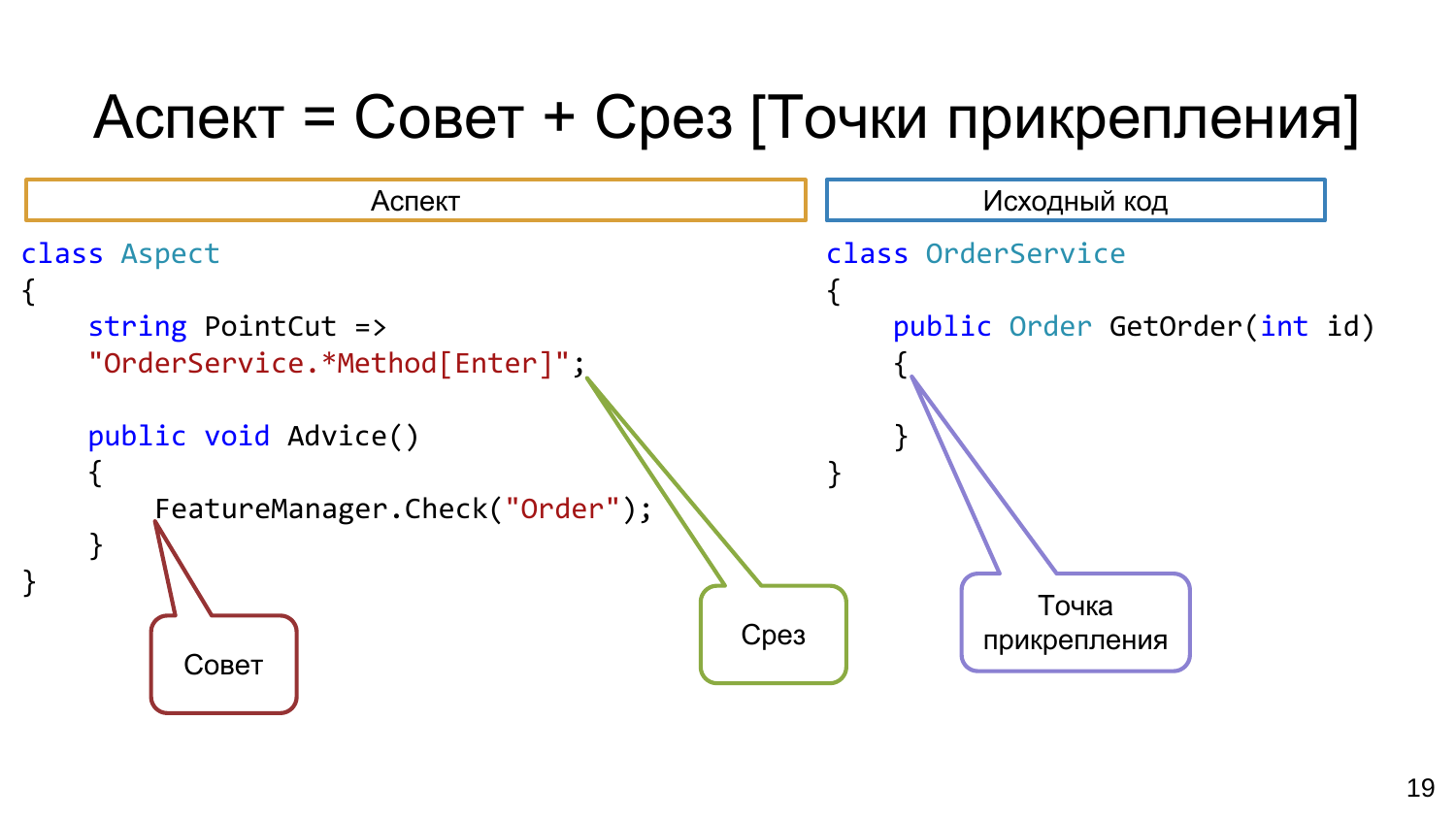# Аспект = Совет + Срез [Точки прикрепления]

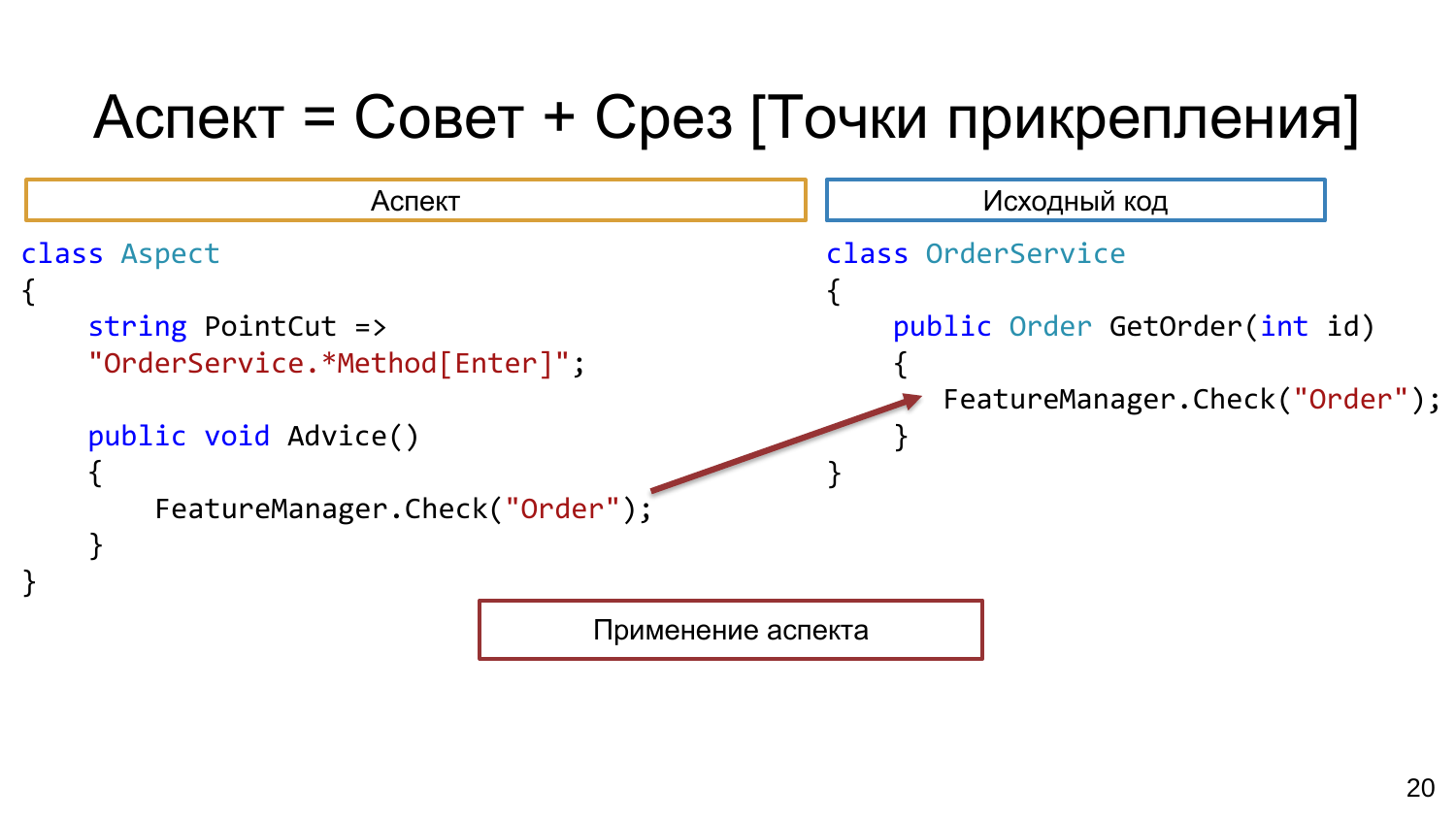# Аспект = Совет + Срез [Точки прикрепления]

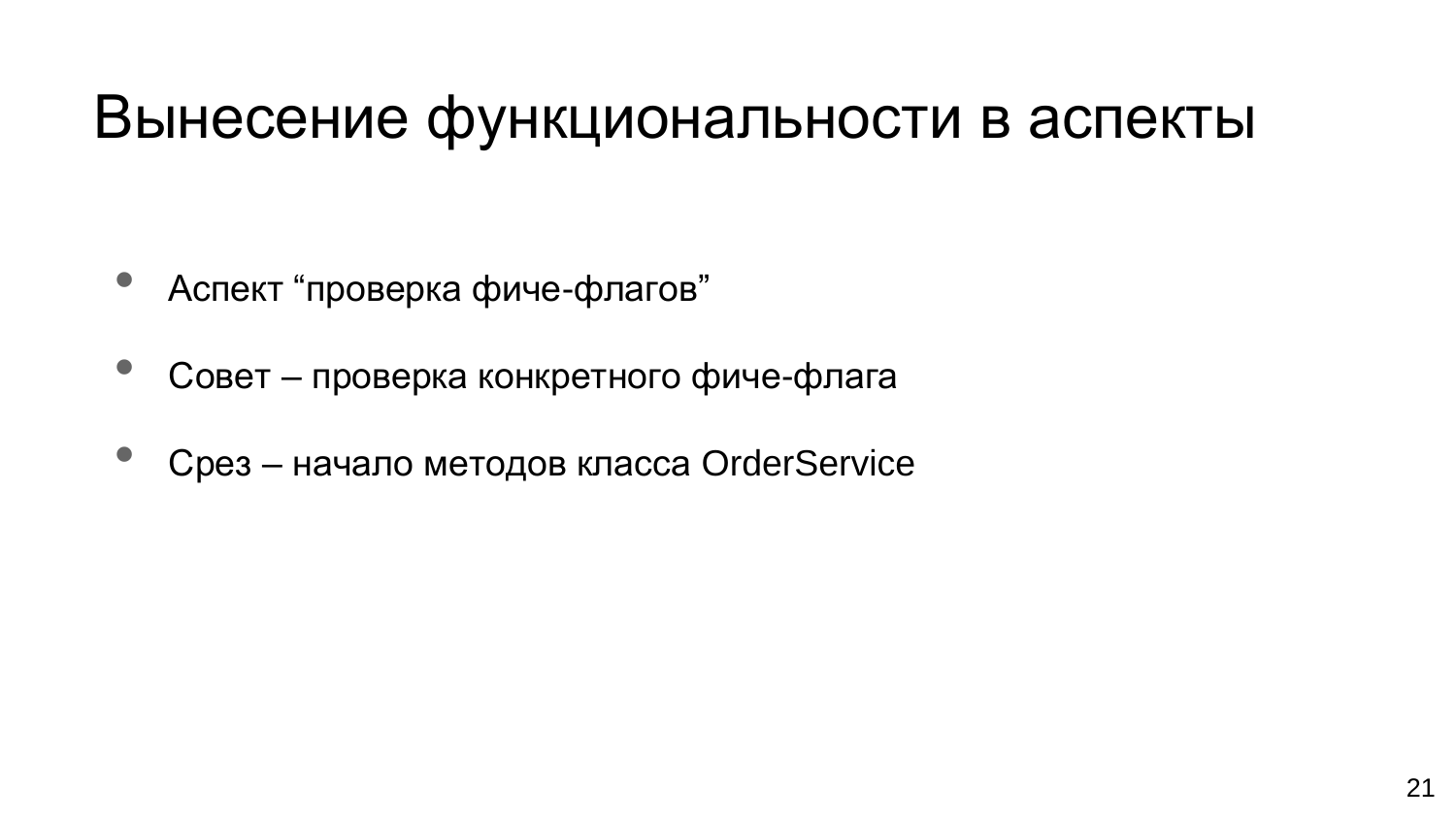#### Вынесение функциональности в аспекты

- Аспект "проверка фиче-флагов"
- Совет проверка конкретного фиче-флага
- Срез начало методов класса OrderService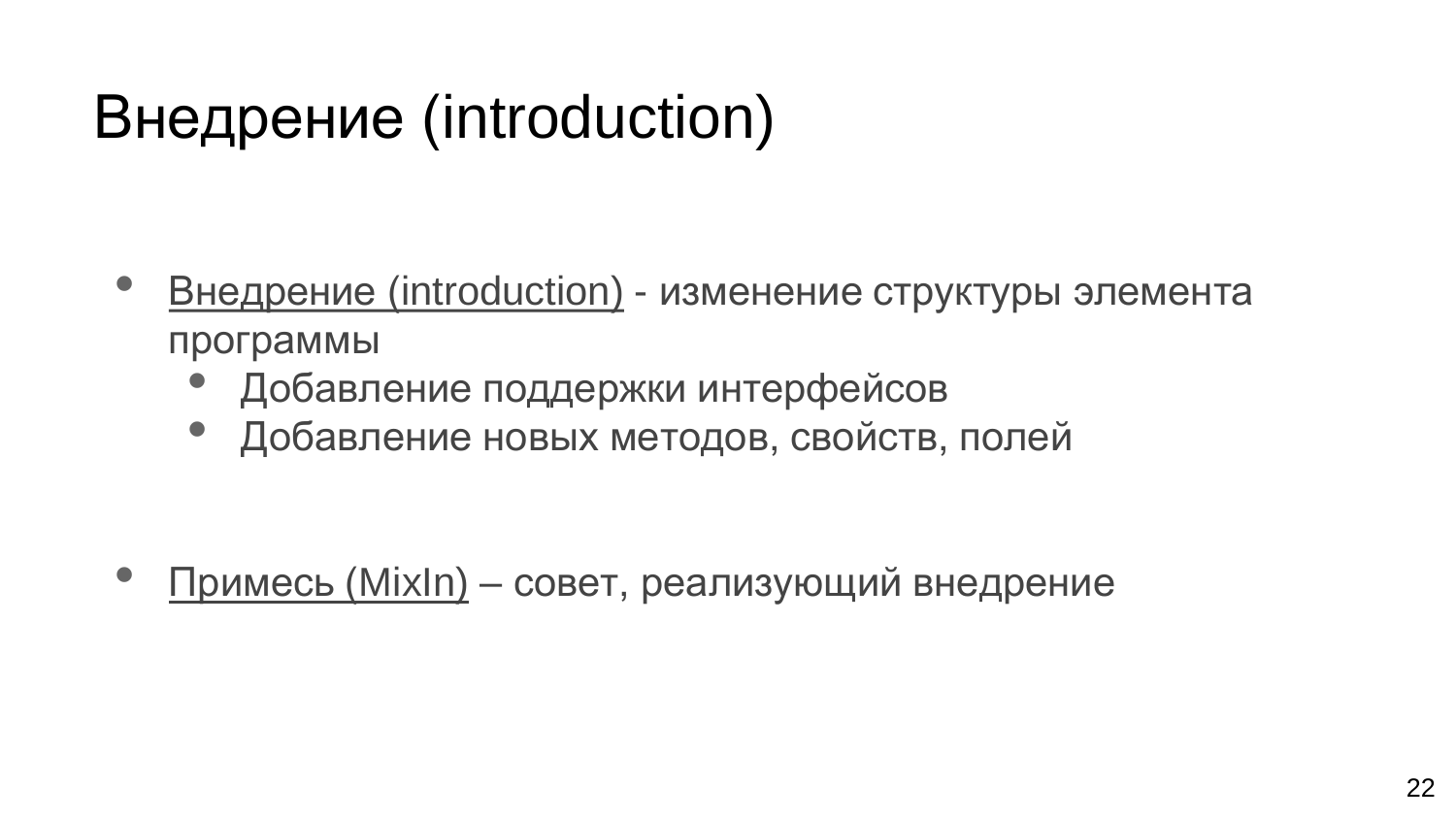# Внедрение (introduction)

- Внедрение (introduction) изменение структуры элемента программы
	- Добавление поддержки интерфейсов
	- Добавление новых методов, свойств, полей

• Примесь (MixIn) – совет, реализующий внедрение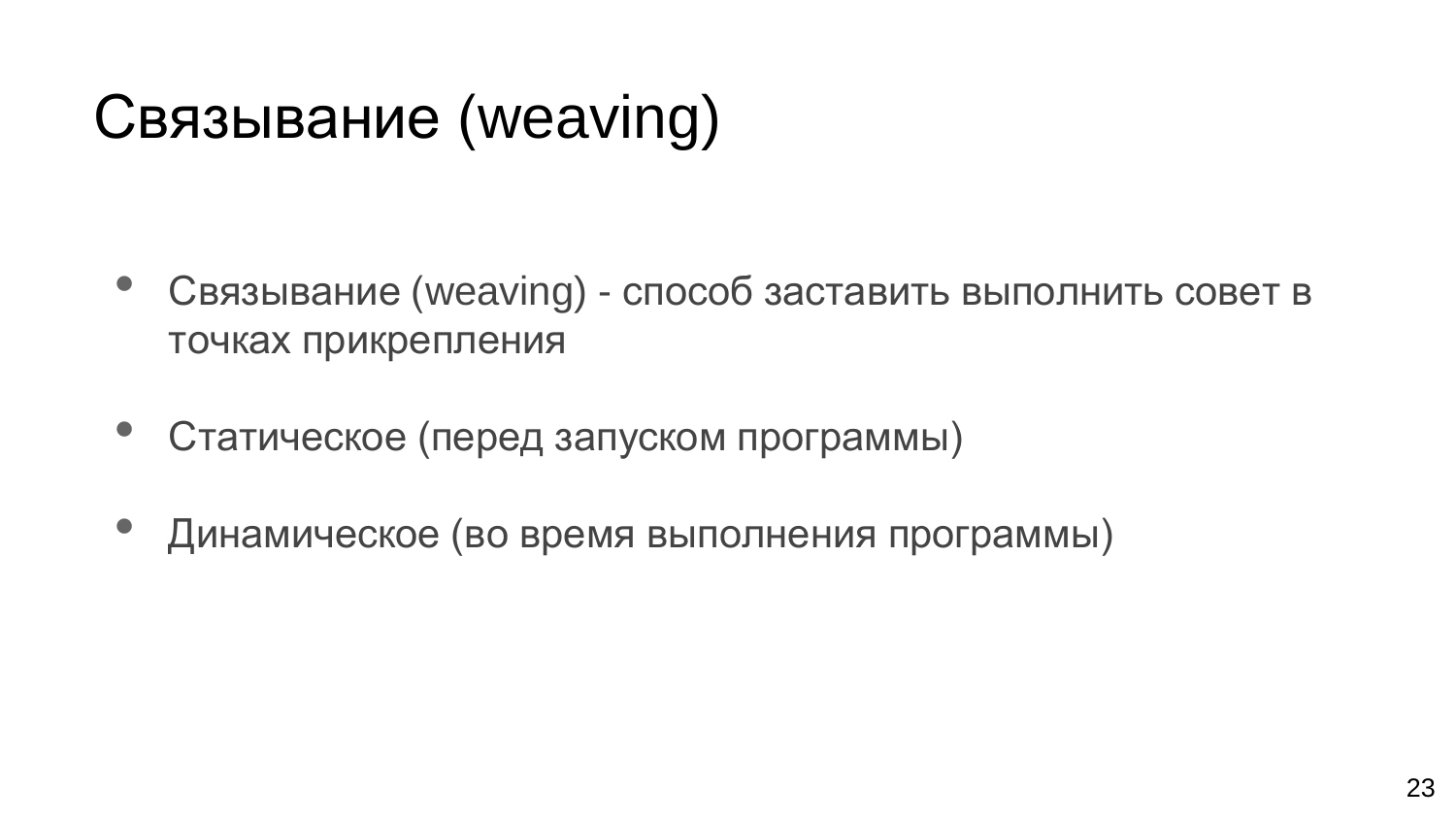# Связывание (weaving)

- Связывание (weaving) способ заставить выполнить совет в точках прикрепления
- Статическое (перед запуском программы)
- Динамическое (во время выполнения программы)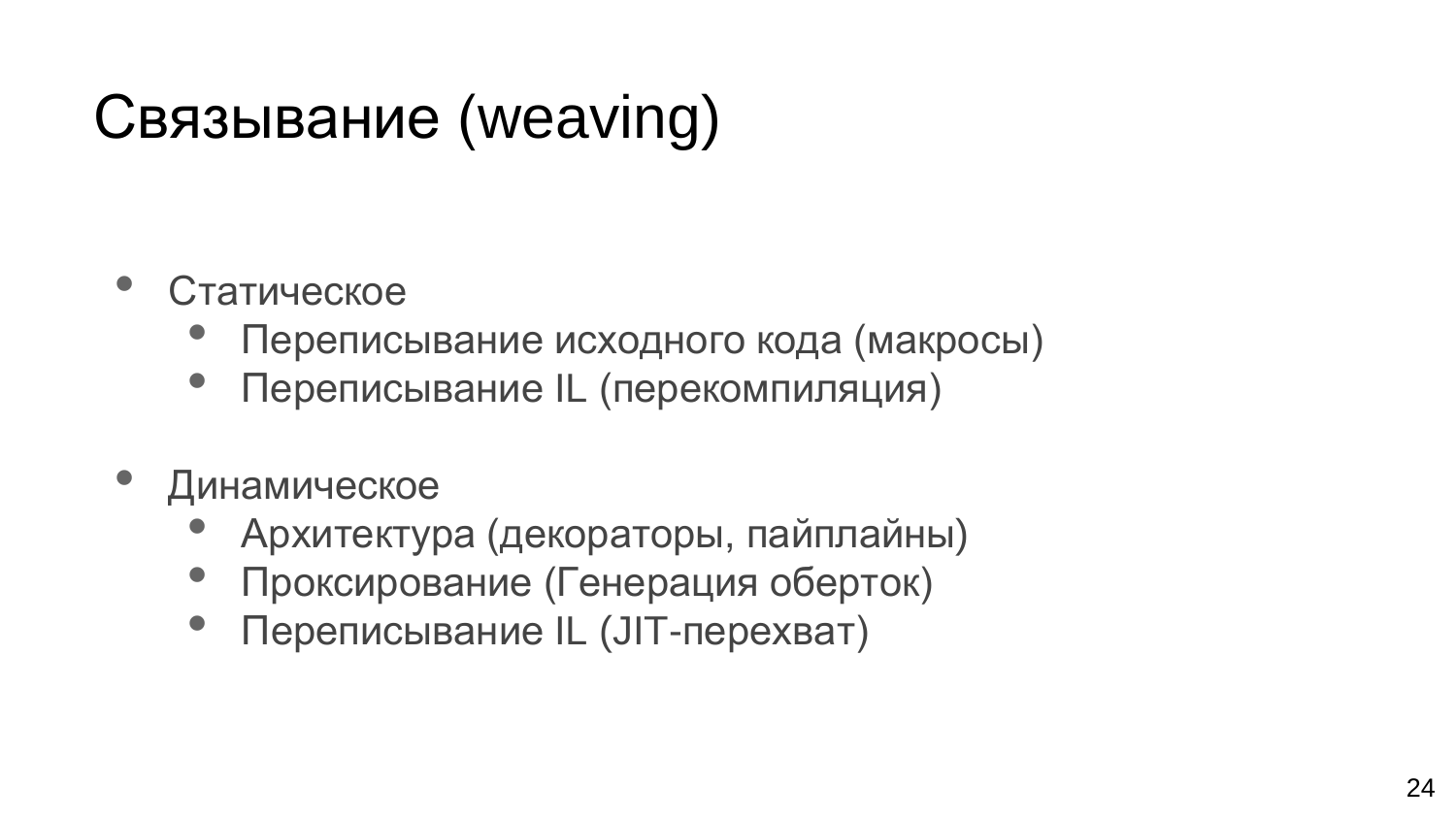# Связывание (weaving)

- Статическое
	- Переписывание исходного кода (макросы)
	- Переписывание IL (перекомпиляция)
- Динамическое
	- Архитектура (декораторы, пайплайны)
	- Проксирование (Генерация оберток)
	- Переписывание IL (JIT-перехват)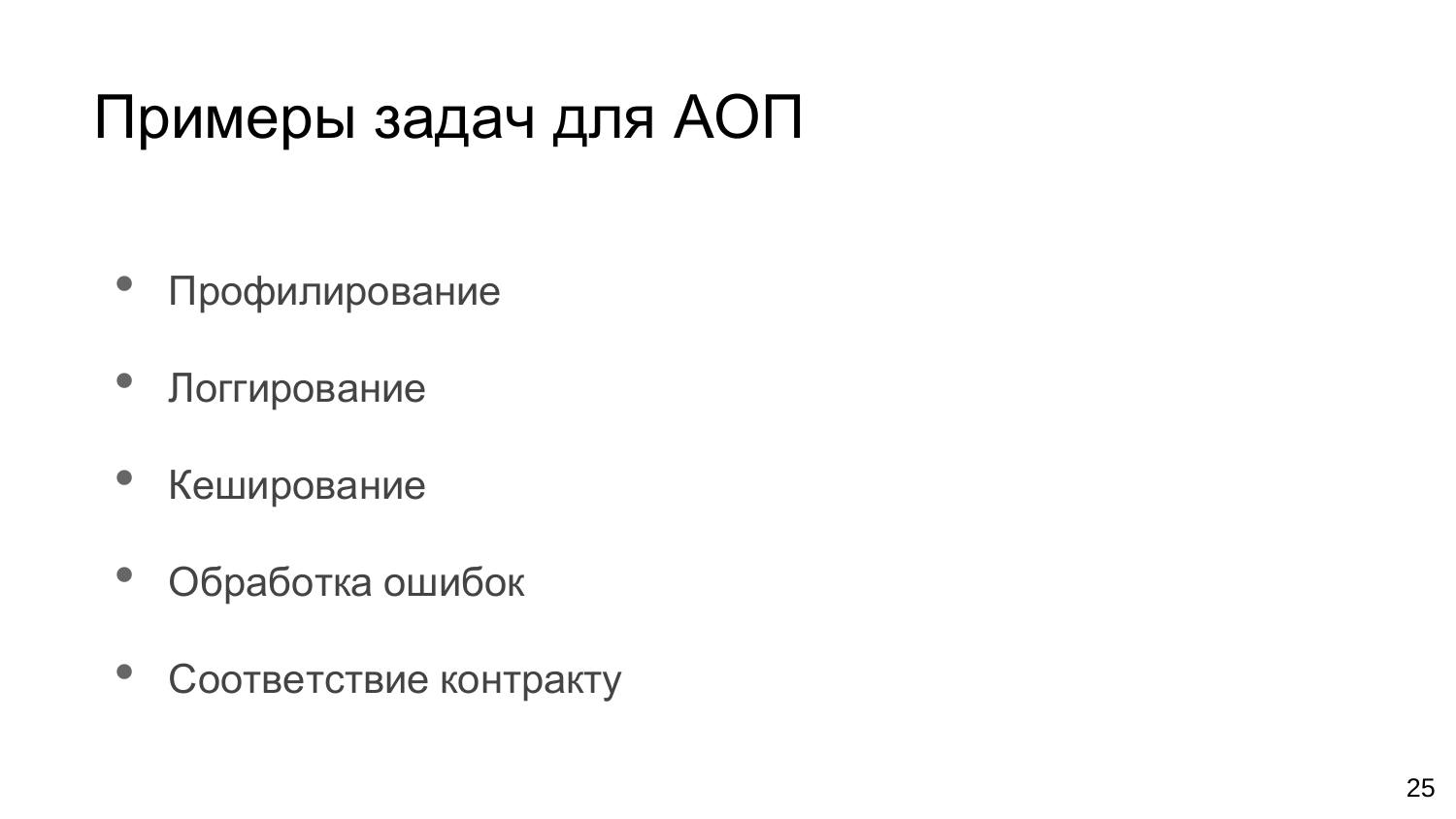# Примеры задач для АОП

- Профилирование
- Логгирование
- Кеширование
- Обработка ошибок
- Соответствие контракту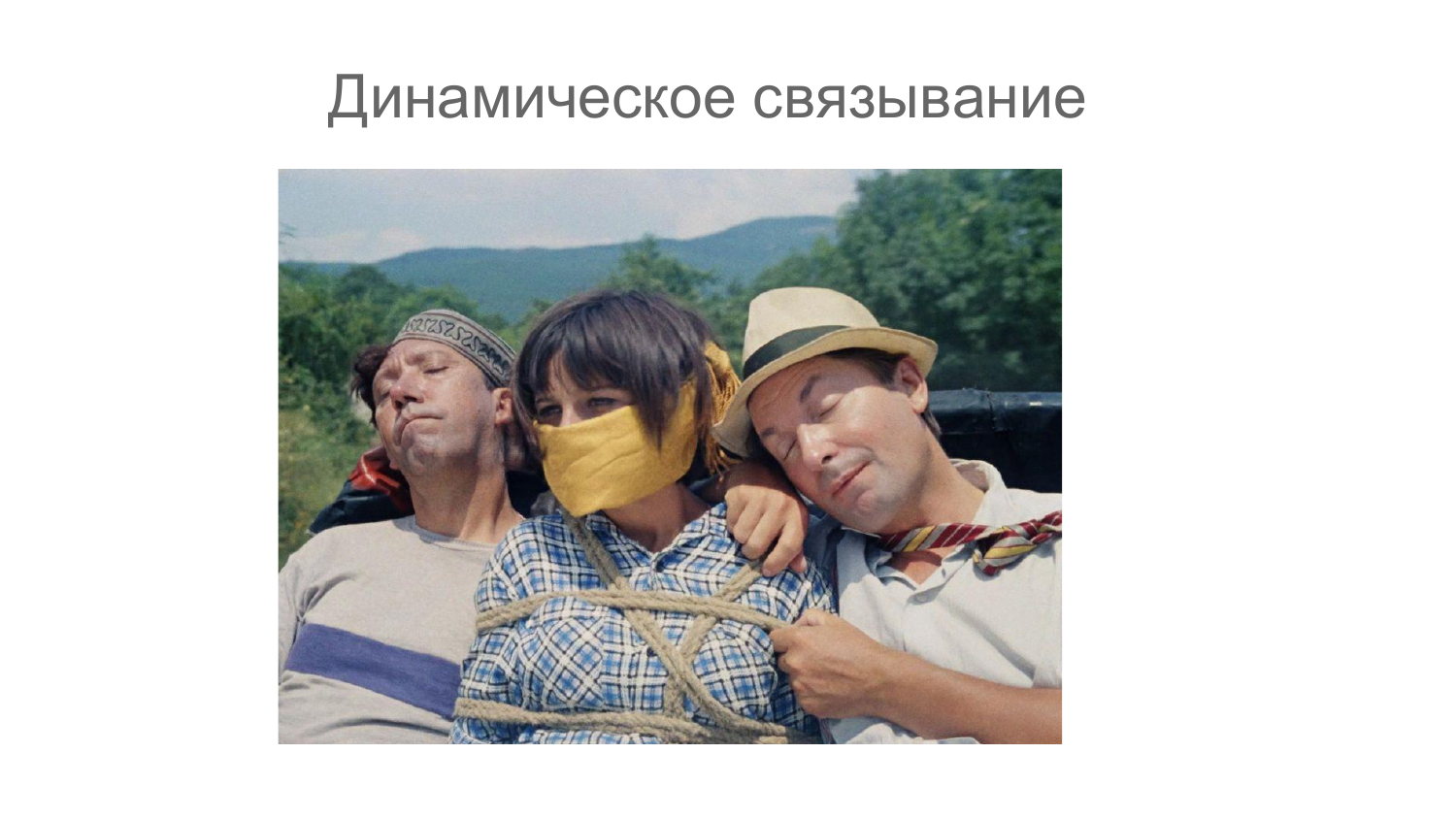#### Динамическое связывание

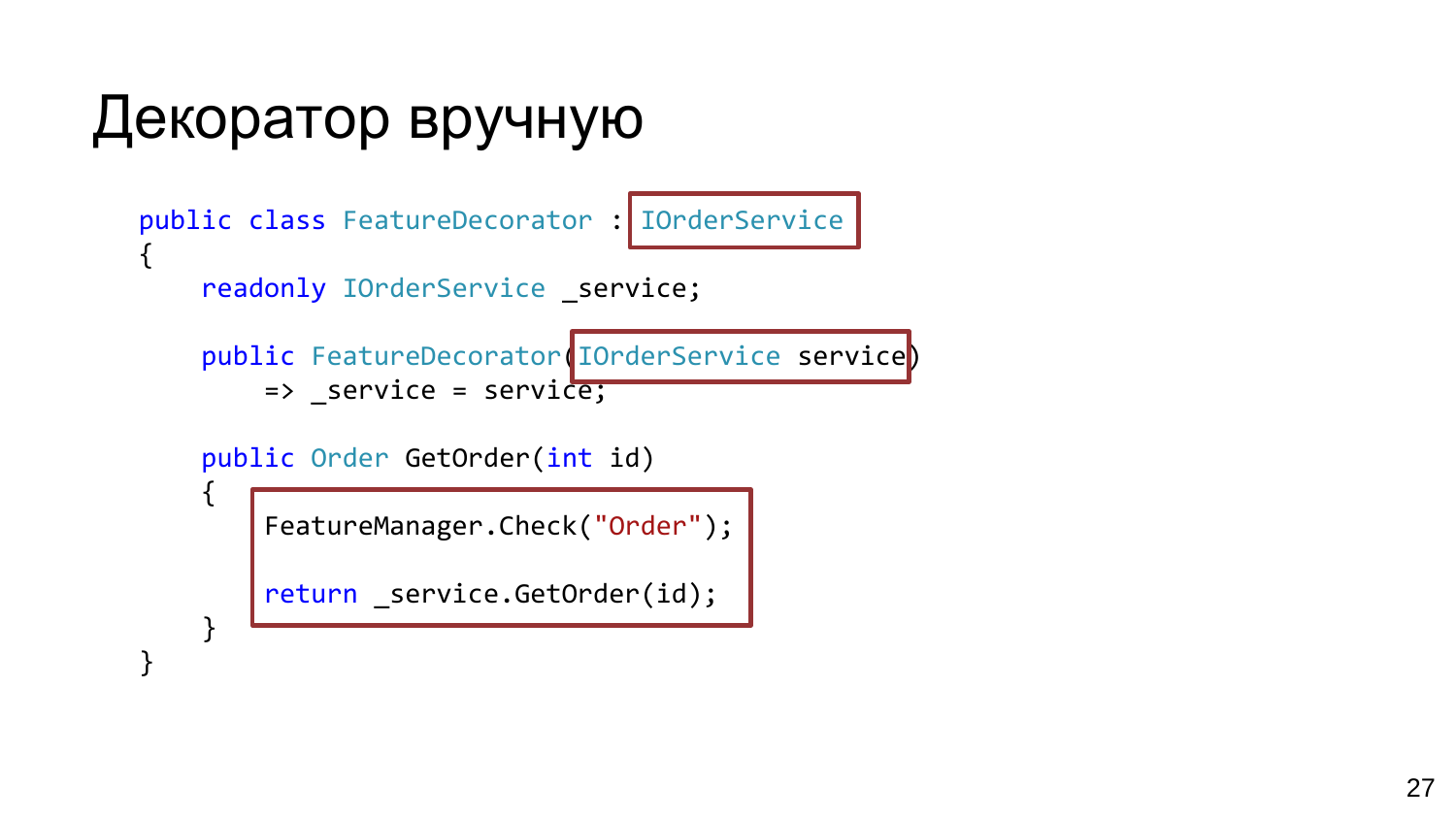# Декоратор вручную

```
public class FeatureDecorator : IOrderService
{
    readonly IOrderService service;
```

```
public FeatureDecorator(IOrderService service)
    \Rightarrow service = service;
```

```
public Order GetOrder(int id)
```
{

}

}

```
FeatureManager.Check("Order");
```

```
return _service.GetOrder(id);
```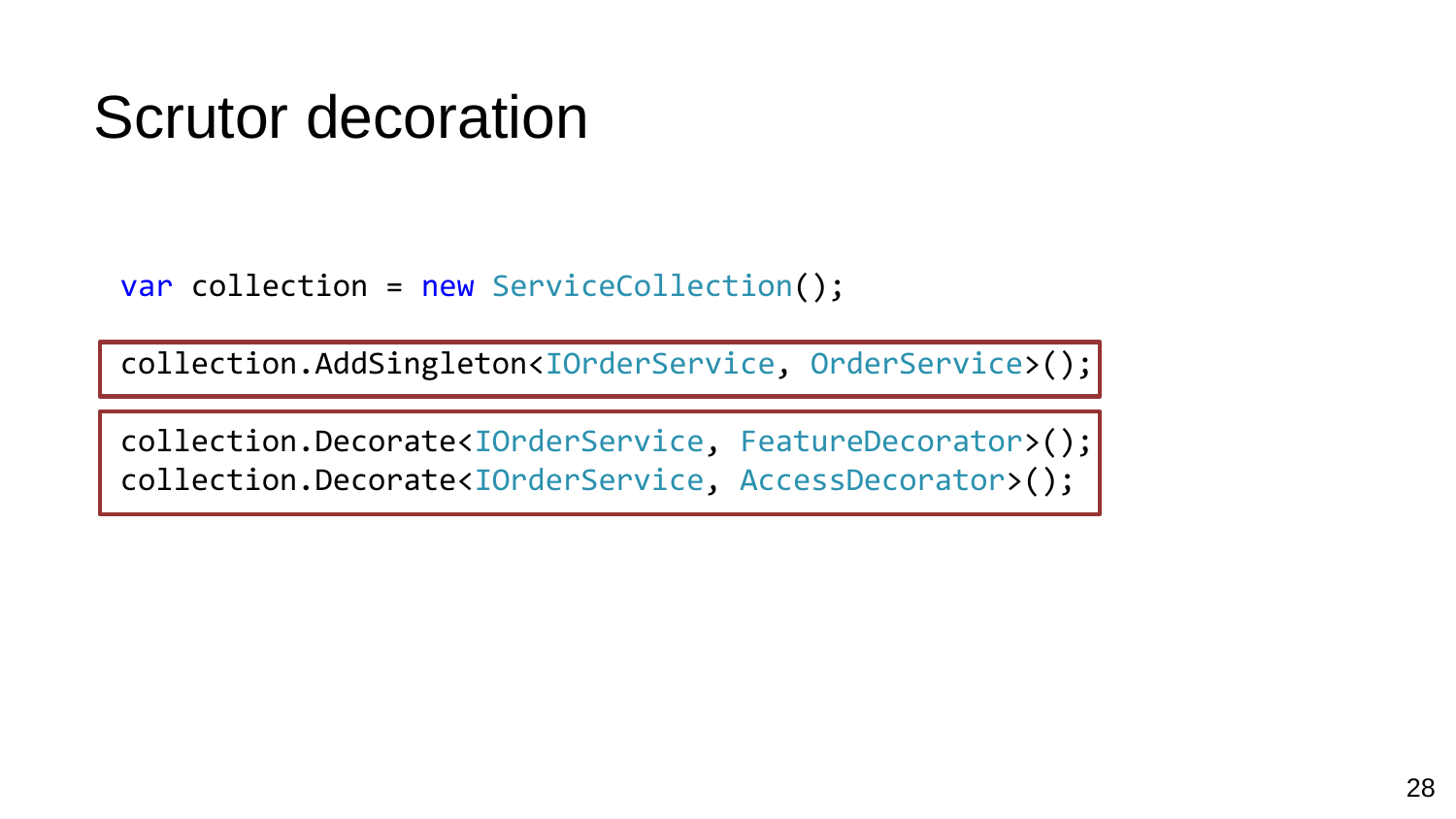## Scrutor decoration

var collection = new ServiceCollection();

collection.AddSingleton<IOrderService, OrderService>();

collection.Decorate<IOrderService, FeatureDecorator>(); collection.Decorate<IOrderService, AccessDecorator>();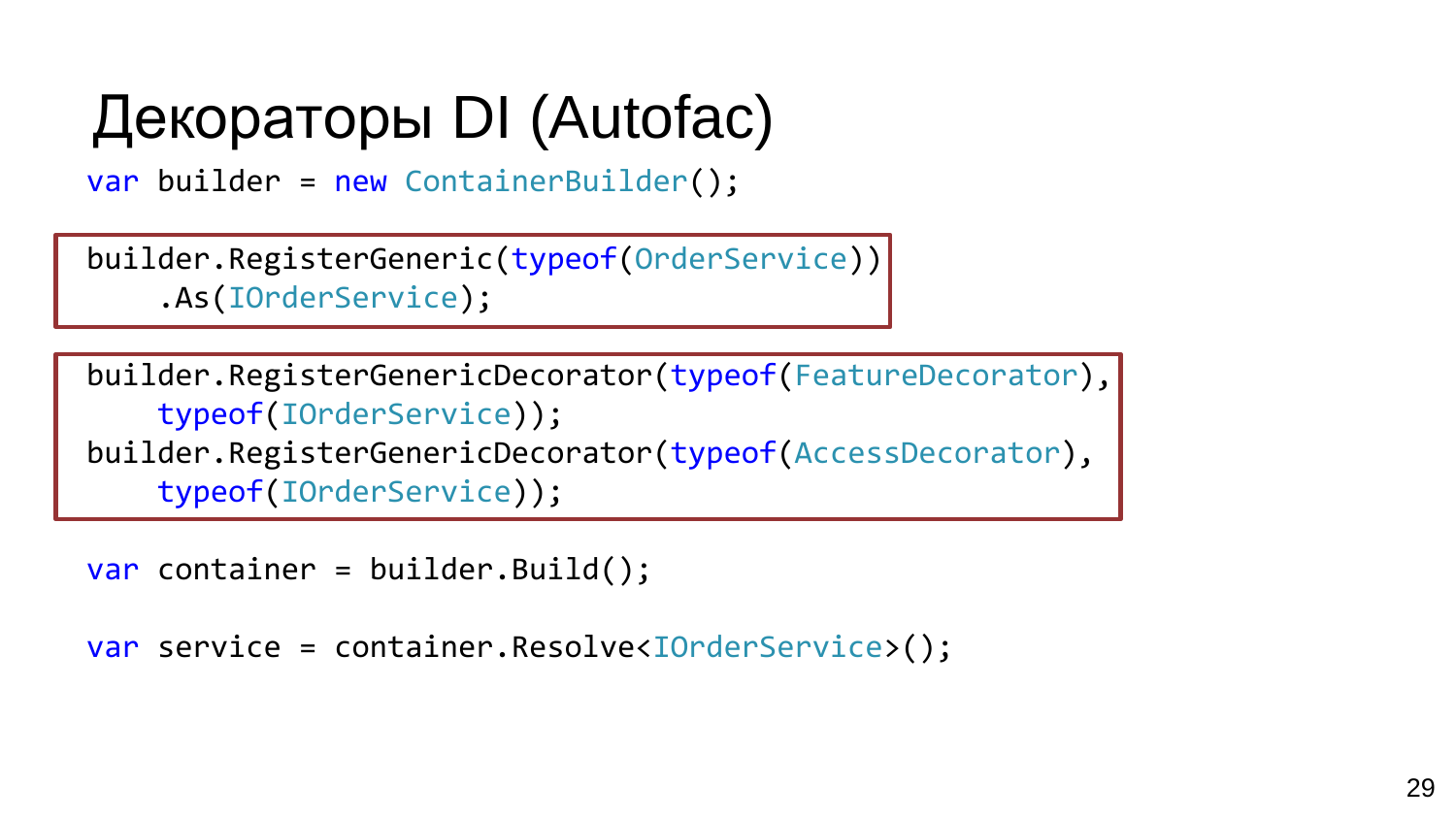# Декораторы DI (Autofac)

var builder = new ContainerBuilder();

```
builder.RegisterGeneric(typeof(OrderService))
    .As(IOrderService);
```
builder.RegisterGenericDecorator(typeof(FeatureDecorator), typeof(IOrderService)); builder.RegisterGenericDecorator(typeof(AccessDecorator), typeof(IOrderService));

```
var container = builder.Build();
```

```
var service = container.Resolve<IOrderService>();
```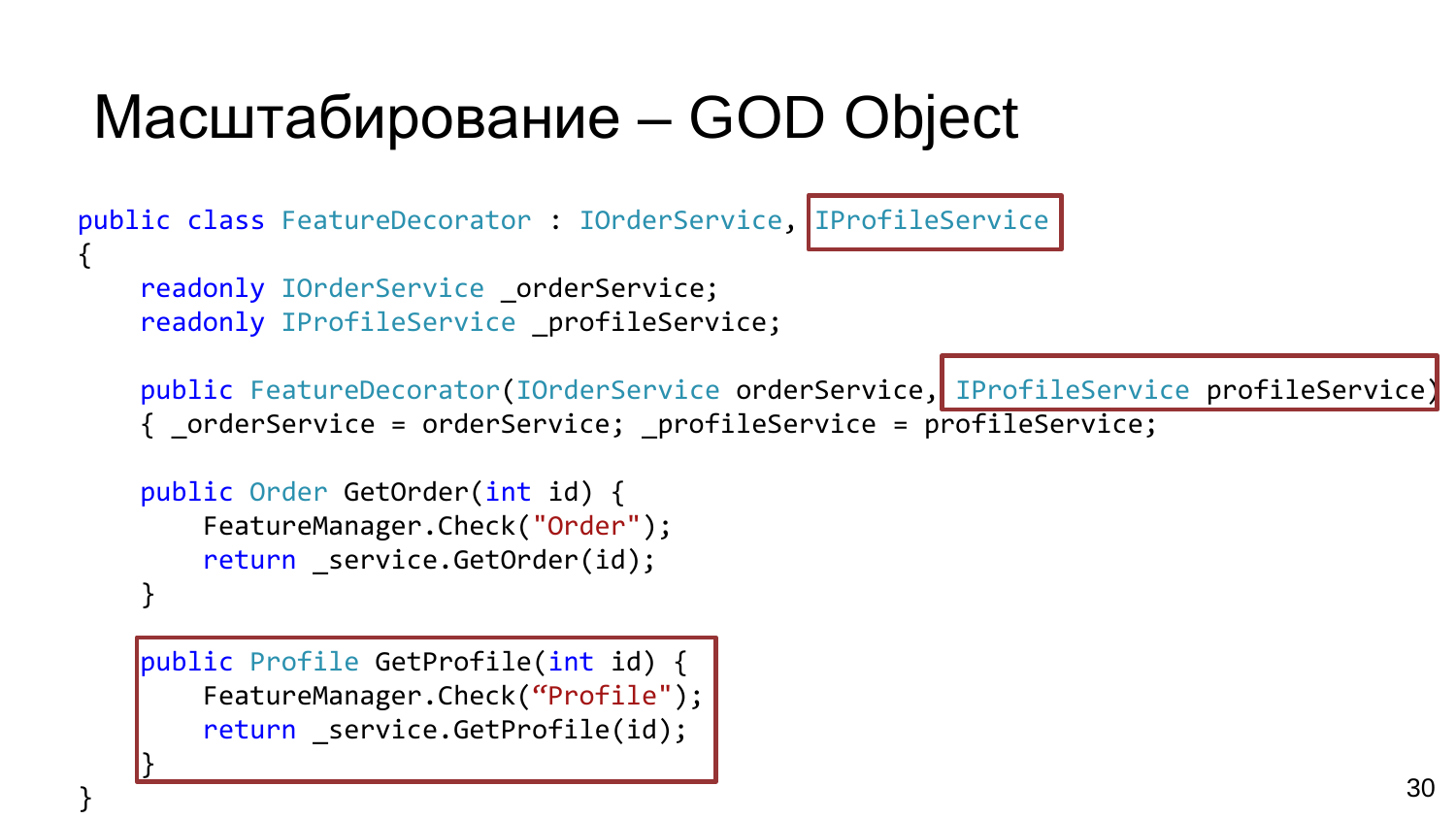# Масштабирование – GOD Object

public class FeatureDecorator : IOrderService, IProfileService {

readonly IOrderService orderService; readonly IProfileService profileService;

public FeatureDecorator(IOrderService orderService, IProfileService profileService) { \_orderService = orderService; \_profileService = profileService;

```
public Order GetOrder(int id) {
    FeatureManager.Check("Order");
    return service.GetOrder(id);
}
```
public Profile GetProfile(int id) { FeatureManager.Check("Profile"); return service.GetProfile(id);

}

}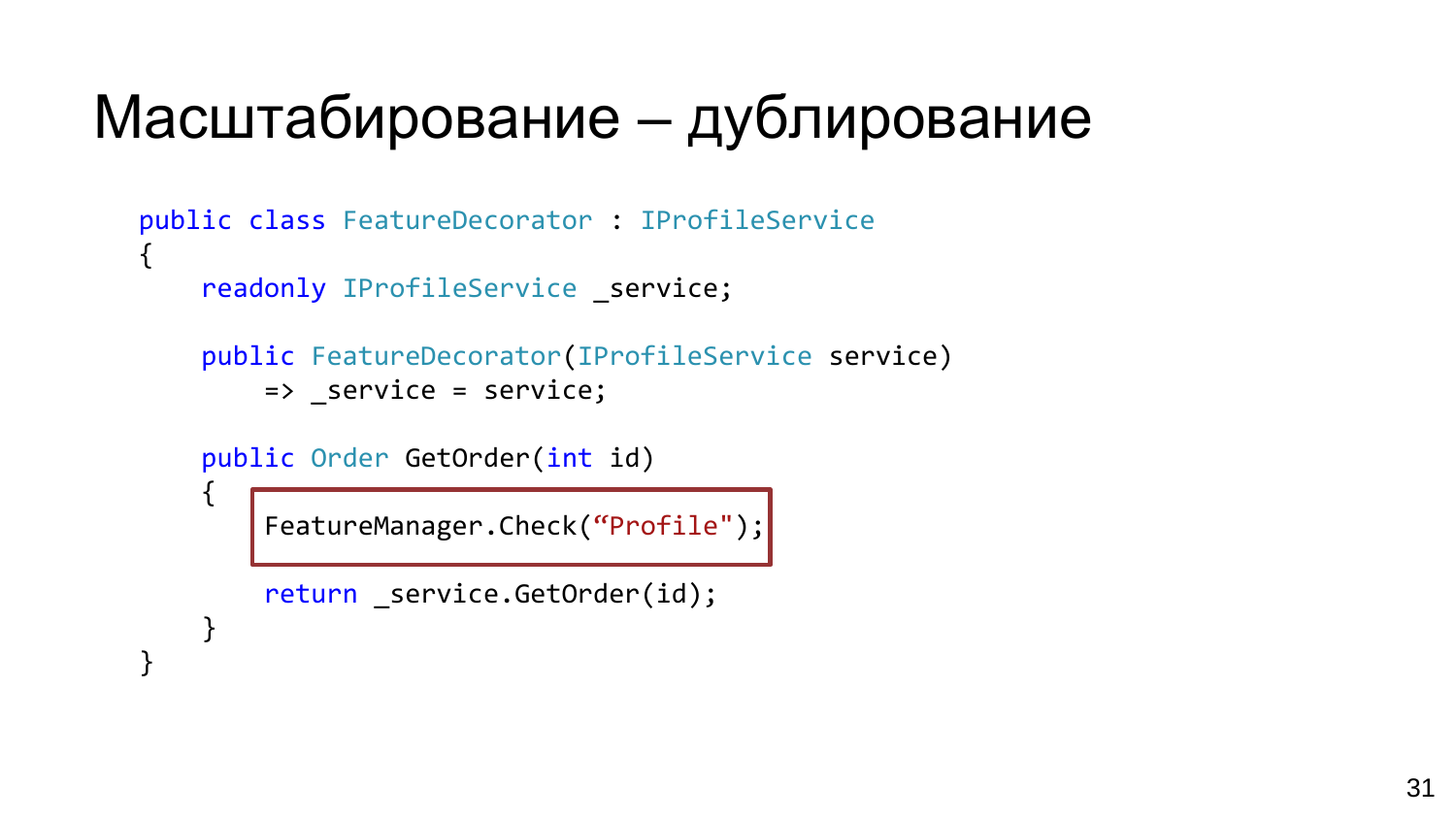# Масштабирование – дублирование

```
public class FeatureDecorator : IProfileService
{
    readonly IProfileService service;
    public FeatureDecorator(IProfileService service)
        => _service = service;
    public Order GetOrder(int id)
    {
        FeatureManager.Check("Profile");
```

```
return _service.GetOrder(id);
```
}

}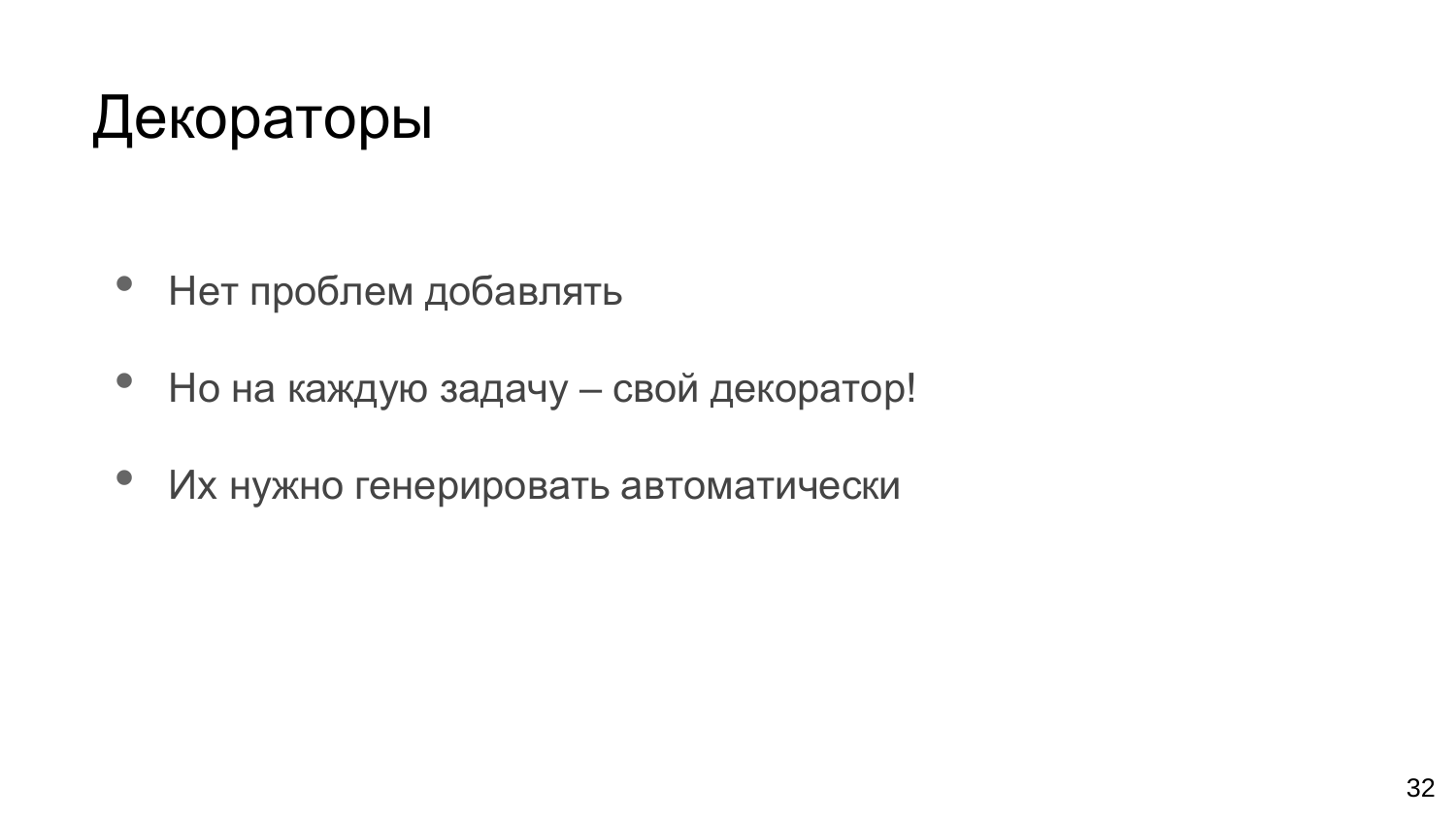# Декораторы

- Нет проблем добавлять
- Но на каждую задачу свой декоратор!
- Их нужно генерировать автоматически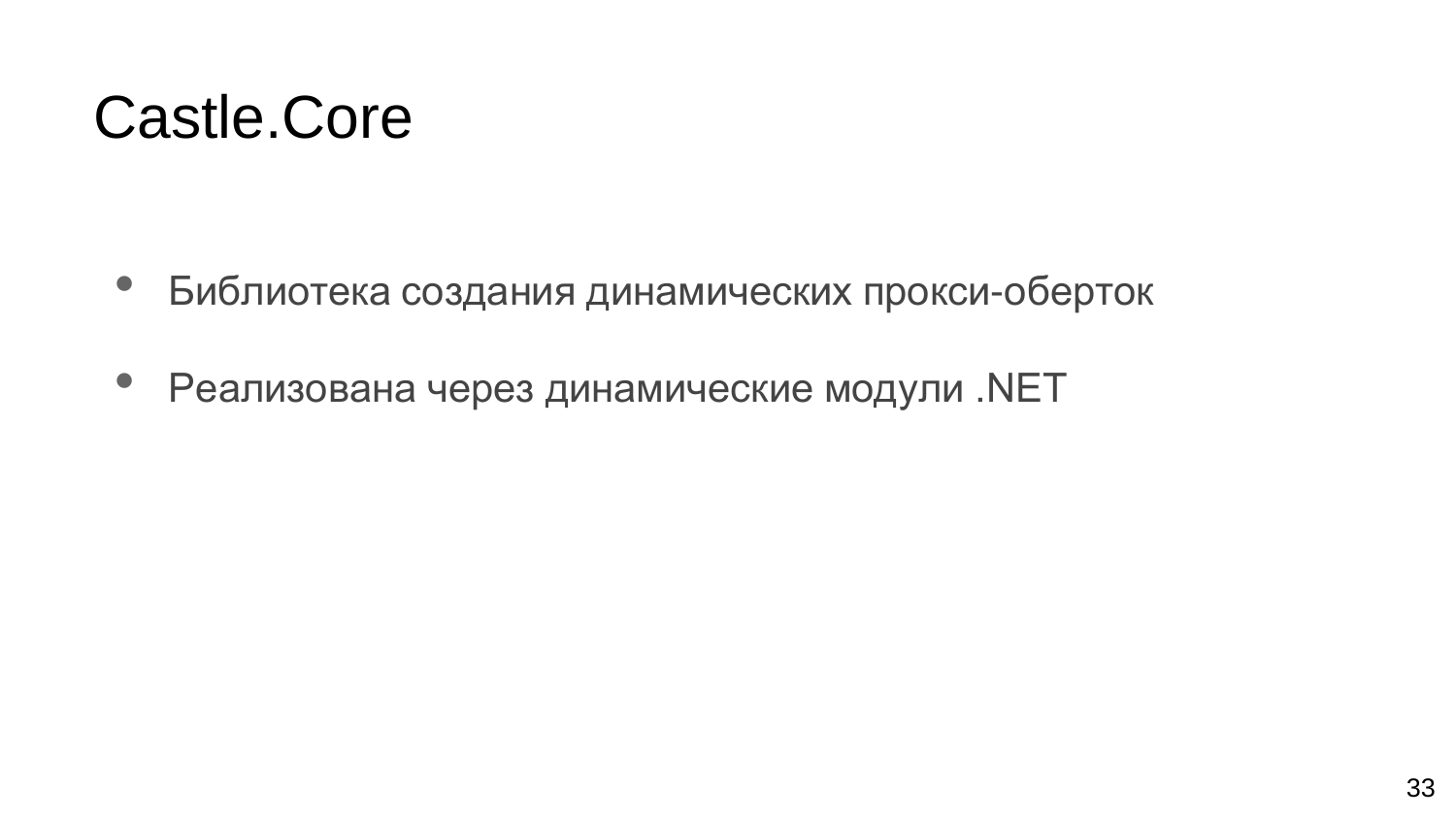#### Castle.Core

- Библиотека создания динамических прокси-оберток
- Реализована через динамические модули .NET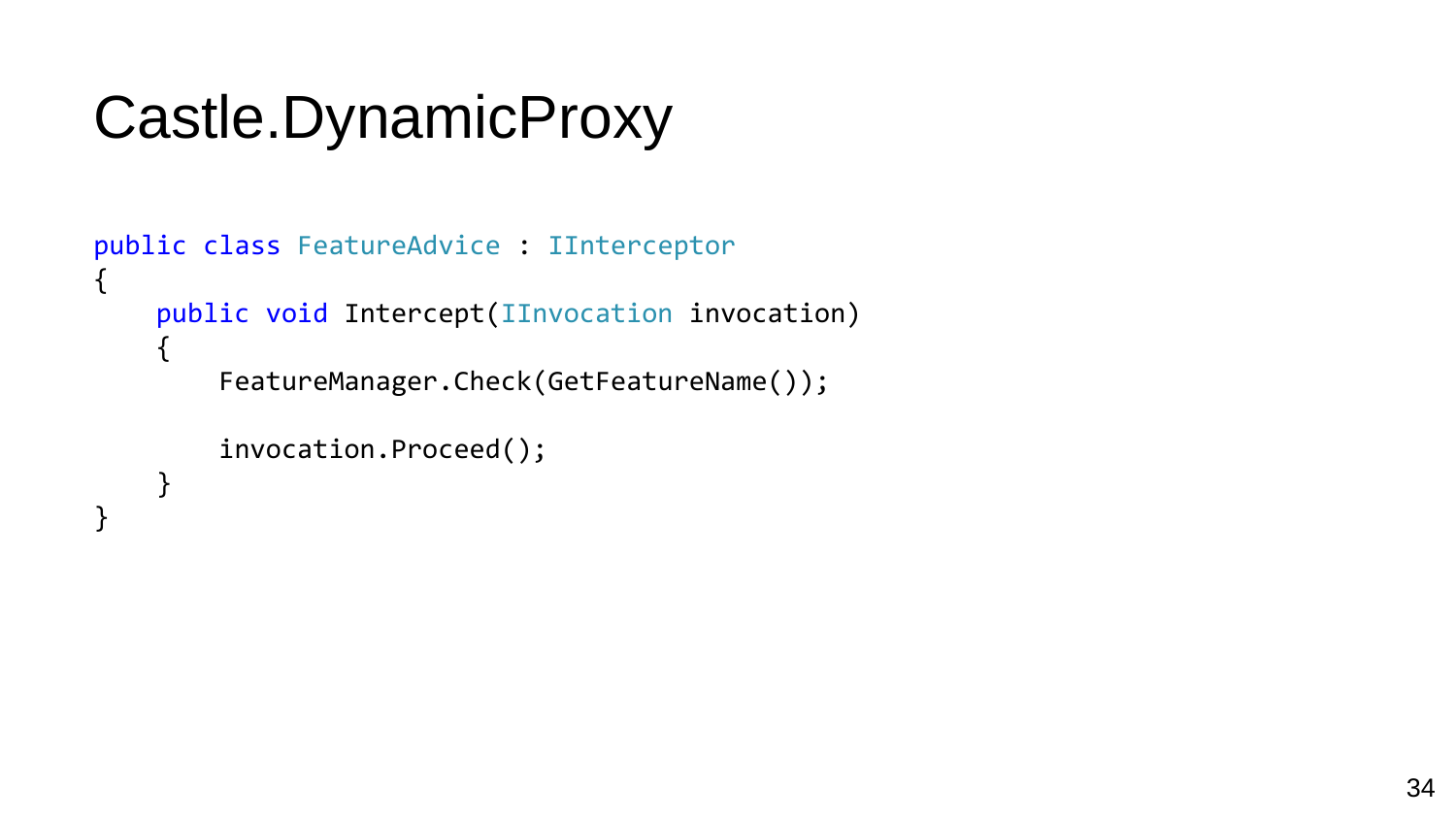# Castle.DynamicProxy

```
public class FeatureAdvice : IInterceptor
{
     public void Intercept(IInvocation invocation)
     \mathcal{L}_{\mathcal{L}_{\mathcal{L}}}FeatureManager.Check(GetFeatureName());
          invocation.Proceed();
     }
}
```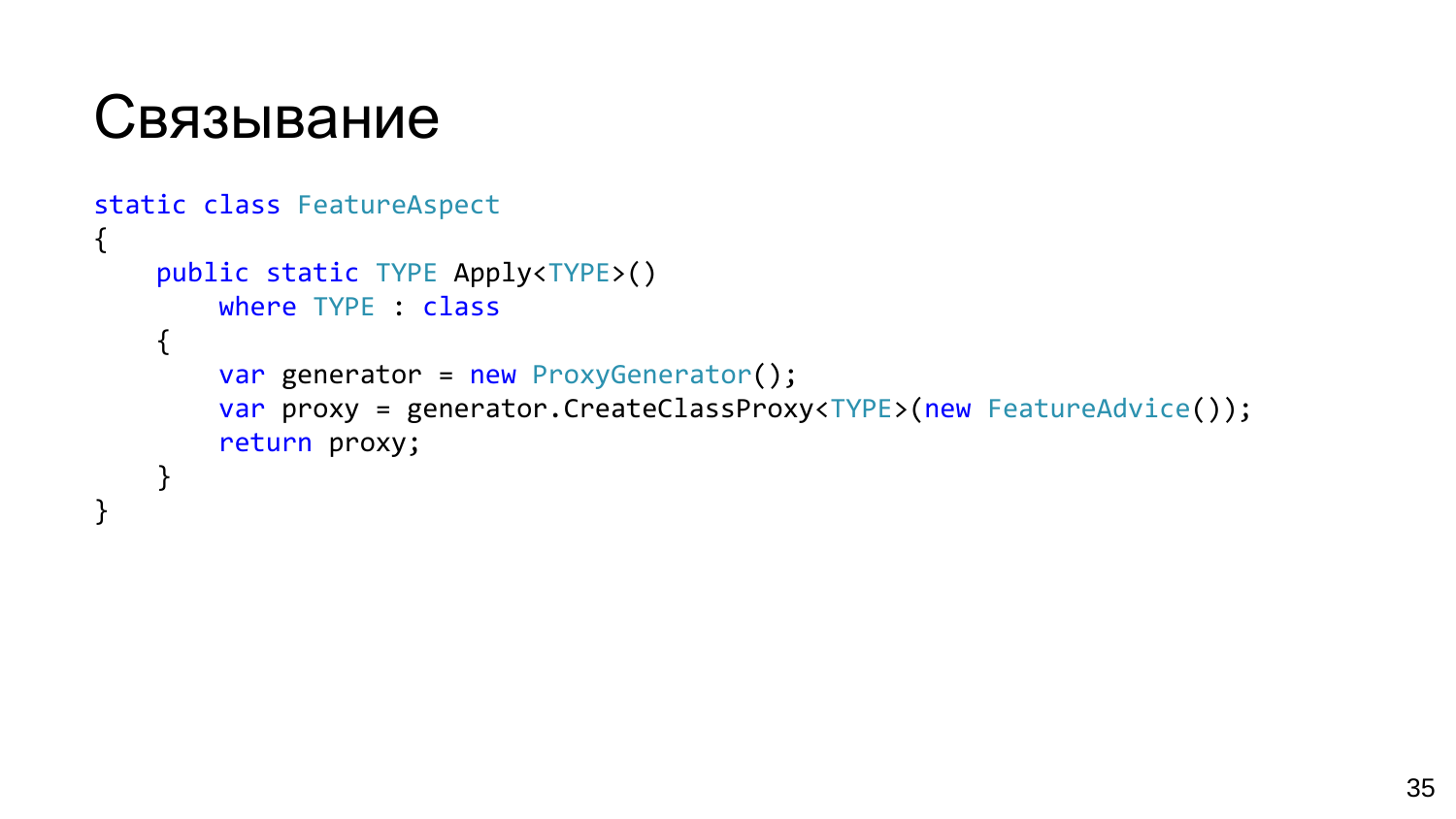

}

```
static class FeatureAspect
\{public static TYPE Apply<TYPE>()
        where TYPE : class
    {
        var generator = new ProxyGenerator();
        var proxy = generator.CreateClassProxy<TYPE>(new FeatureAdvice());
        return proxy;
    }
```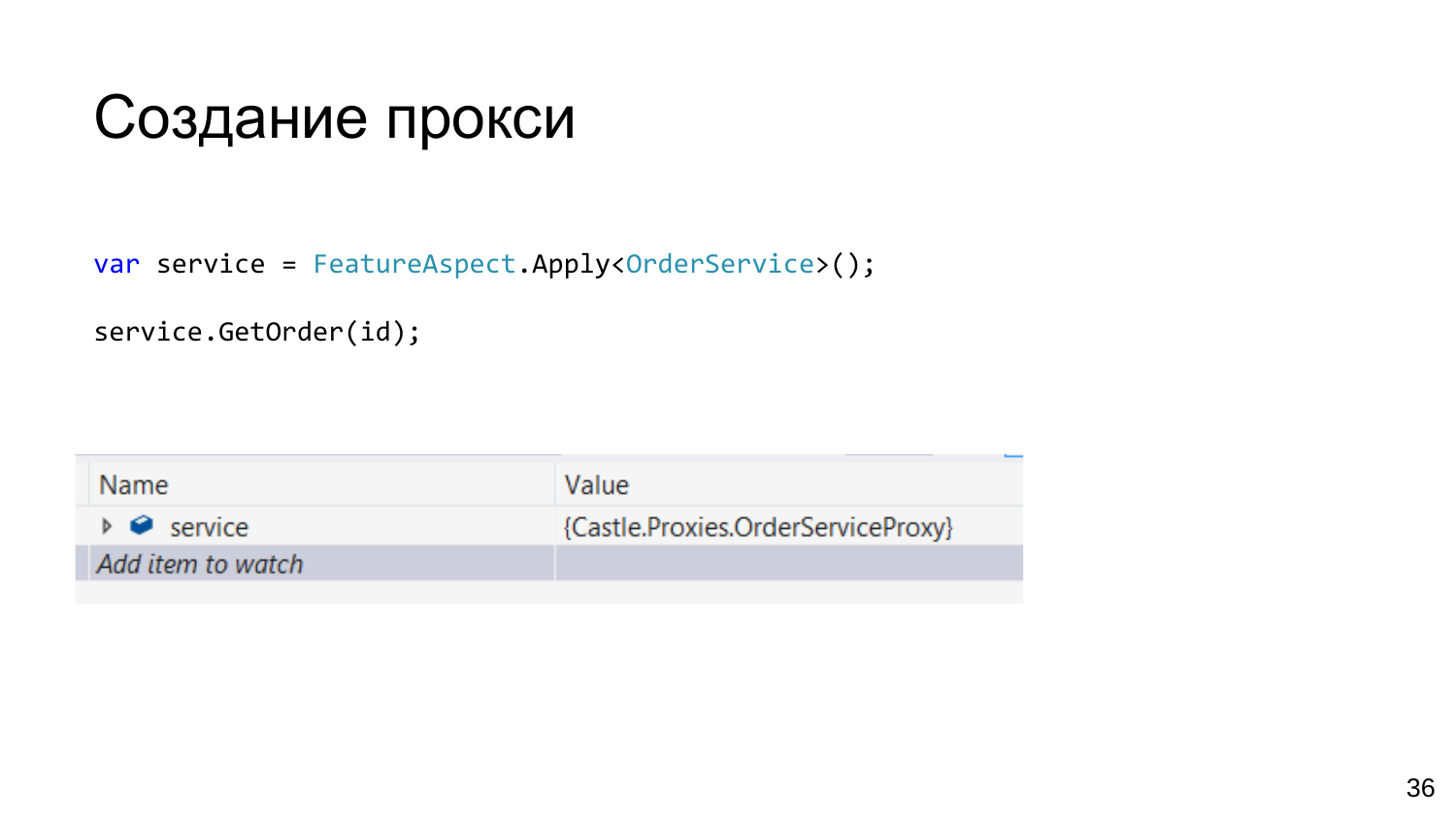## Создание прокси

var service = FeatureAspect.Apply<OrderService>();

service.GetOrder(id);

| Name                                                 | Value                              |
|------------------------------------------------------|------------------------------------|
| $\triangleright$ <b><math>\bullet</math></b> service | {Castle.Proxies.OrderServiceProxy} |
| Add item to watch                                    |                                    |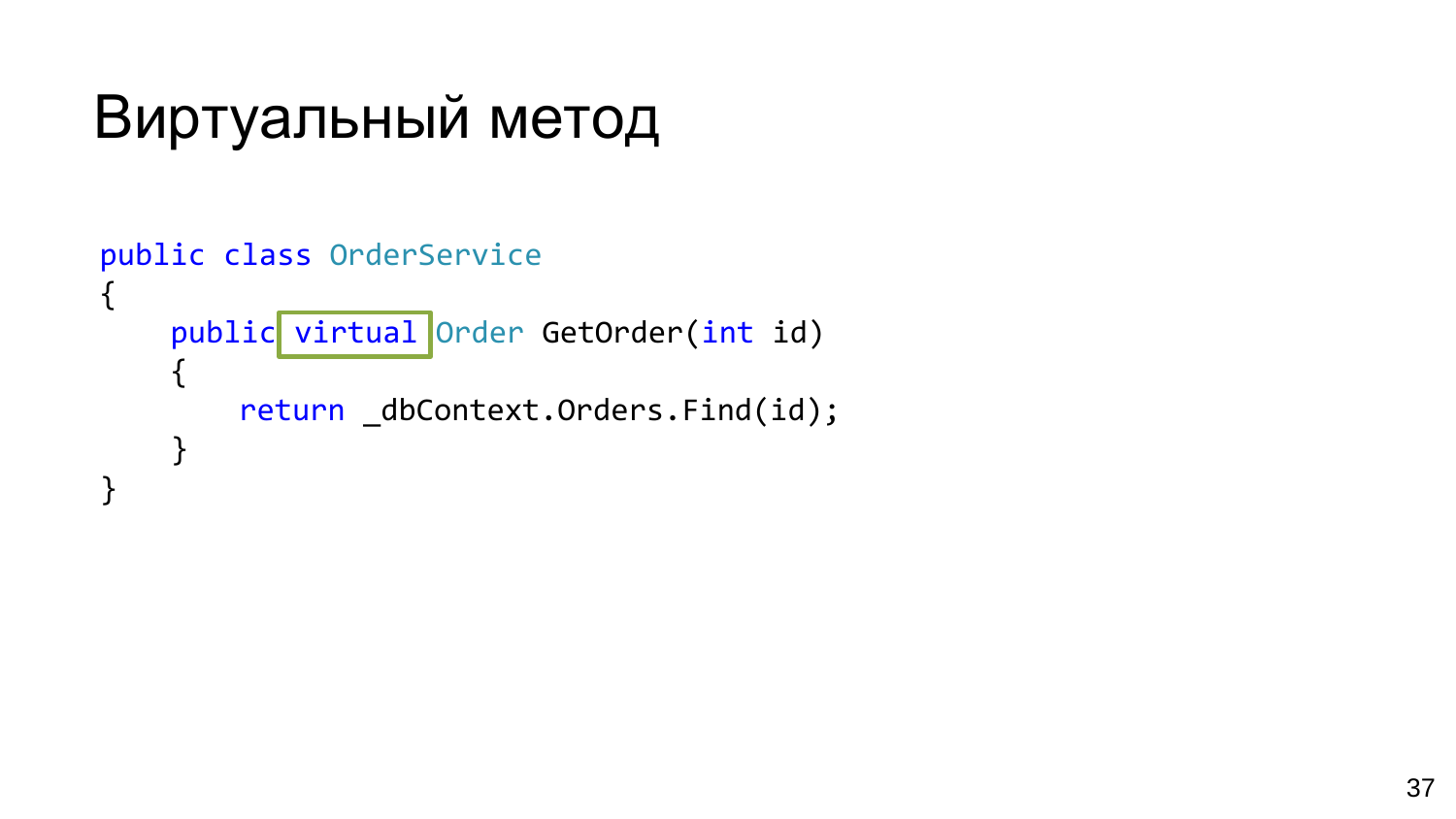## Виртуальный метод

```
public class OrderService
\{public virtual Order GetOrder(int id)
    {
        return _dbContext.Orders.Find(id);
    }
}
```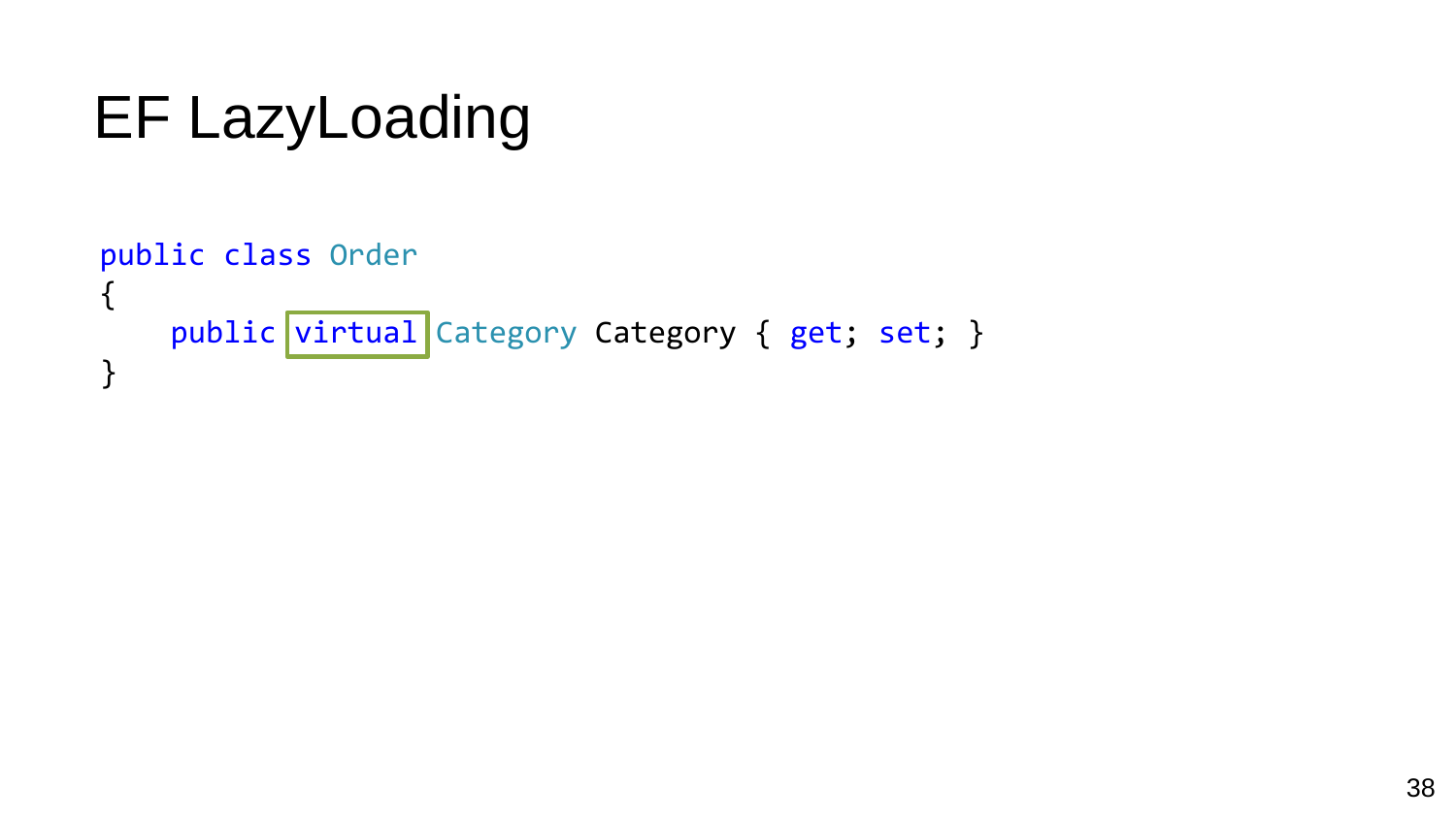## EF LazyLoading

```
public class Order
{
    public virtual Category Category { get; set; }
}
```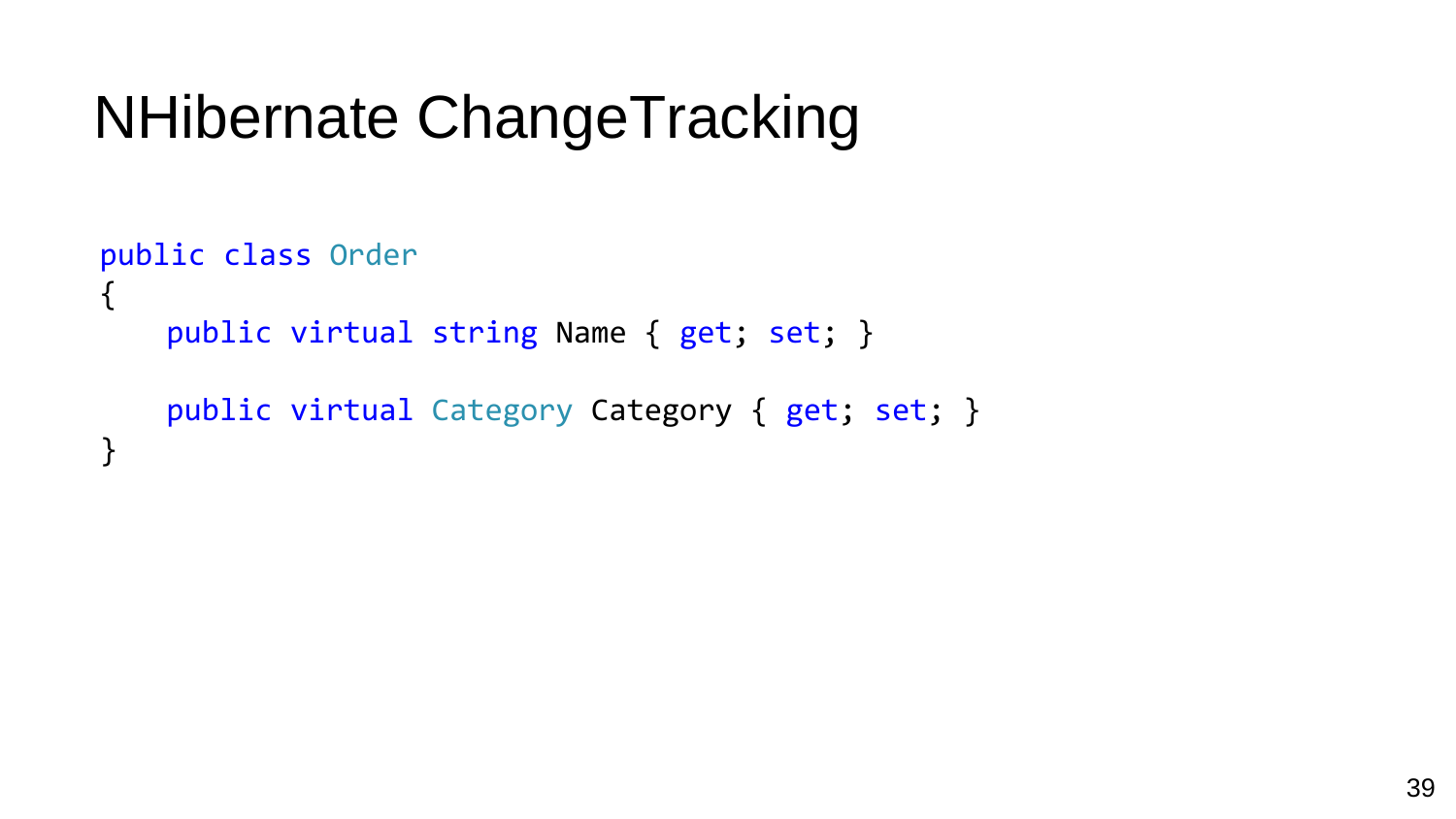## NHibernate ChangeTracking

```
public class Order
{
   public virtual string Name { get; set; }
   public virtual Category Category { get; set; }
}
```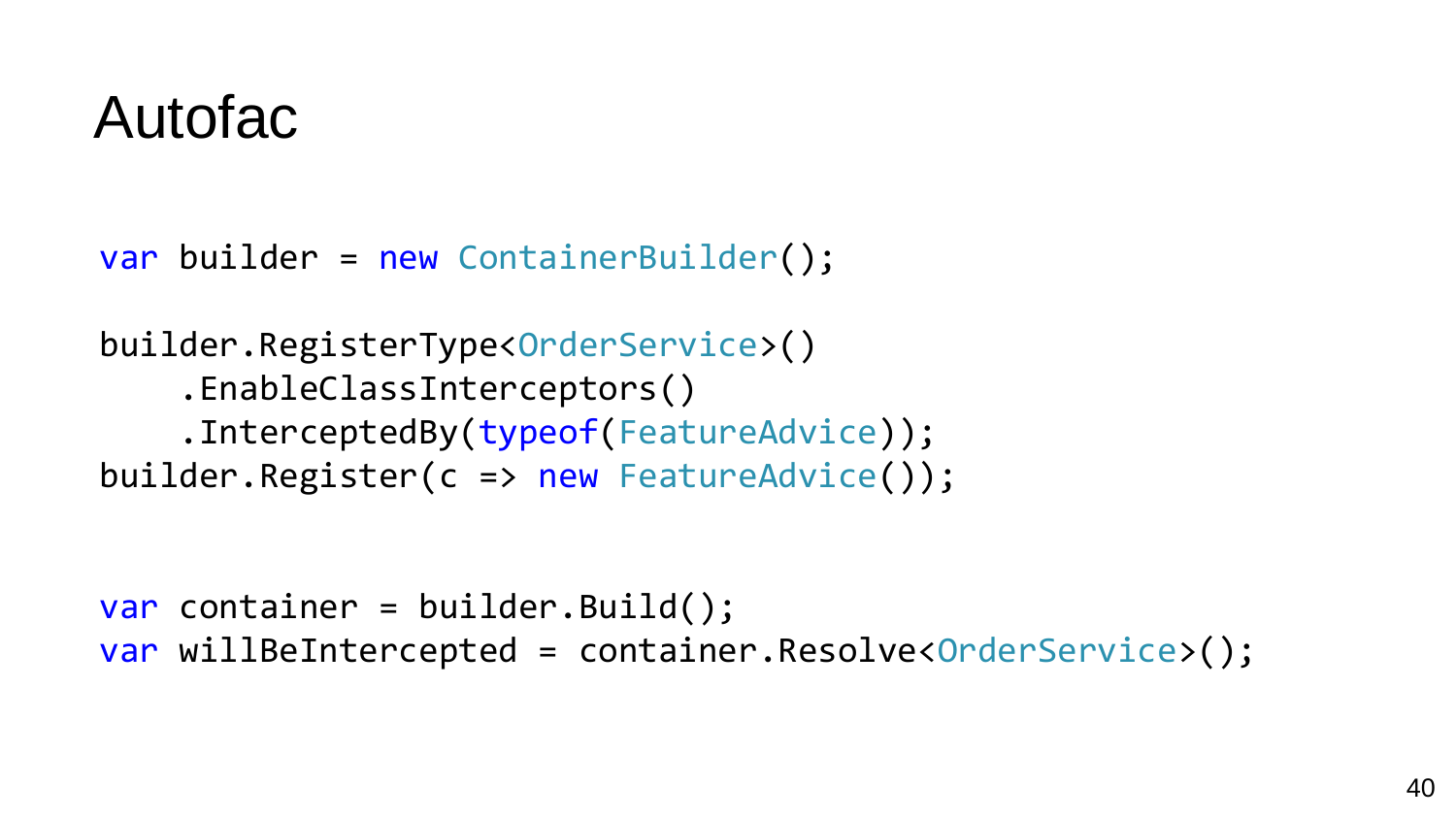#### Autofac

var builder = new ContainerBuilder();

builder.RegisterType<OrderService>() .EnableClassInterceptors() .InterceptedBy(typeof(FeatureAdvice)); builder.Register(c => new FeatureAdvice());

var container = builder.Build(); var willBeIntercepted = container.Resolve<OrderService>();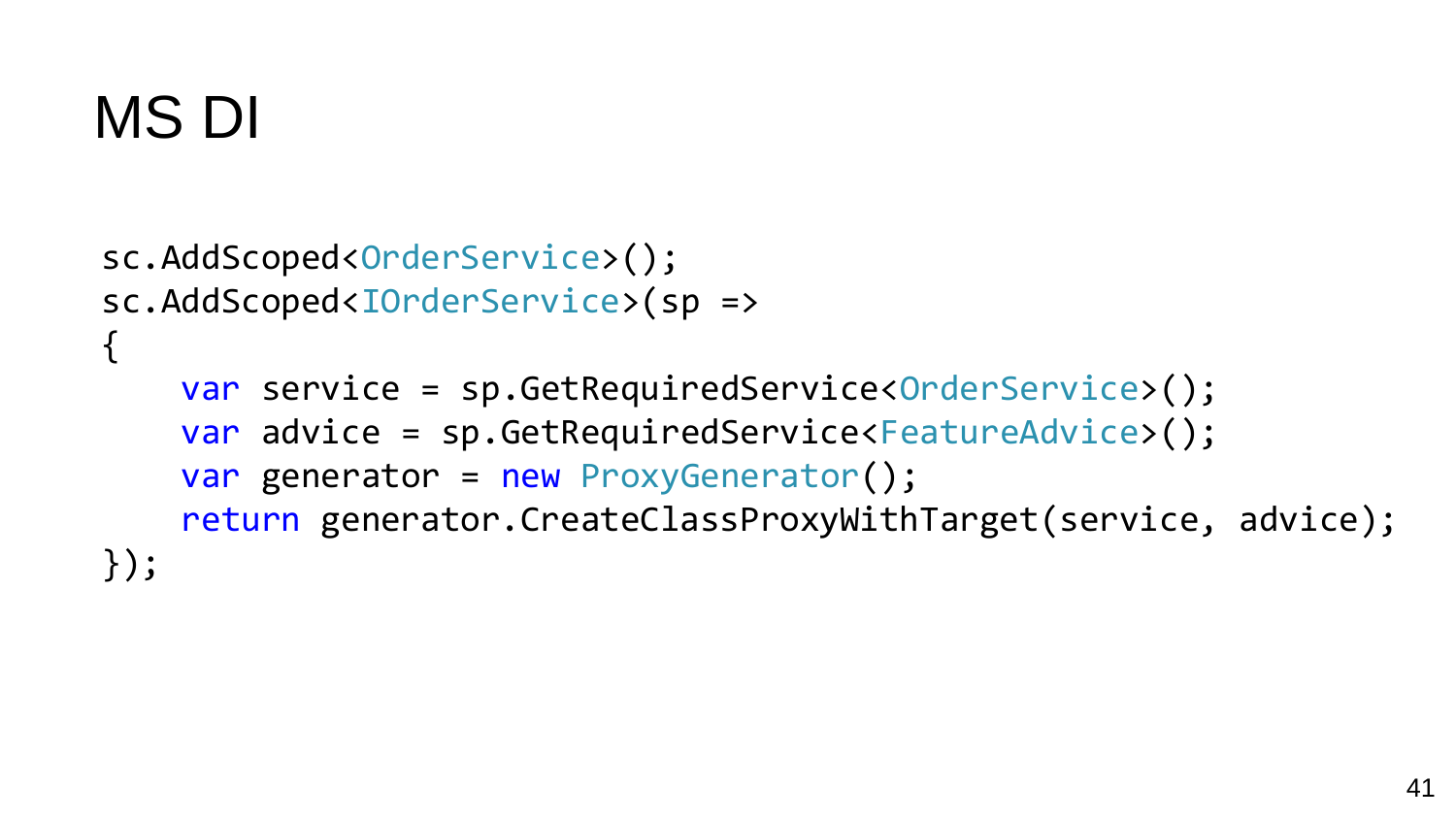## MS DI

```
sc.AddScoped<OrderService>();
sc.AddScoped<IOrderService>(sp =>
{
    var service = sp.GetRequiredService<OrderService>();
    var advice = sp.GetRequiredService<FeatureAdvice>();
    var generator = new ProxyGenerator();
    return generator.CreateClassProxyWithTarget(service, advice);
});
```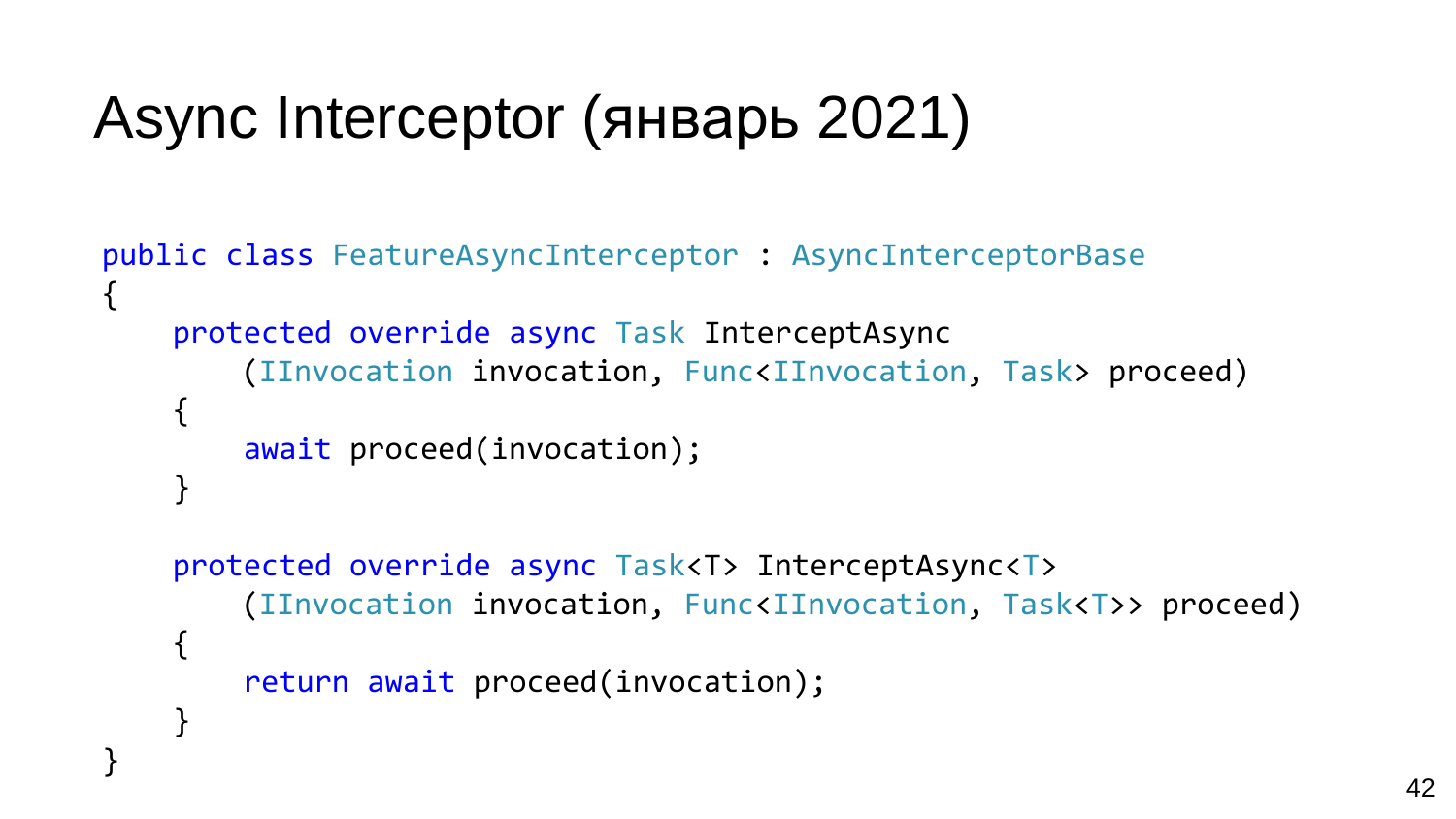## Async Interceptor (январь 2021)

}

```
public class FeatureAsyncInterceptor : AsyncInterceptorBase
{
    protected override async Task InterceptAsync
        (IInvocation invocation, Func<IInvocation, Task> proceed)
    {
        await proceed(invocation);
    }
```

```
protected override async Task<T> InterceptAsync<T>
    (IInvocation invocation, Func<IInvocation, Task<T>> proceed)
{
    return await proceed(invocation);
}
```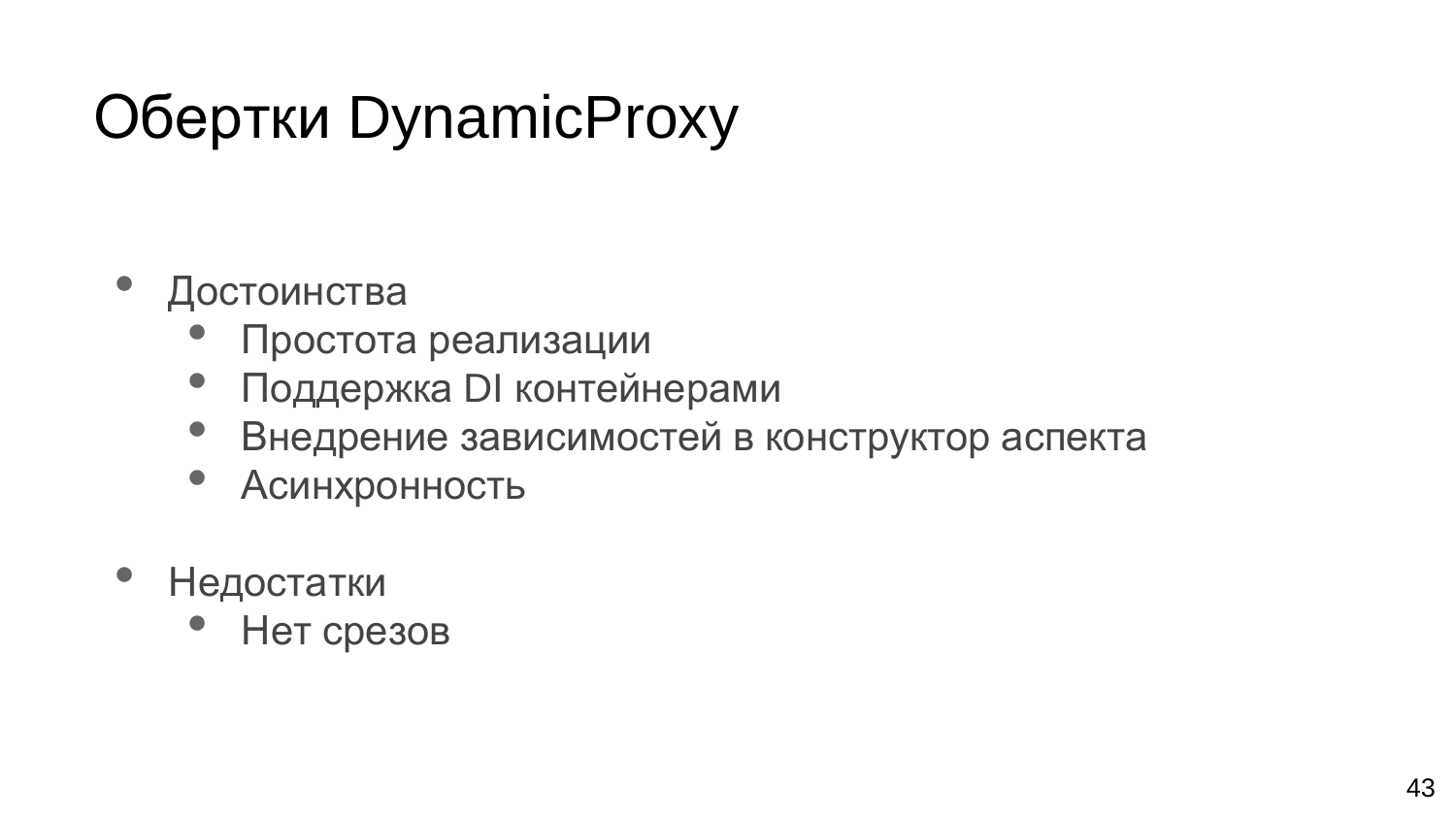# Обертки DynamicProxy

- Достоинства
	- Простота реализации
	- Поддержка DI контейнерами
	- Внедрение зависимостей в конструктор аспекта
	- Асинхронность
- Недостатки
	- Нет срезов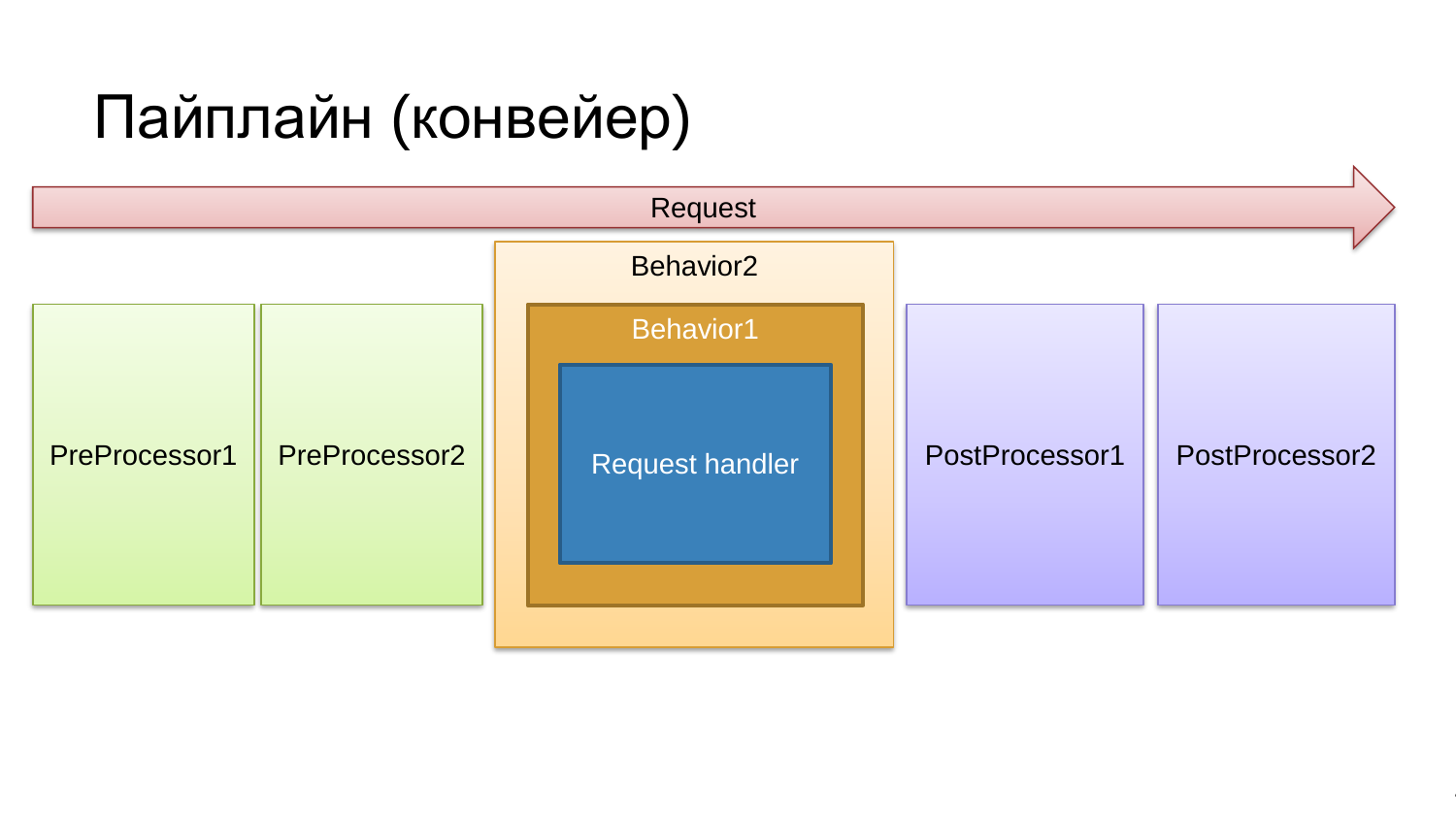#### Пайплайн (конвейер)



44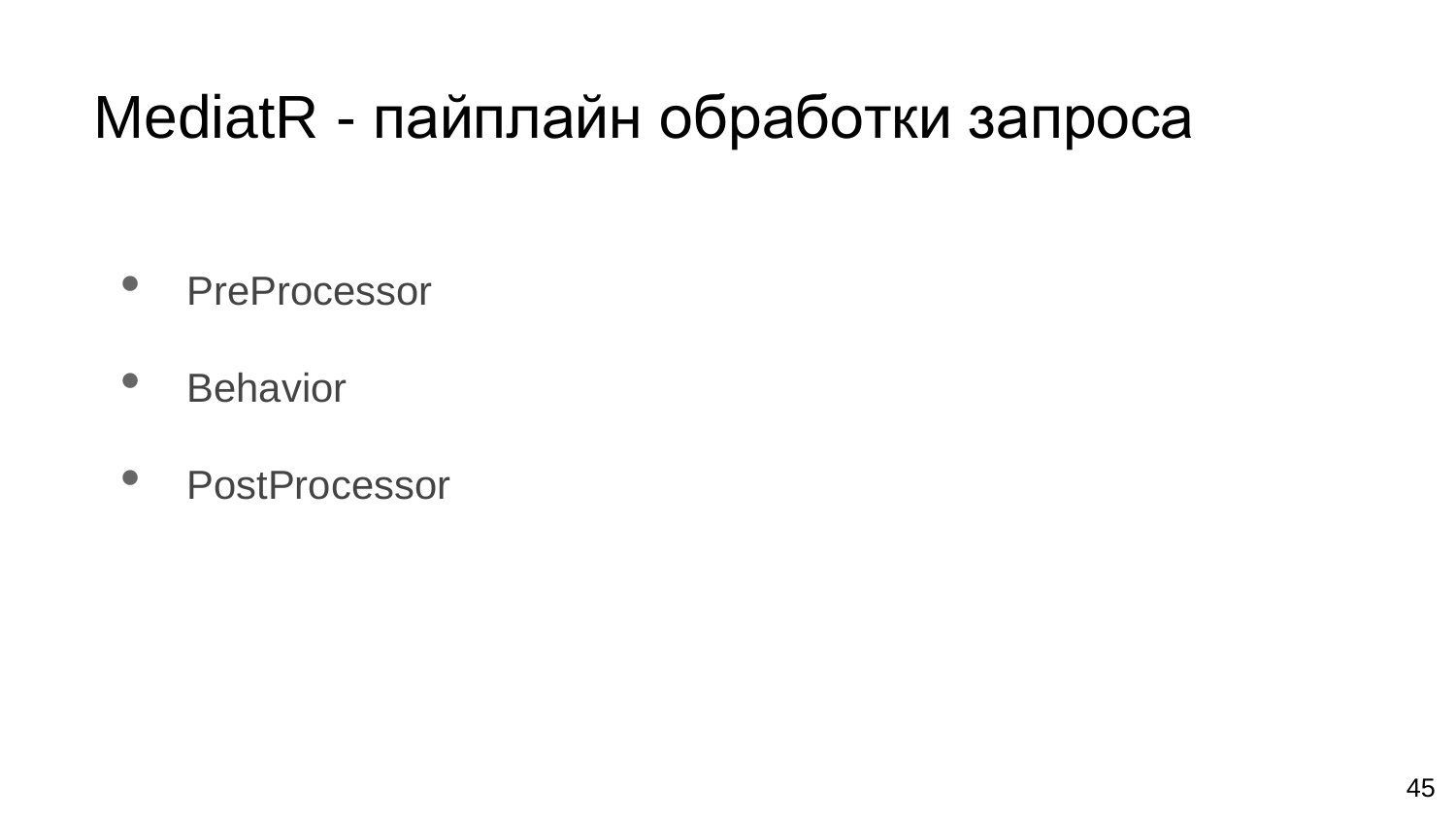#### MediatR - пайплайн обработки запроса

- PreProcessor
- Behavior
- PostProcessor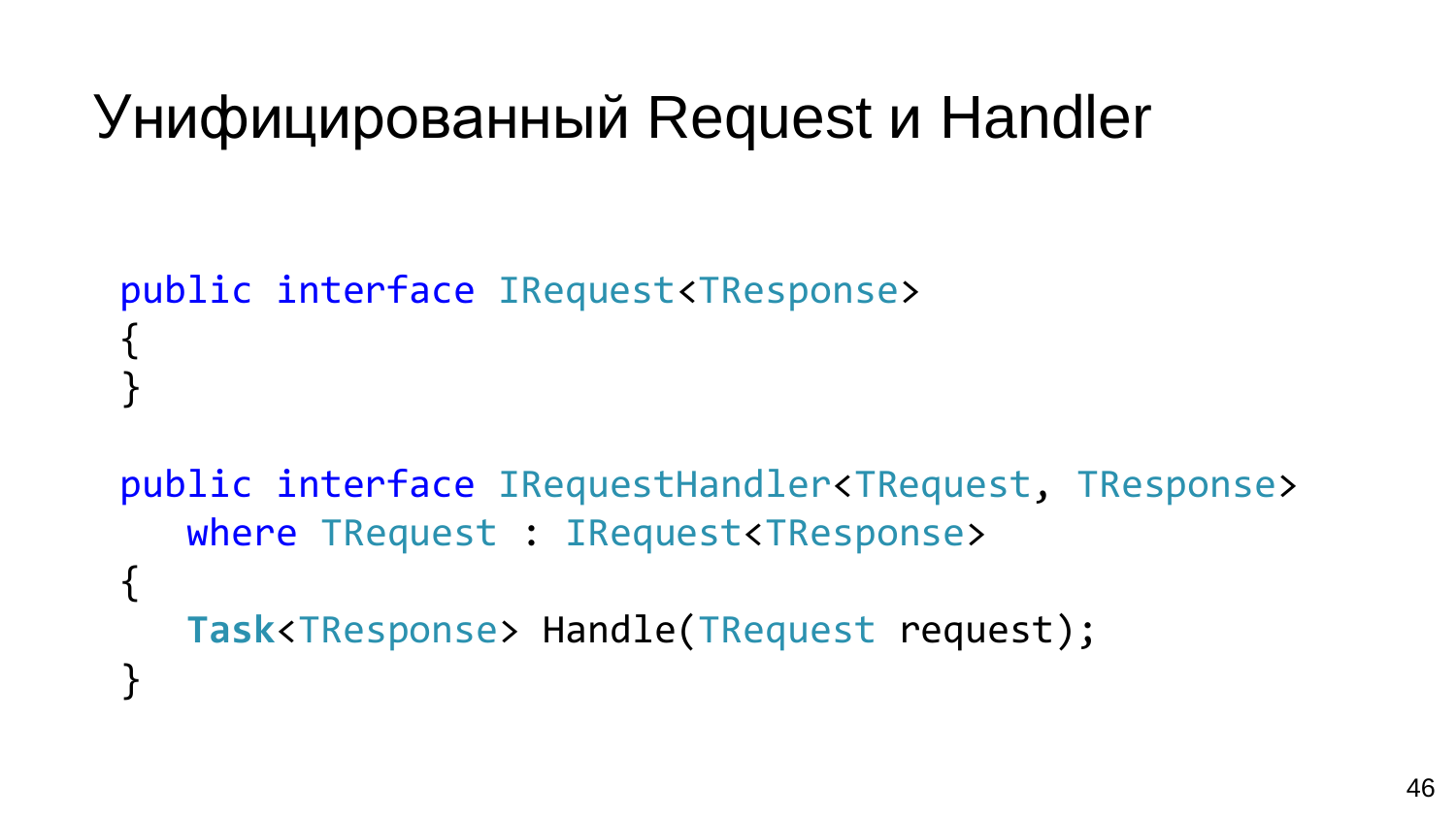```
Унифицированный Request и Handler
```

```
public interface IRequest<TResponse>
{
}
```

```
public interface IRequestHandler<TRequest, TResponse> 
   where TRequest : IRequest<TResponse>
{
   Task<TResponse> Handle(TRequest request);
}<br>]
```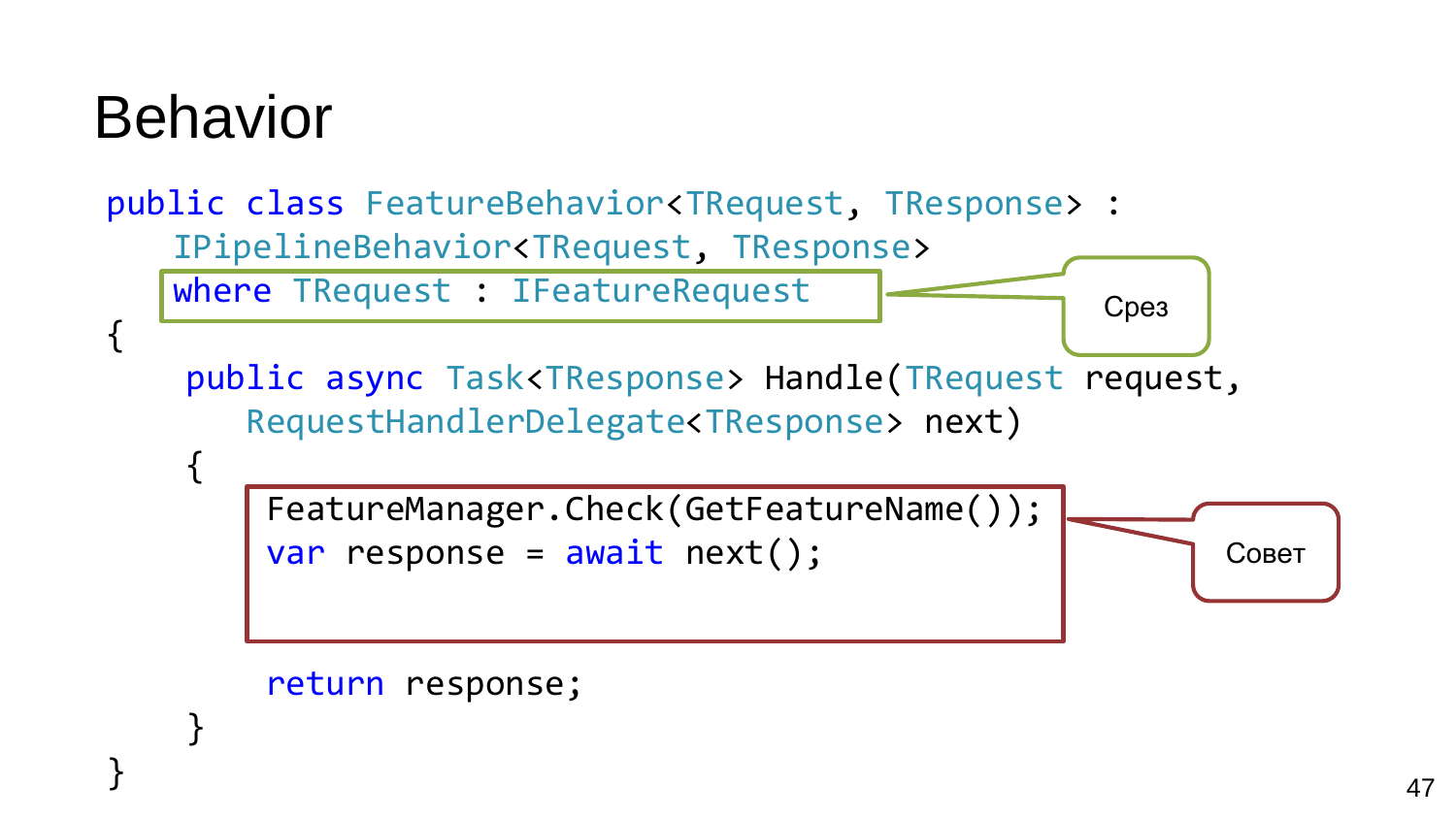## Behavior

}

```
public class FeatureBehavior<TRequest, TResponse> : 
   IPipelineBehavior<TRequest, TResponse>
   where TRequest : IFeatureRequest
{
    public async Task<TResponse> Handle(TRequest request, 
       RequestHandlerDelegate<TResponse> next)
    {
        FeatureManager.Check(GetFeatureName());
        var response = await next();return response;
                                                          Совет
                                                   Срез
```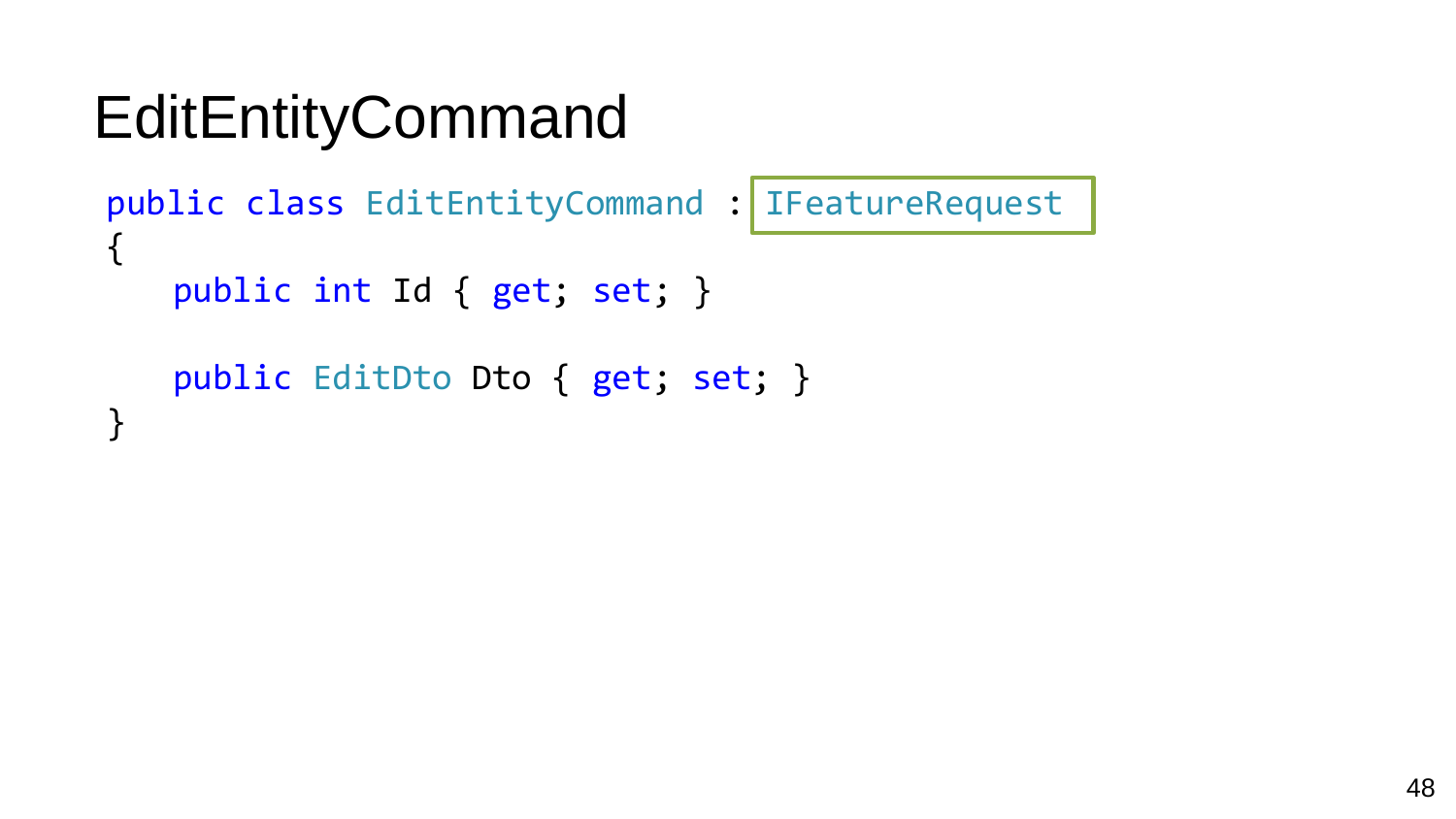```
EditEntityCommand
```

```
public class EditEntityCommand : IFeatureRequest
\{public int Id { get; set; }
   public EditDto Dto { get; set; }
}
```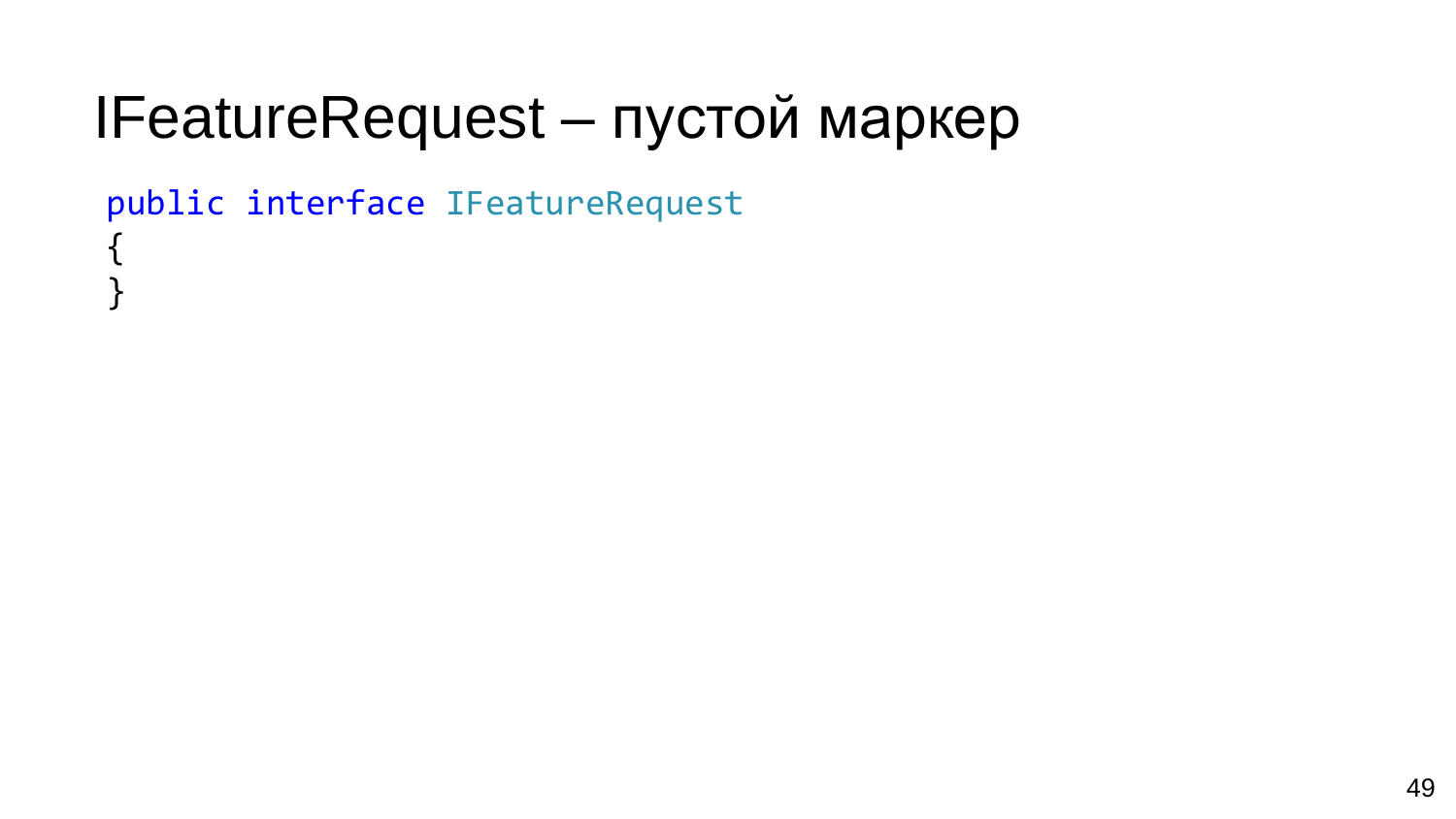## IFeatureRequest - пустой маркер

public interface IFeatureRequest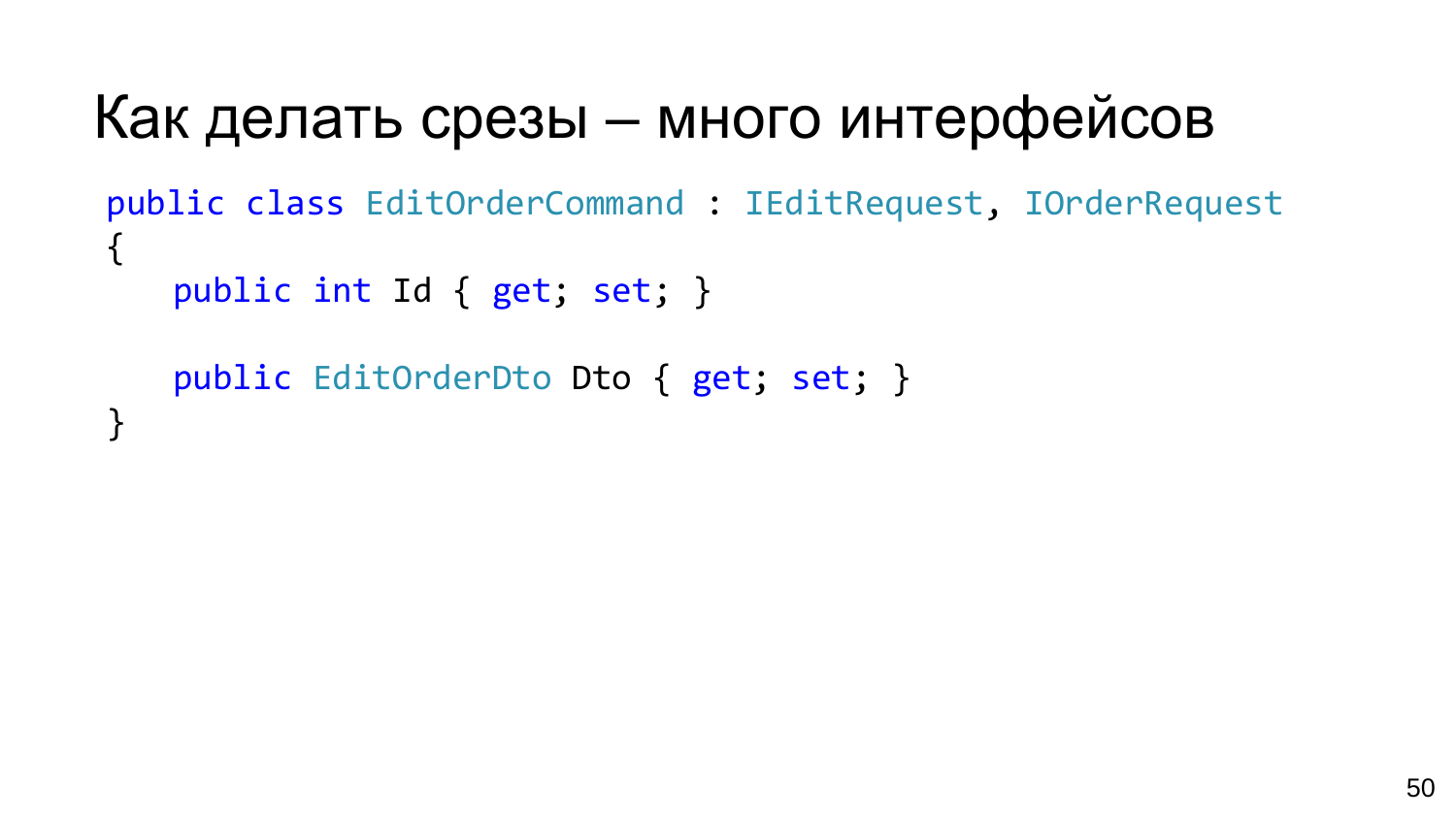#### Как делать срезы – много интерфейсов

```
public class EditOrderCommand : IEditRequest, IOrderRequest
\left\{ \right.public int Id { get; set; }
```

```
public EditOrderDto Dto { get; set; }
}
```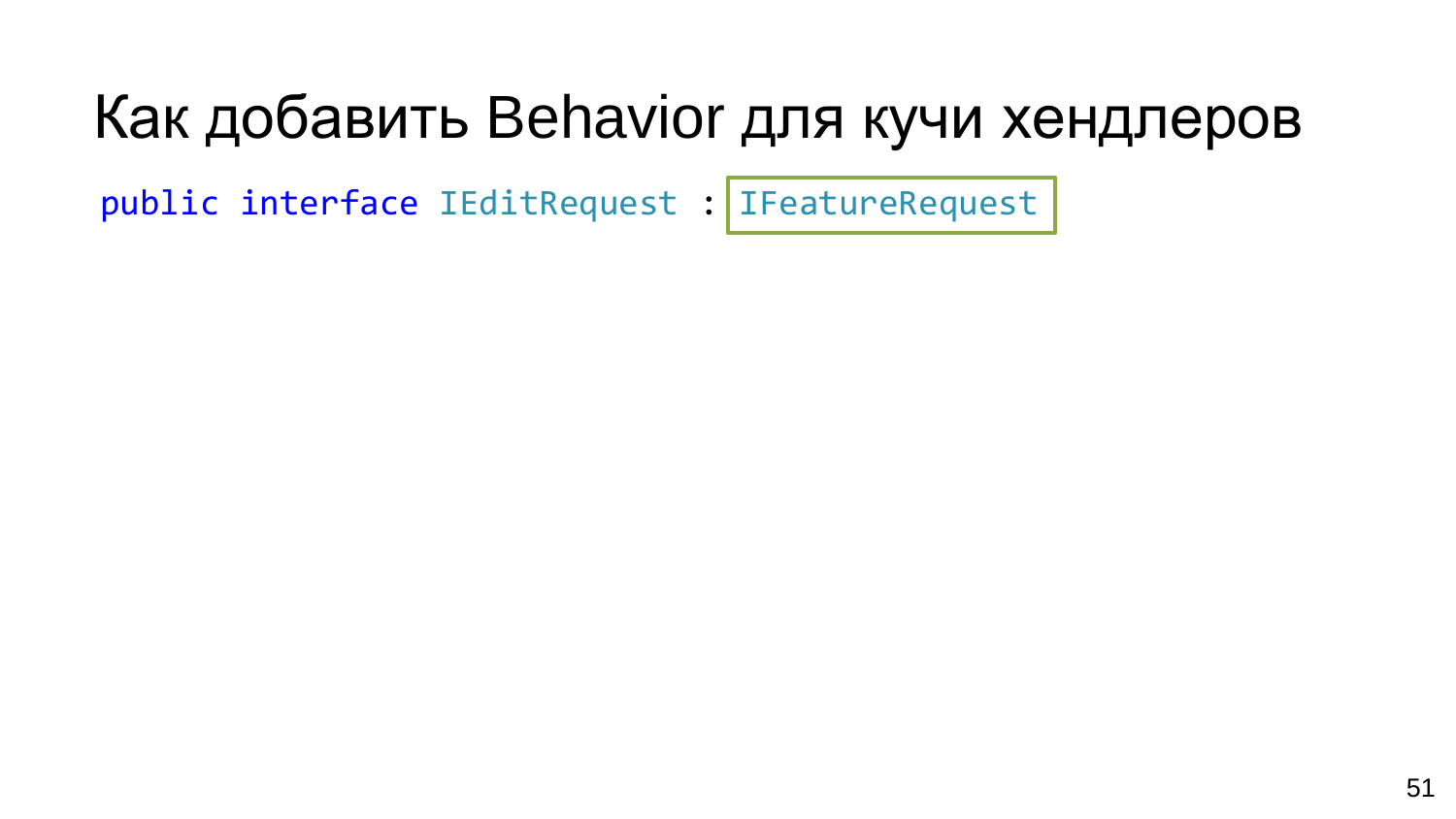#### Как добавить Behavior для кучи хендлеров

public interface IEditRequest : IFeatureRequest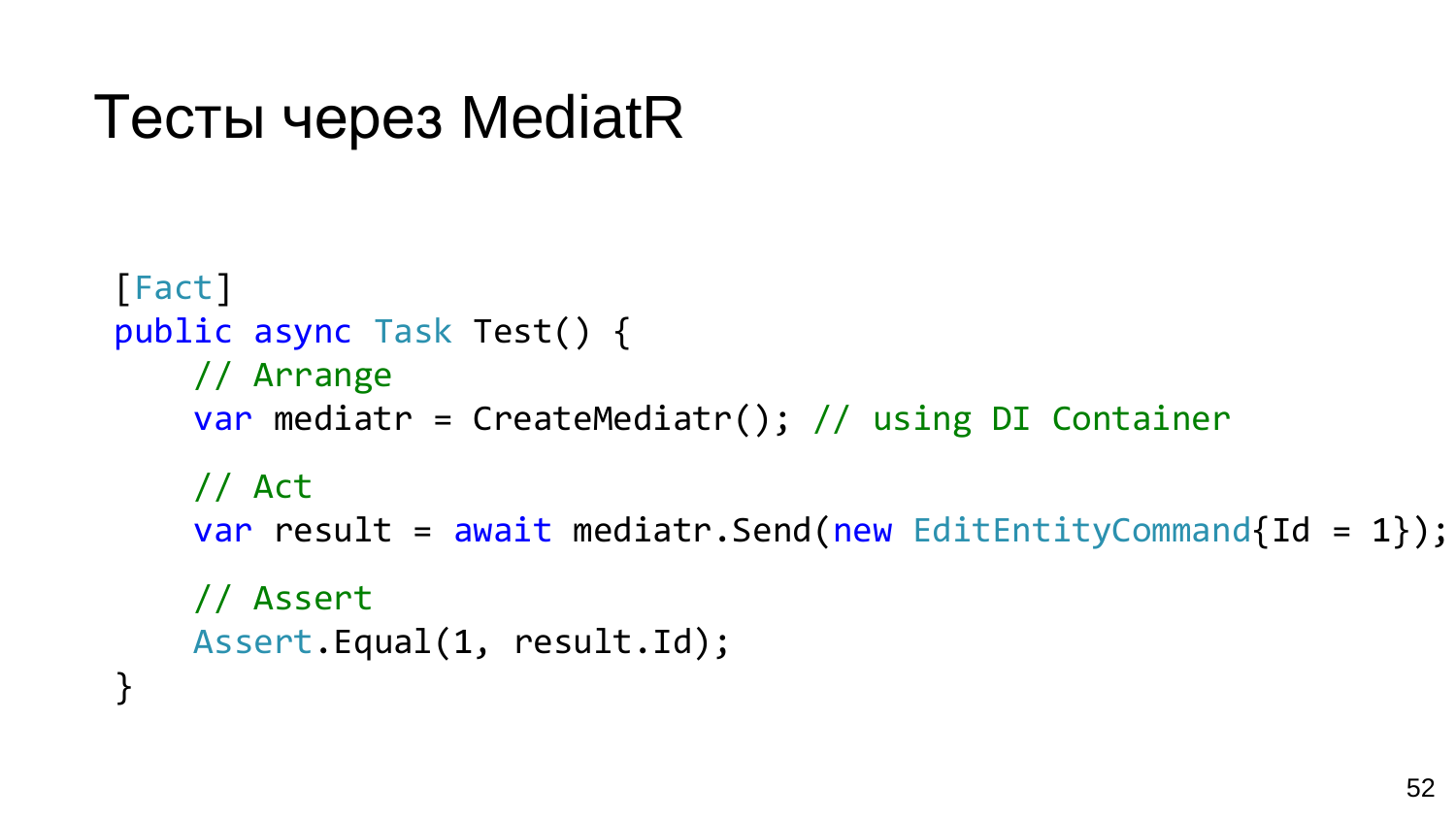```
Тесты через MediatR
```

```
[Fact]
public async Task Test() {
    // Arrange
    var mediatr = CreateMediatr(); // using DI Container
    // Act
    var result = await mediatr. Send(new EditEntityCommand{Id = 1});
    // Assert
    Assert.Equal(1, result.Id);
}
```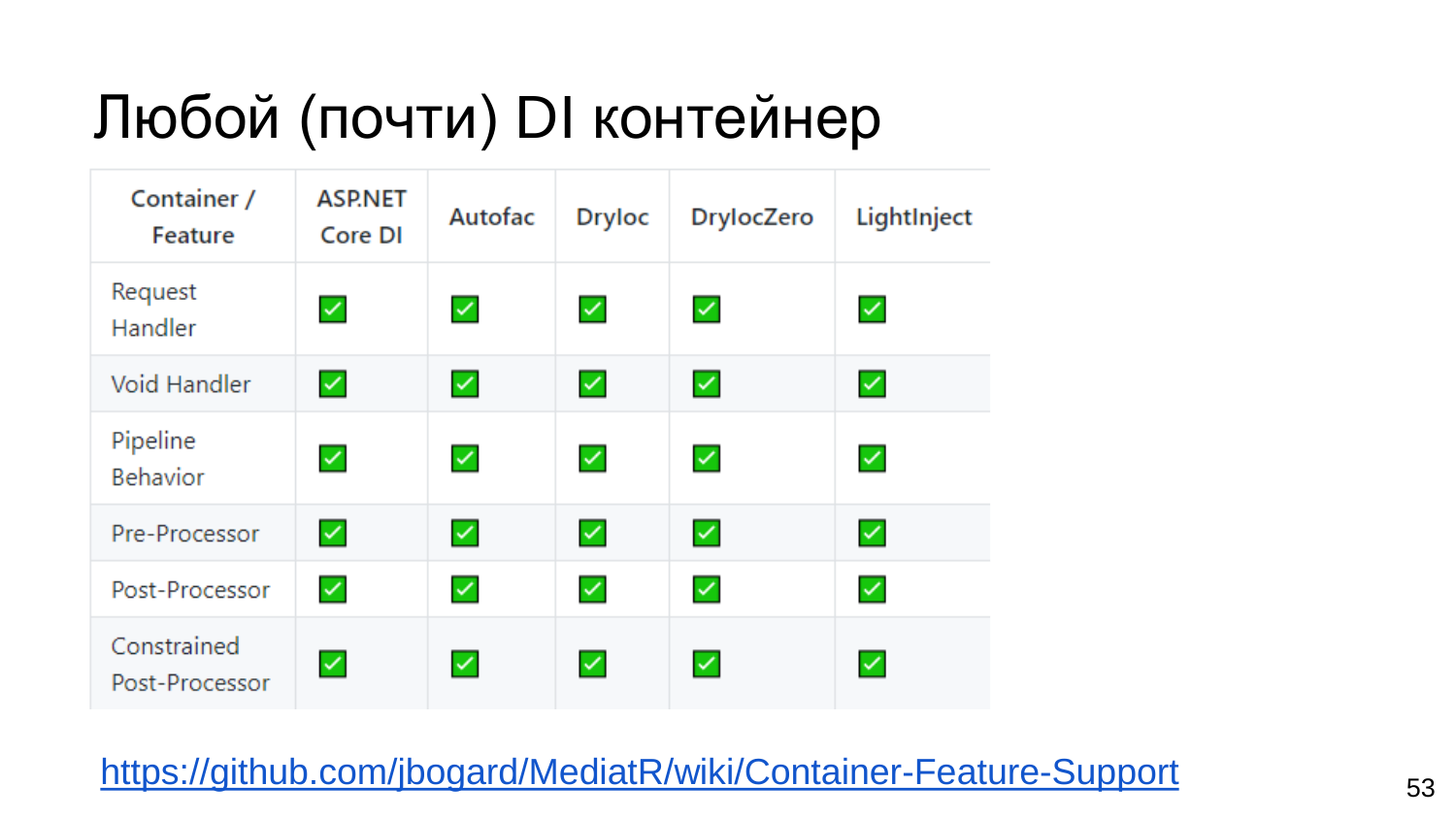## Любой (почти) DI контейнер

| Container /<br>Feature        | <b>ASP.NET</b><br>Core DI | Autofac      | <b>Dryloc</b> | <b>DrylocZero</b> | LightInject  |
|-------------------------------|---------------------------|--------------|---------------|-------------------|--------------|
| Request<br>Handler            | $\checkmark$              | $\checkmark$ | $\checkmark$  | $\checkmark$      | $\checkmark$ |
| <b>Void Handler</b>           | $\checkmark$              | $\checkmark$ | $\checkmark$  | $\checkmark$      | $\checkmark$ |
| Pipeline<br><b>Behavior</b>   | $\checkmark$              | $\checkmark$ | $\checkmark$  | $\checkmark$      | $\checkmark$ |
| Pre-Processor                 | $\checkmark$              | $\checkmark$ | $\checkmark$  | $\checkmark$      | $\checkmark$ |
| Post-Processor                | $\checkmark$              | $\checkmark$ | $\checkmark$  | $\checkmark$      | $\checkmark$ |
| Constrained<br>Post-Processor | $\checkmark$              | $\checkmark$ | $\checkmark$  | $\checkmark$      | $\checkmark$ |

<https://github.com/jbogard/MediatR/wiki/Container-Feature-Support> 53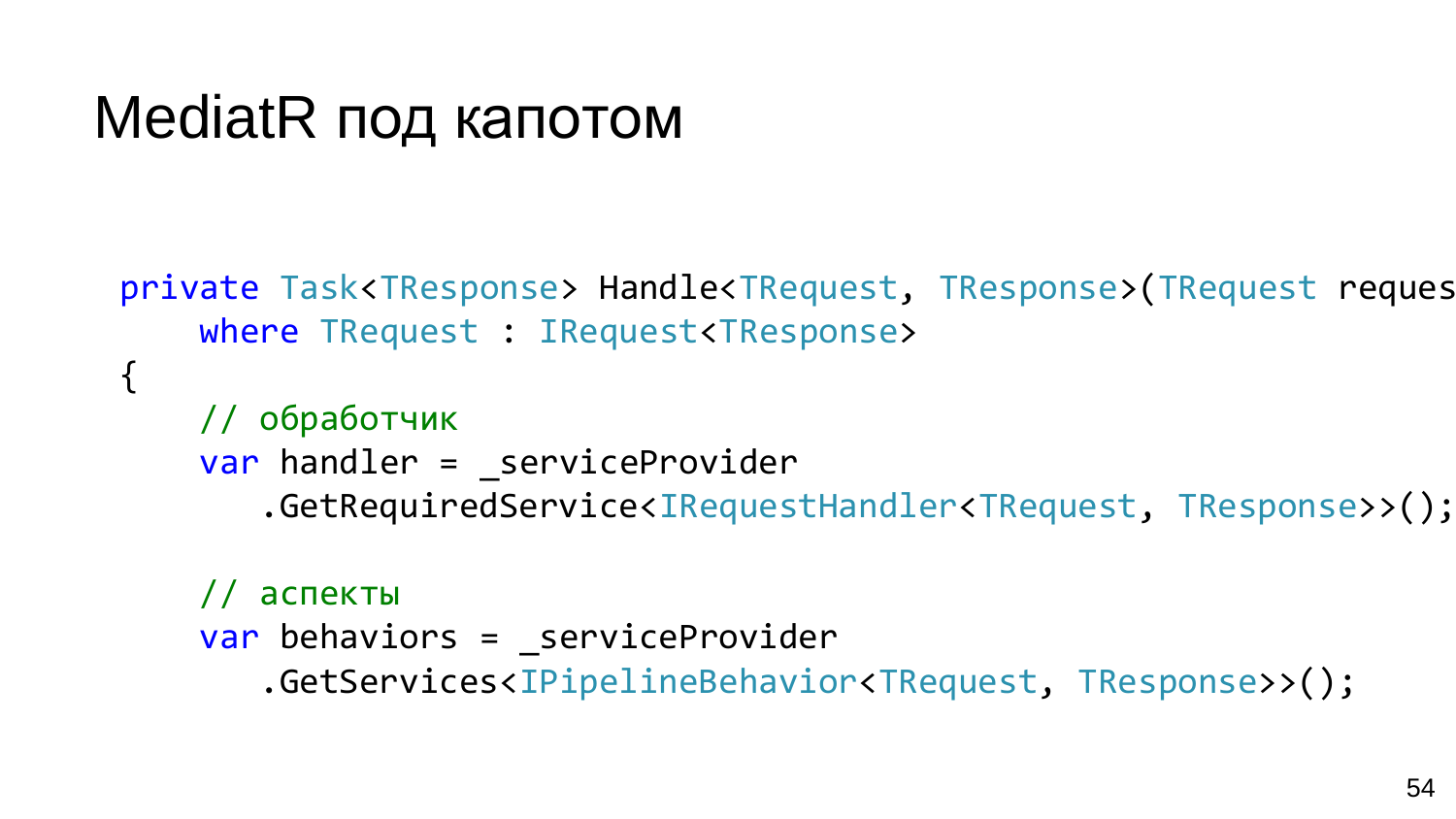#### MediatR под капотом

```
private Task<TResponse> Handle<TRequest, TResponse>(TRequest request)
    where TRequest : IRequest<TResponse>
\{// обработчик
    var handler = serviceProvider
       .GetRequiredService<IRequestHandler<TRequest, TResponse>>();
    // аспекты
    var behaviors = _serviceProvider
```
.GetServices<IPipelineBehavior<TRequest, TResponse>>();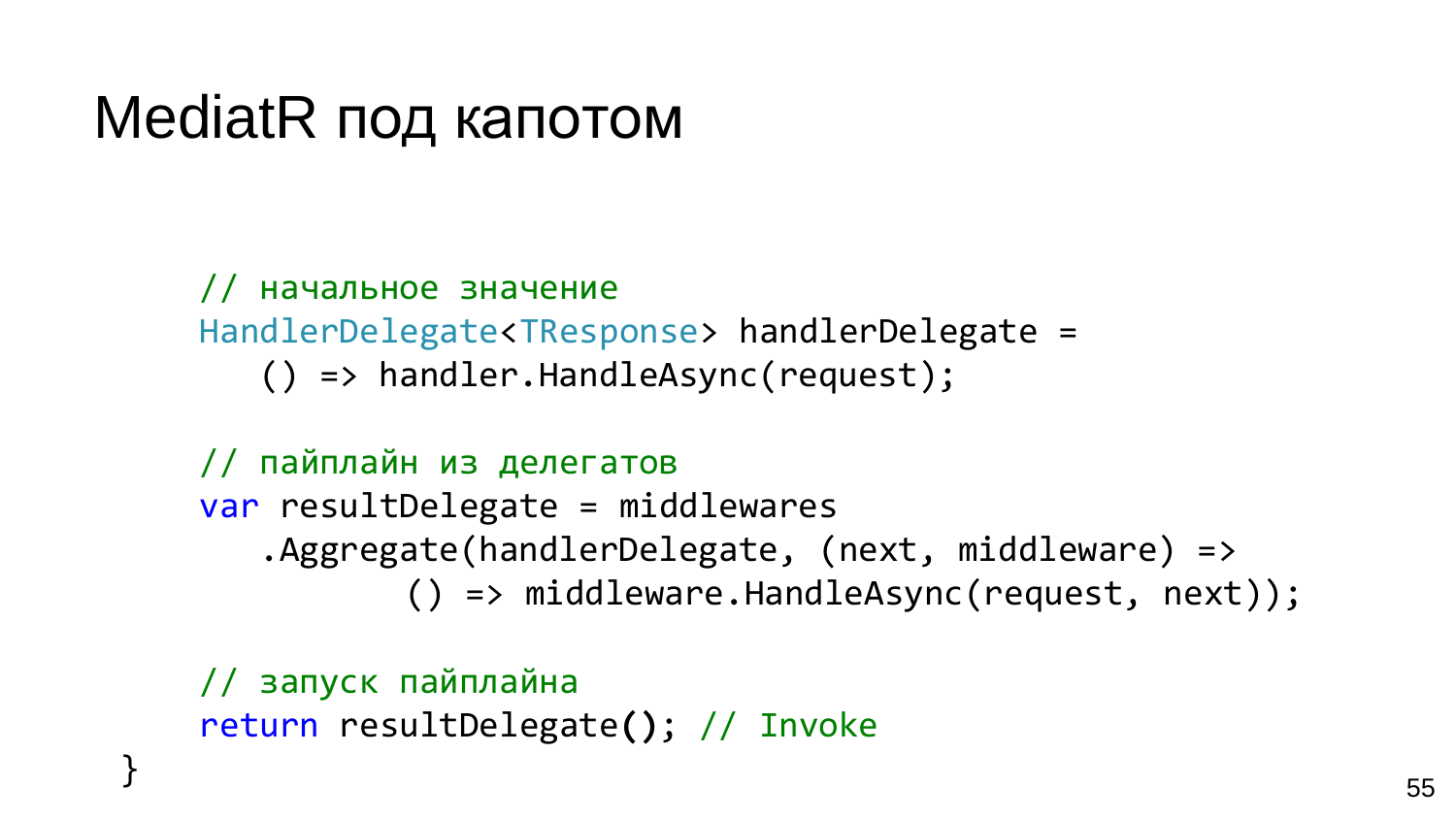#### MediatR под капотом

}

// начальное значение HandlerDelegate<TResponse> handlerDelegate = () => handler.HandleAsync(request);

// пайплайн из делегатов var resultDelegate = middlewares .Aggregate(handlerDelegate, (next, middleware) => () => middleware.HandleAsync(request, next));

// запуск пайплайна return resultDelegate**()**; // Invoke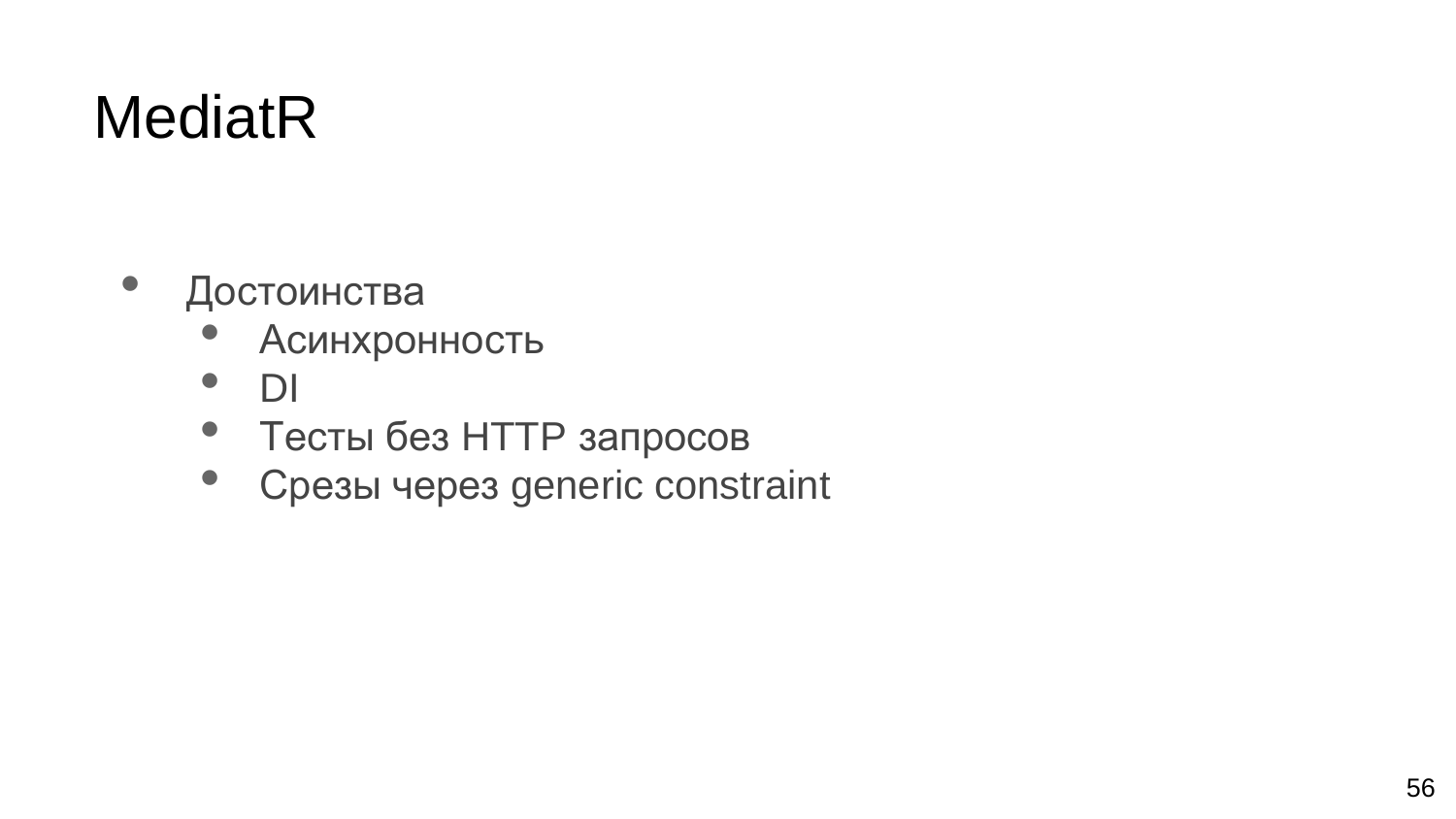#### **MediatR**

- Достоинства
	- Асинхронность
	- DI
	- Тесты без HTTP запросов
	- Срезы через generic constraint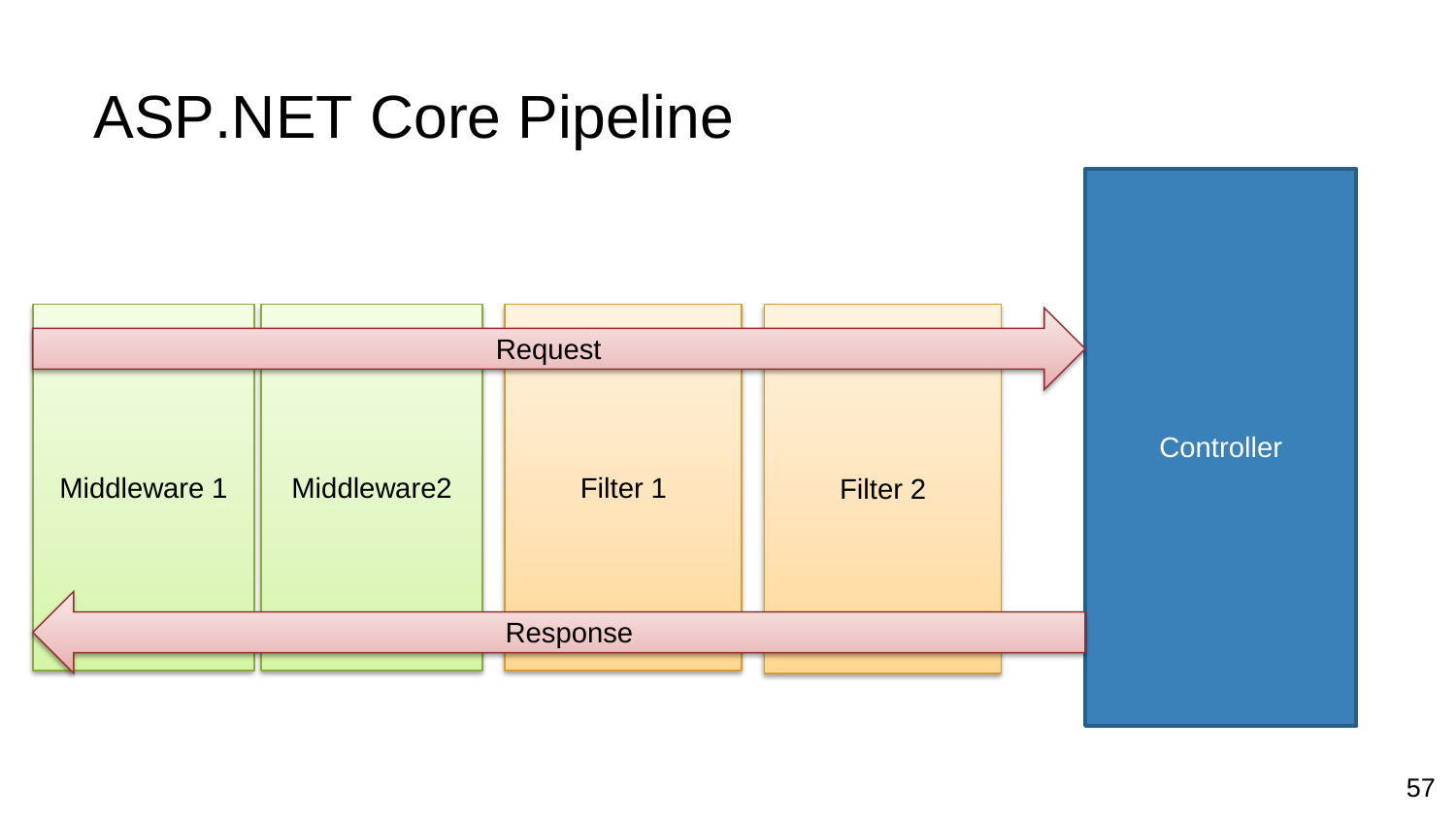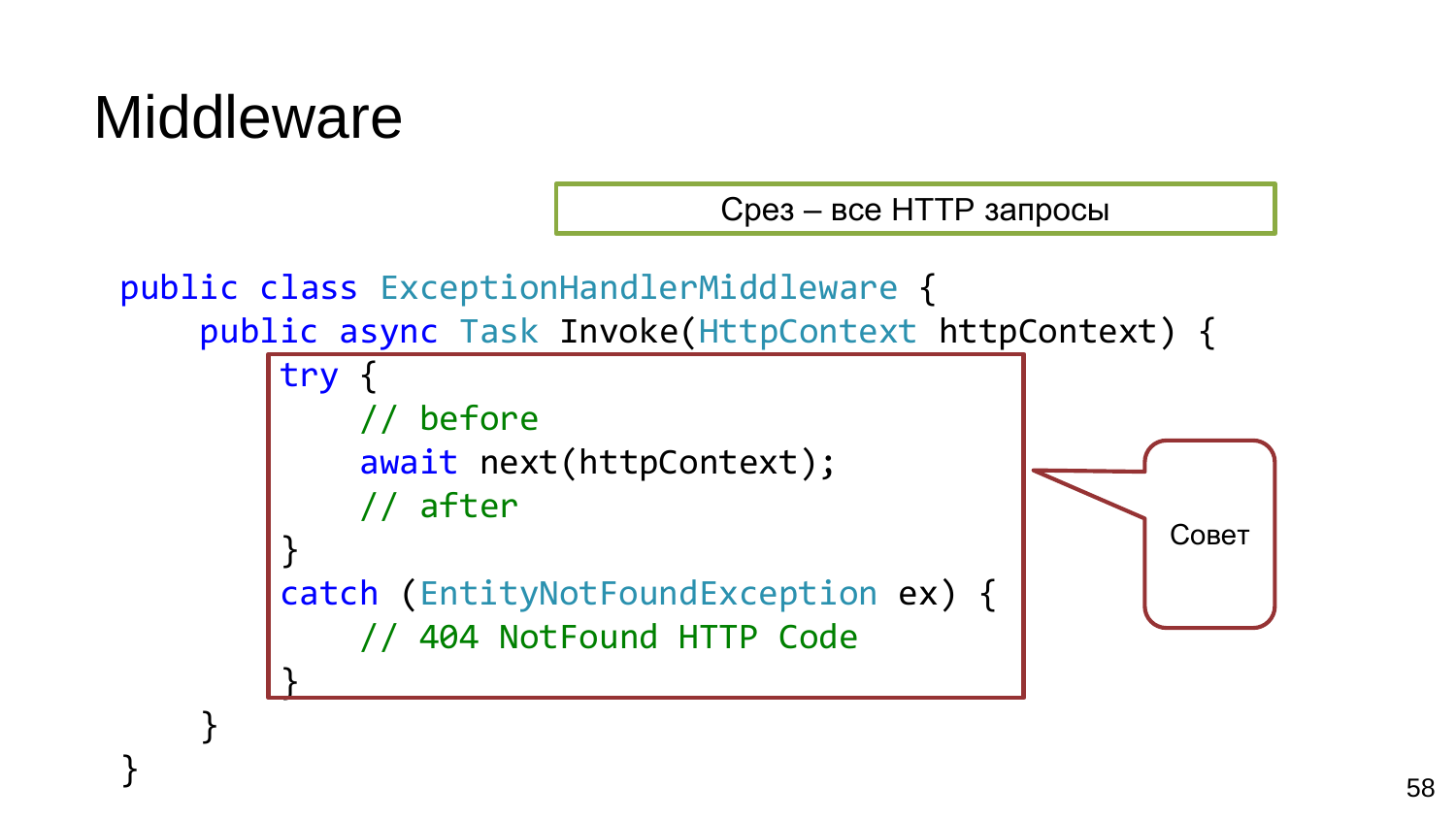#### **Middleware**

}

Срез – все HTTP запросы

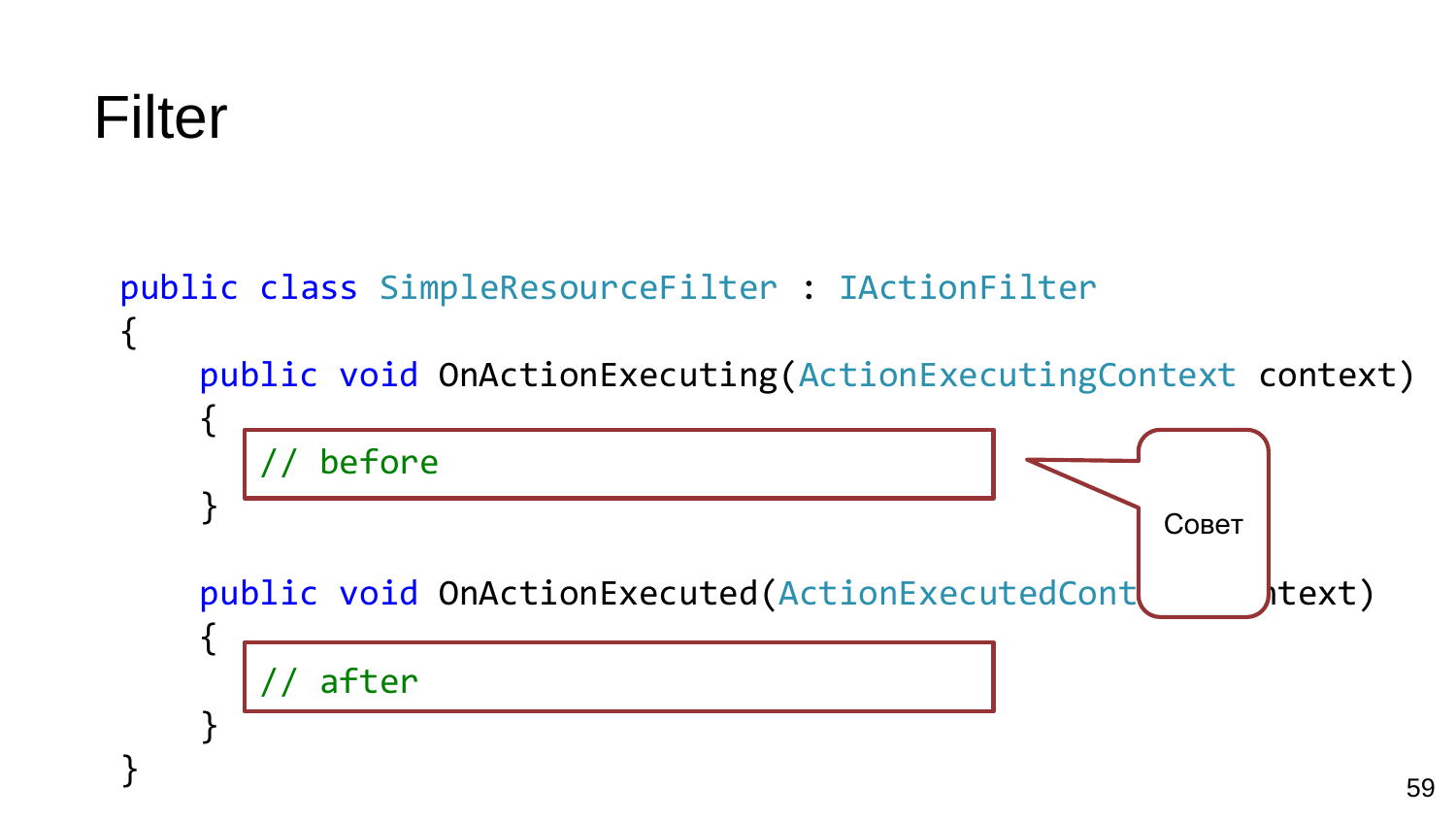```
Filter
```
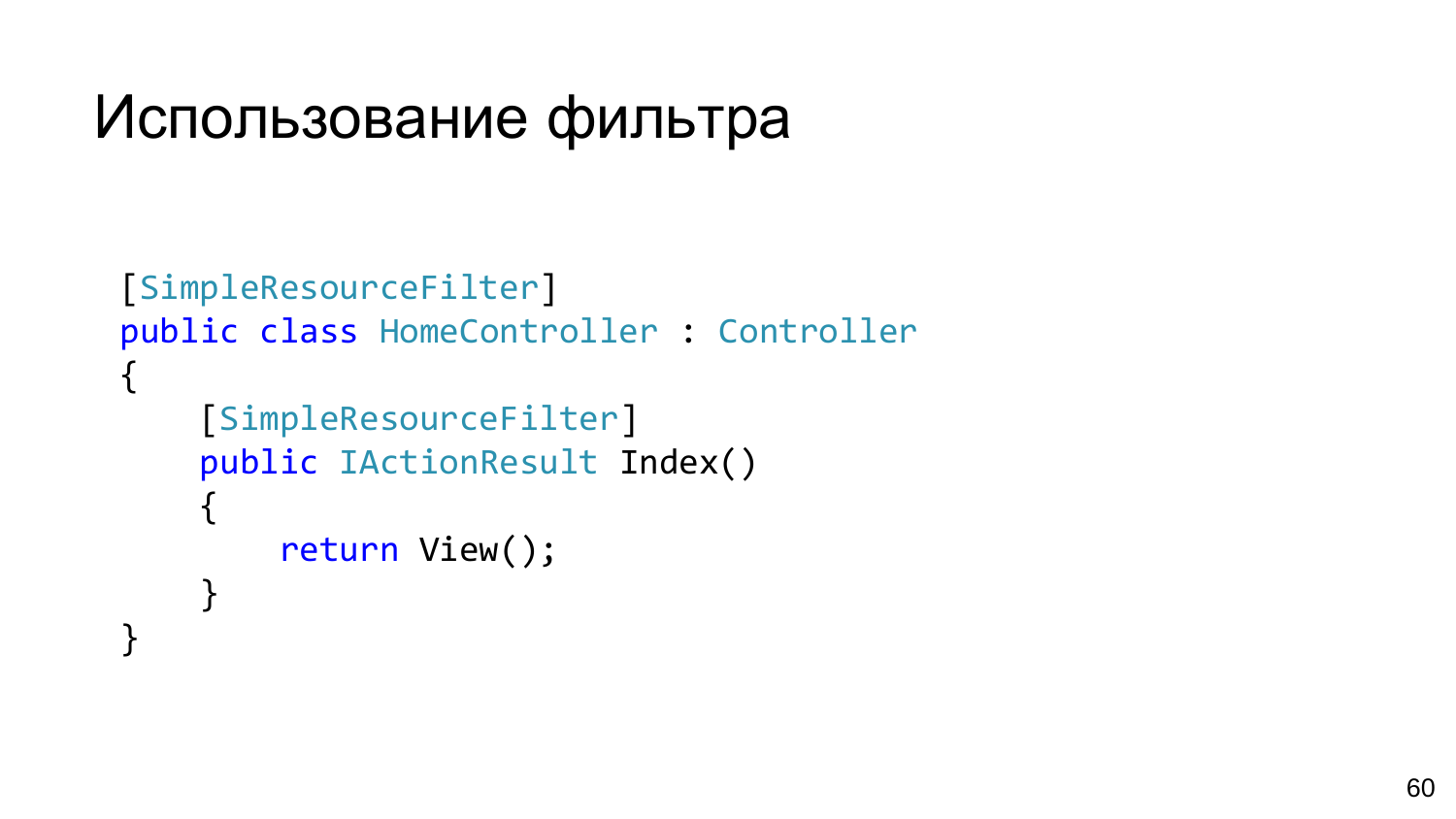#### Использование фильтра

```
[SimpleResourceFilter]
public class HomeController : Controller
{
    [SimpleResourceFilter]
    public IActionResult Index()
    \{return View();
    }
}
```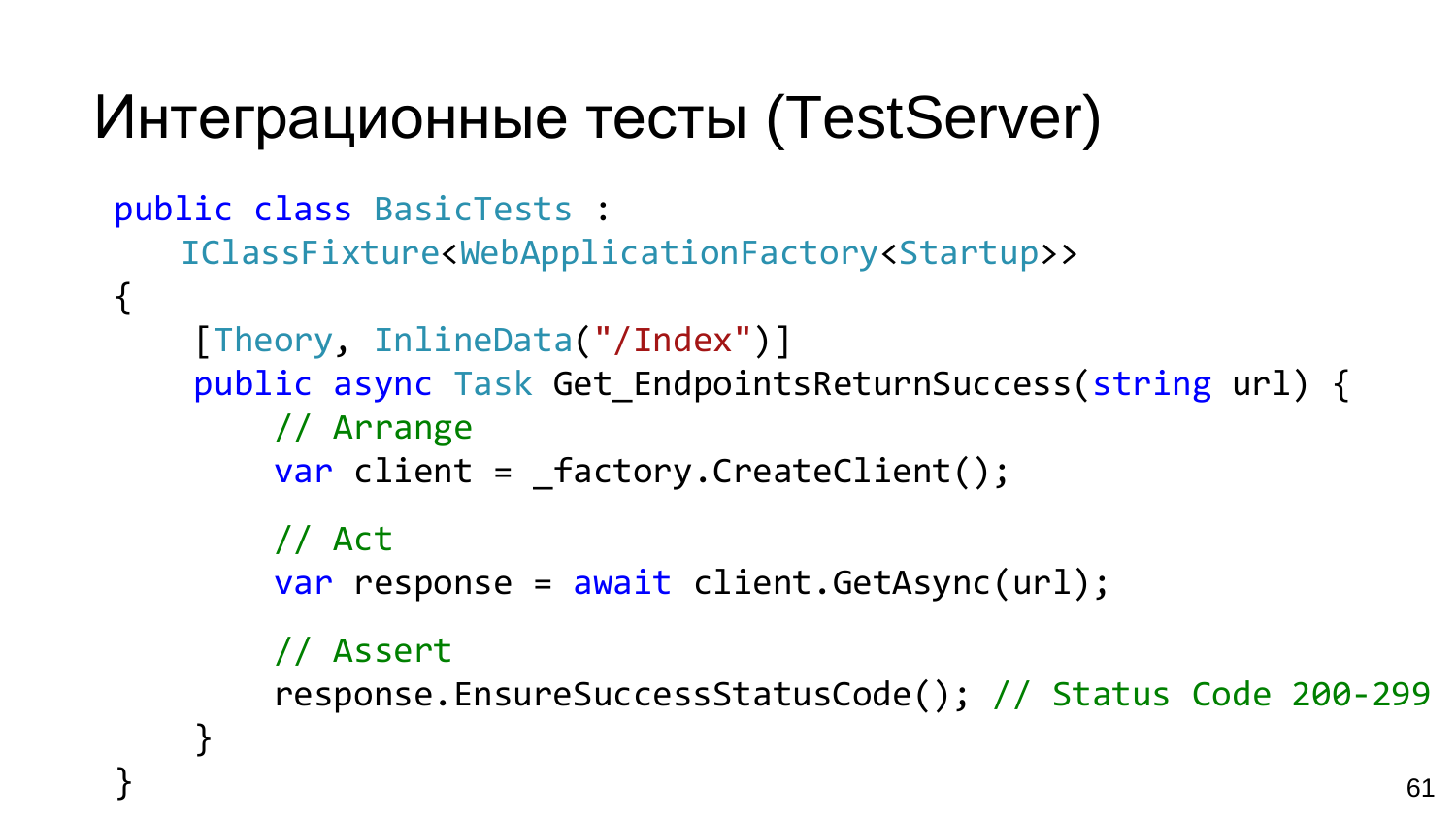## Интеграционные тесты (TestServer)

```
public class BasicTests : 
   IClassFixture<WebApplicationFactory<Startup>> 
{
    [Theory, InlineData("/Index")]
    public async Task Get EndpointsReturnSuccess(string url) {
        // Arrange
        var client = factory.CreateClient();
        // Act
        var response = await client.GetAsync(url);
        // Assert
        response.EnsureSuccessStatusCode(); // Status Code 200-299
    }
```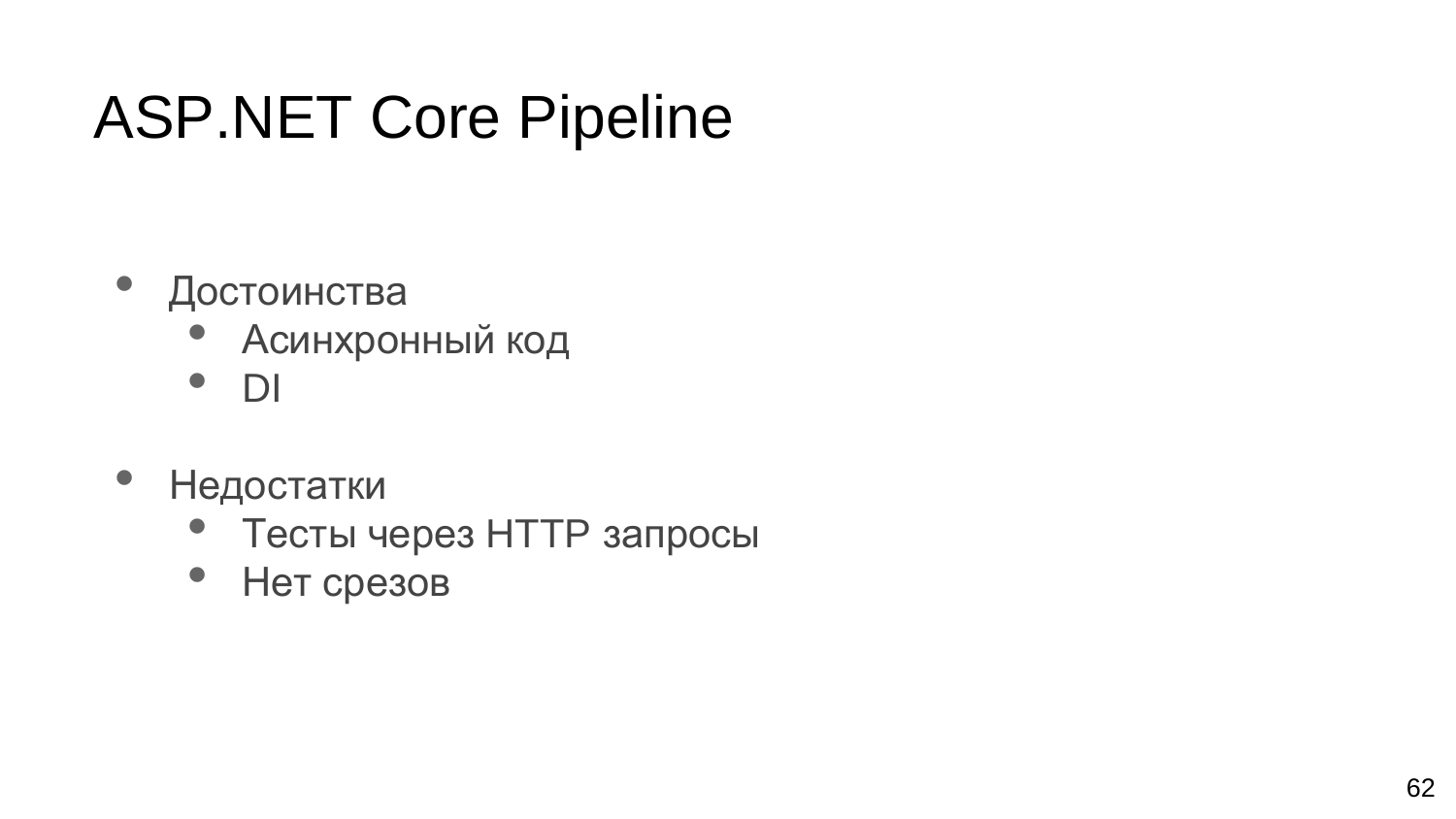## ASP.NET Core Pipeline

- Достоинства
	- Асинхронный код
	- DI
- Недостатки
	- Тесты через HTTP запросы
	- Нет срезов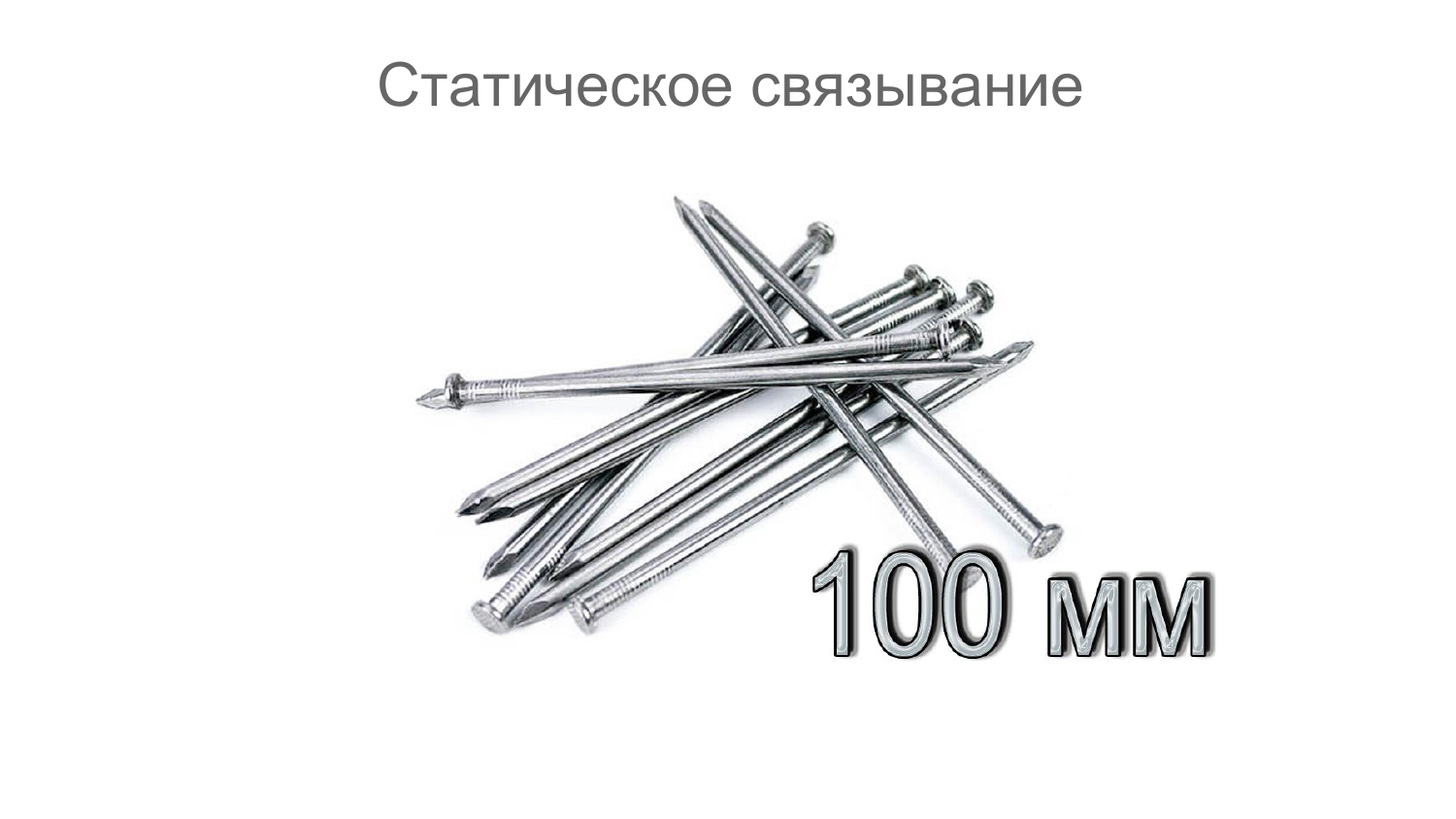#### Статическое связывание

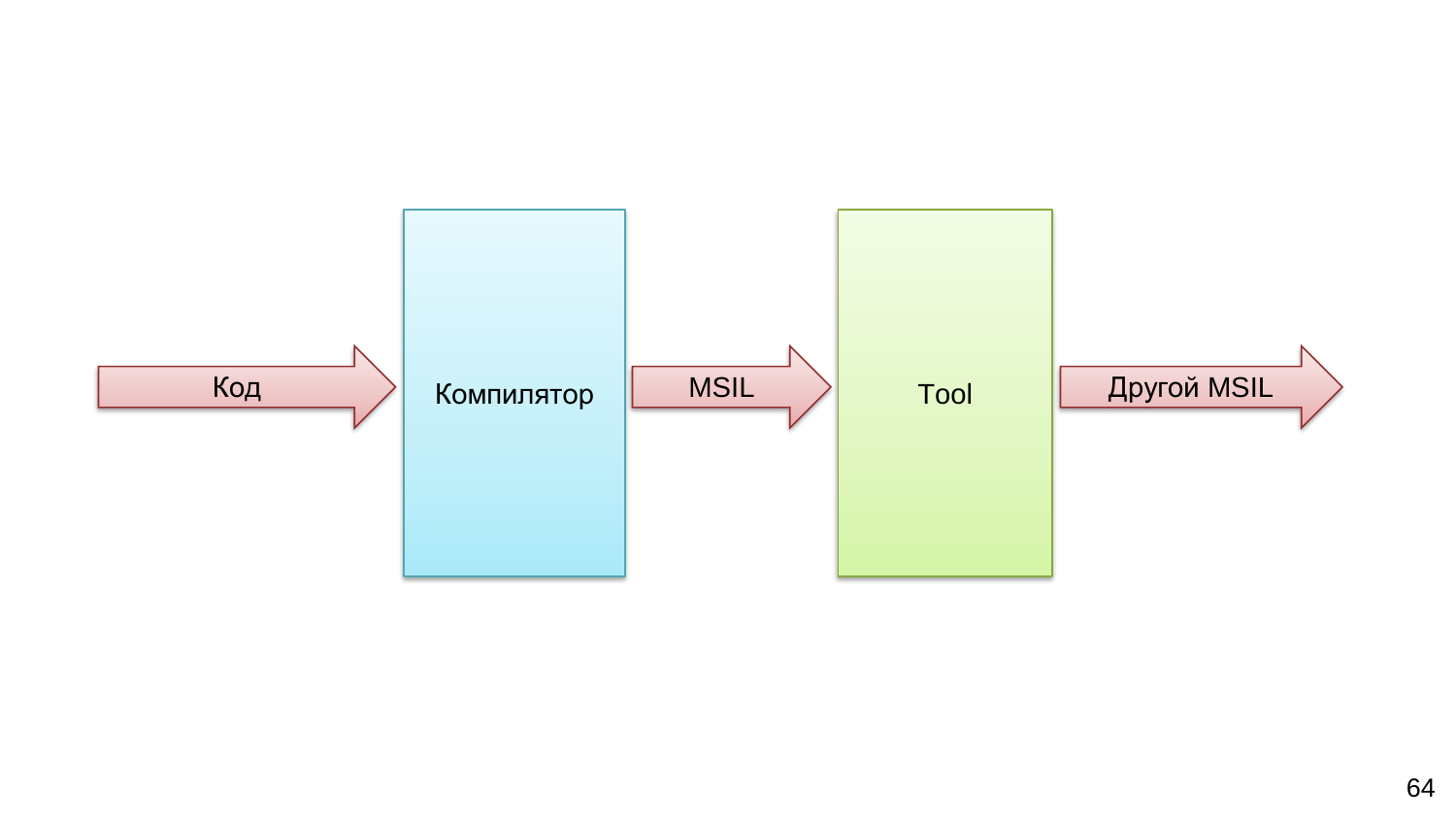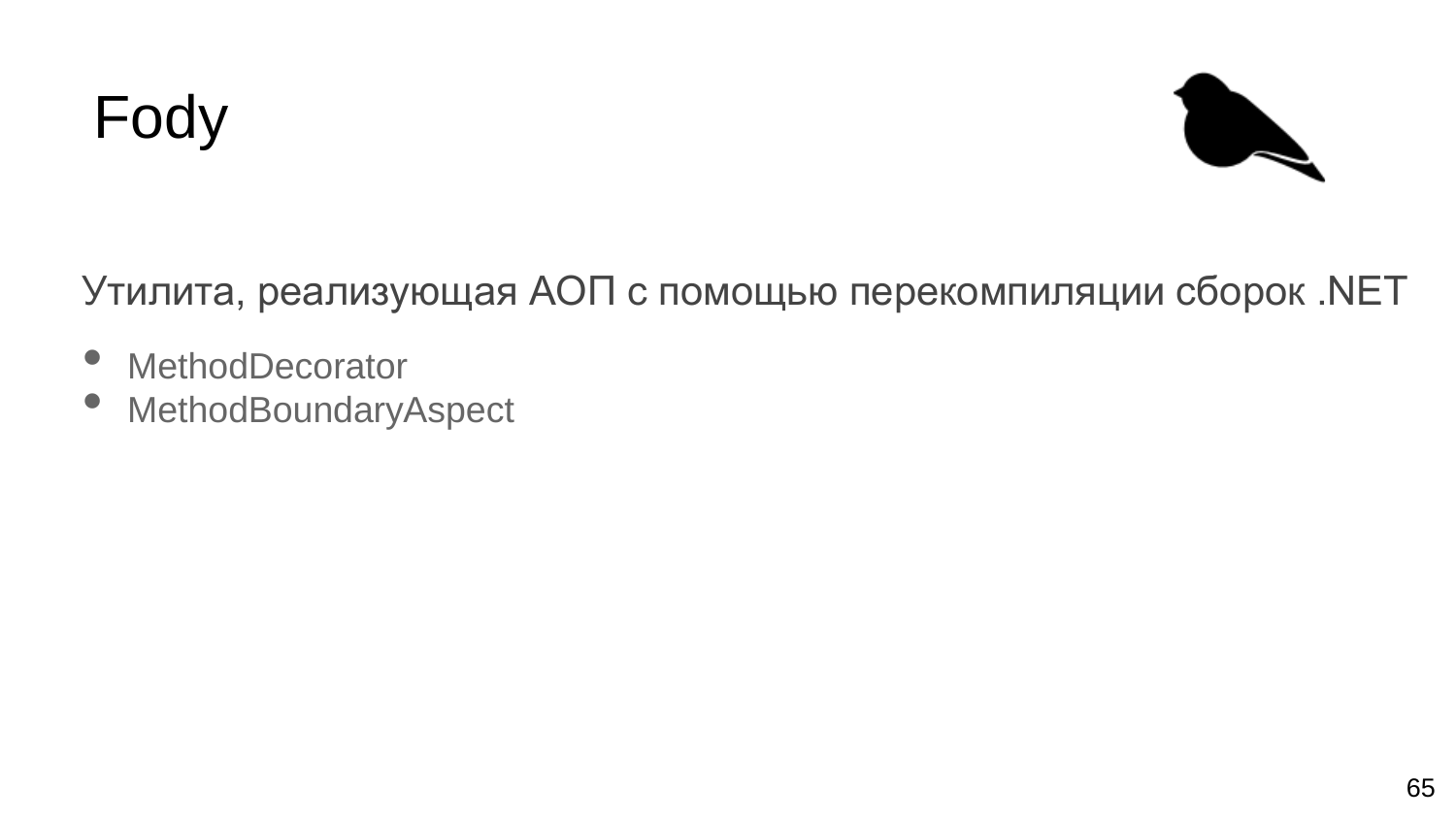



#### Утилита, реализующая АОП с помощью перекомпиляции сборок .NET

- MethodDecorator
- MethodBoundaryAspect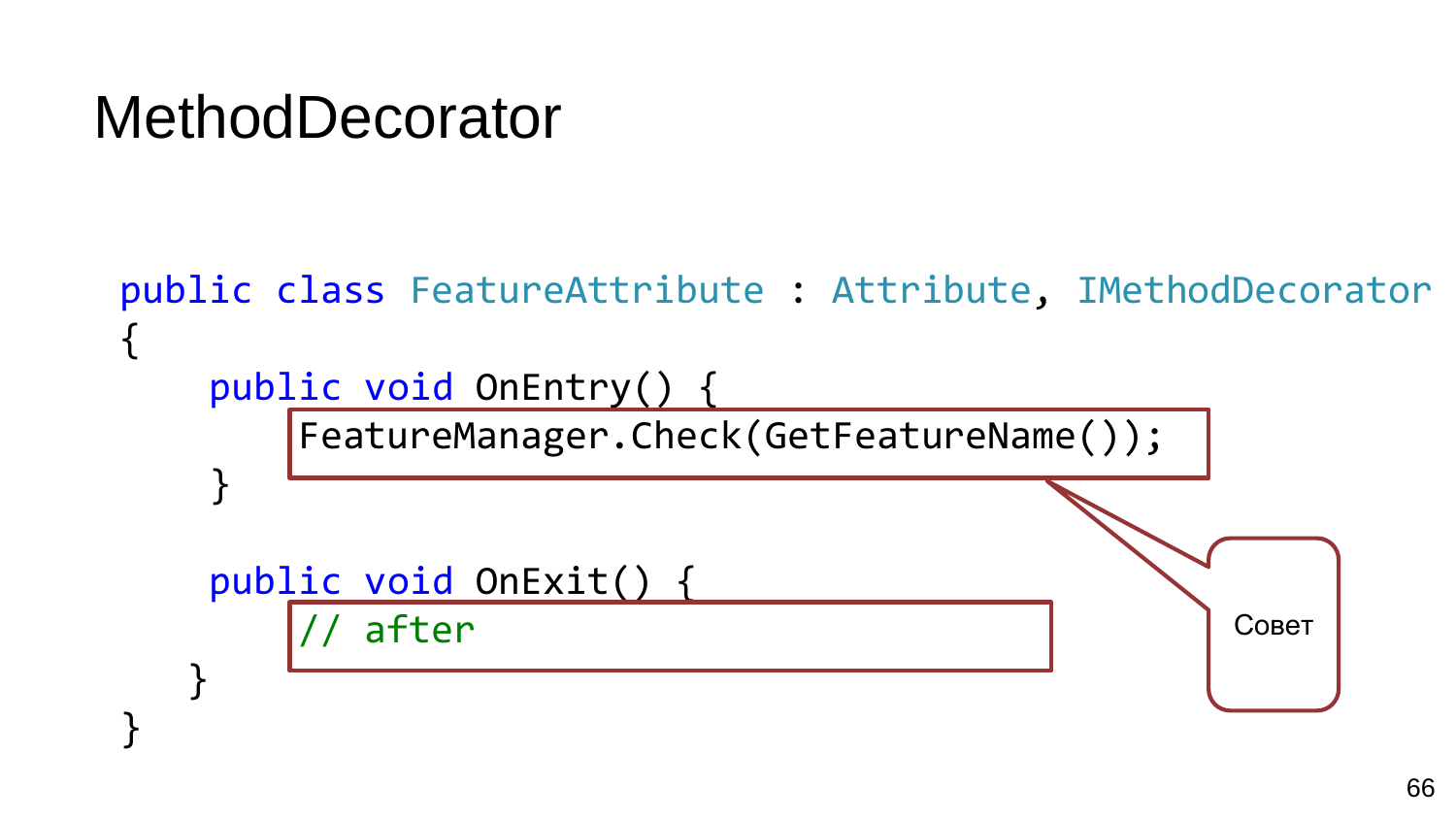#### **MethodDecorator**

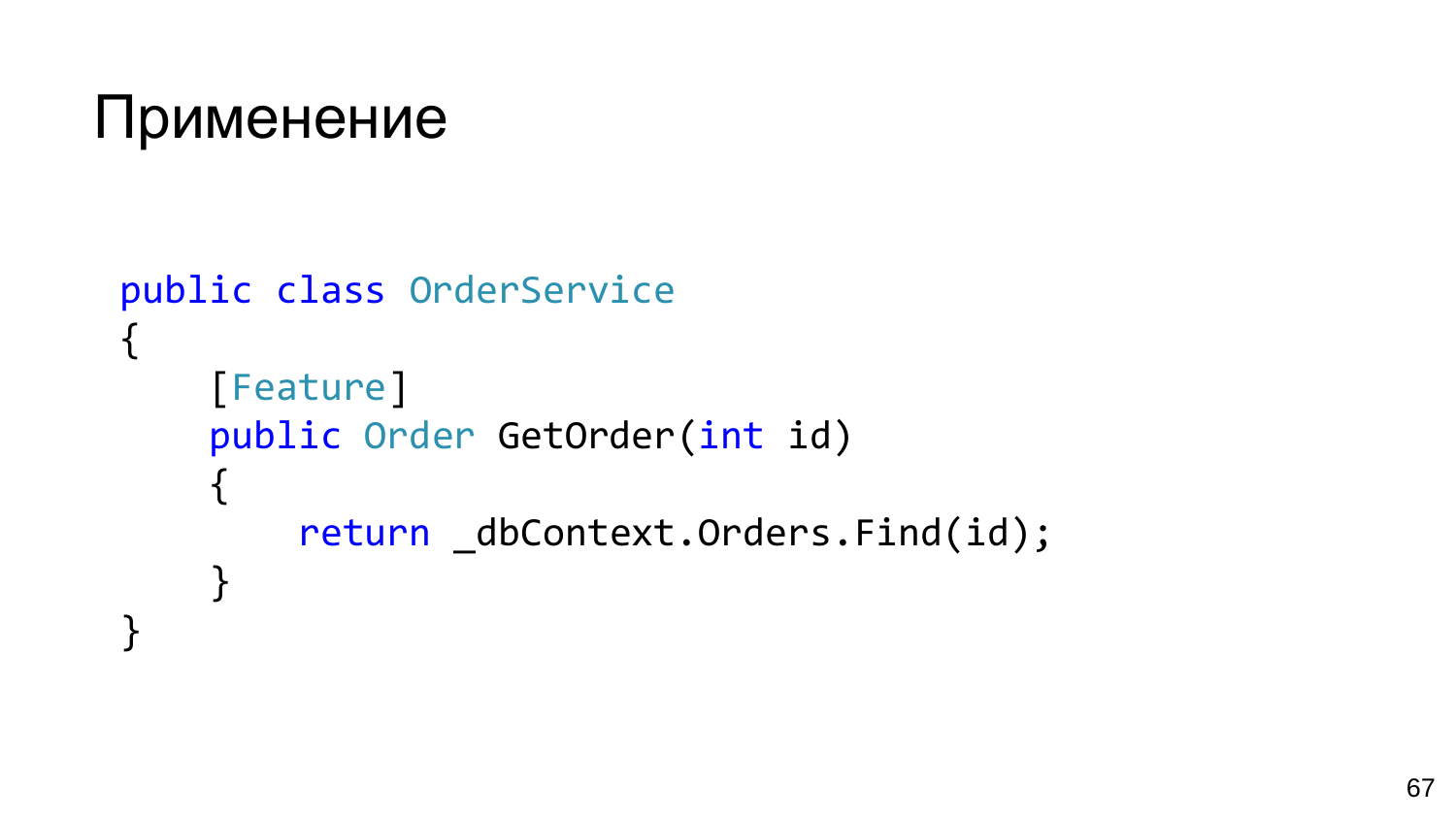```
Применение
```

```
public class OrderService
{
    [Feature]
    public Order GetOrder(int id)
    \{return _dbContext.Orders.Find(id);
    }
}
```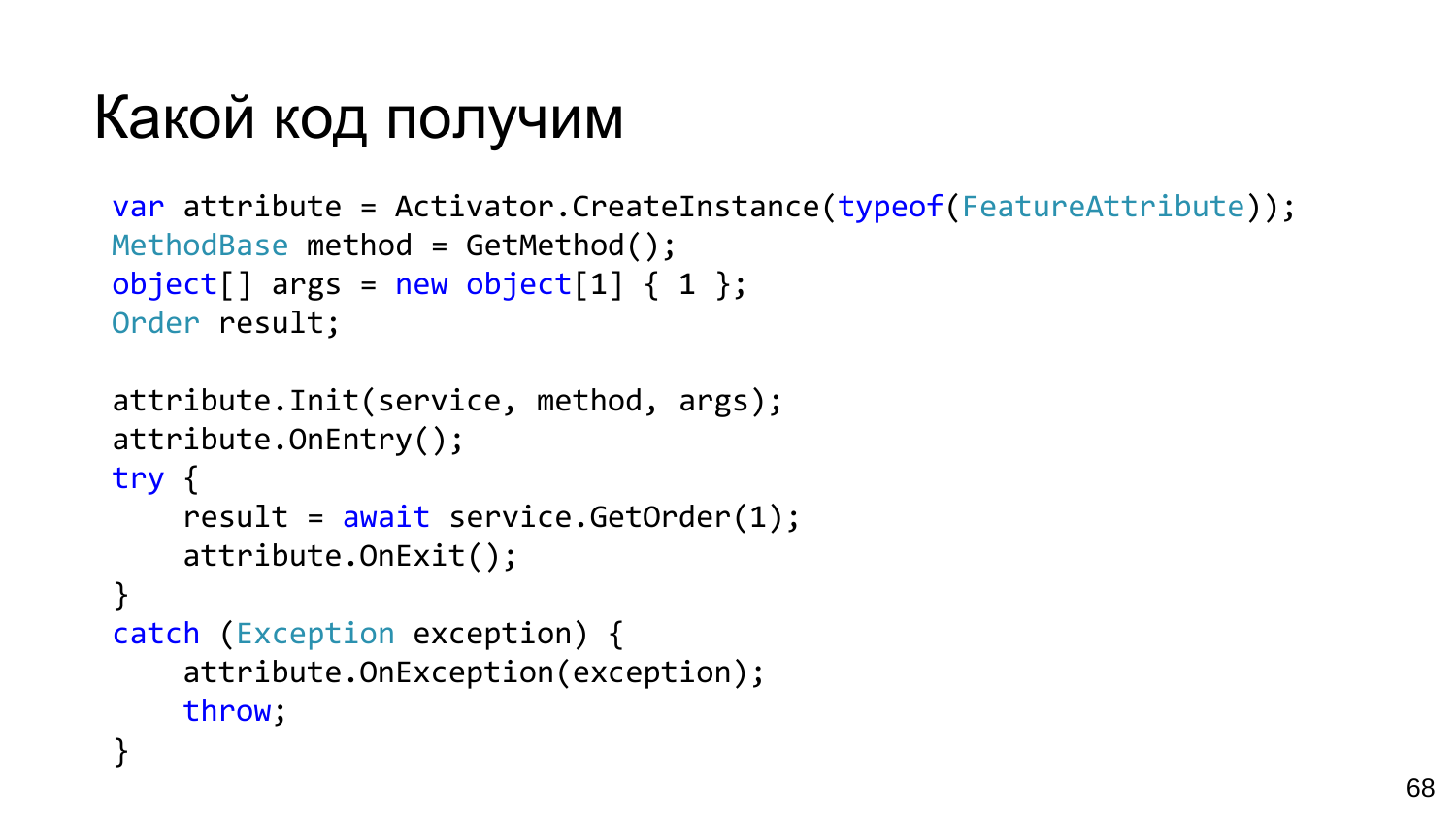## Какой код получим

throw;

attribute.OnException(exception);

```
var attribute = Activator. CreateInstance(typeof(FeatureAttribute));
MethodBase method = GetMethod();
object[] args = new object[1] \{ 1 \};
Order result;
attribute. Init (service, method, args);
attribute. OnEntry();
try \{result = await service.GetOrder(1);attribute.OnExit();
ł
catch (Exception exception) {
```

```
68
```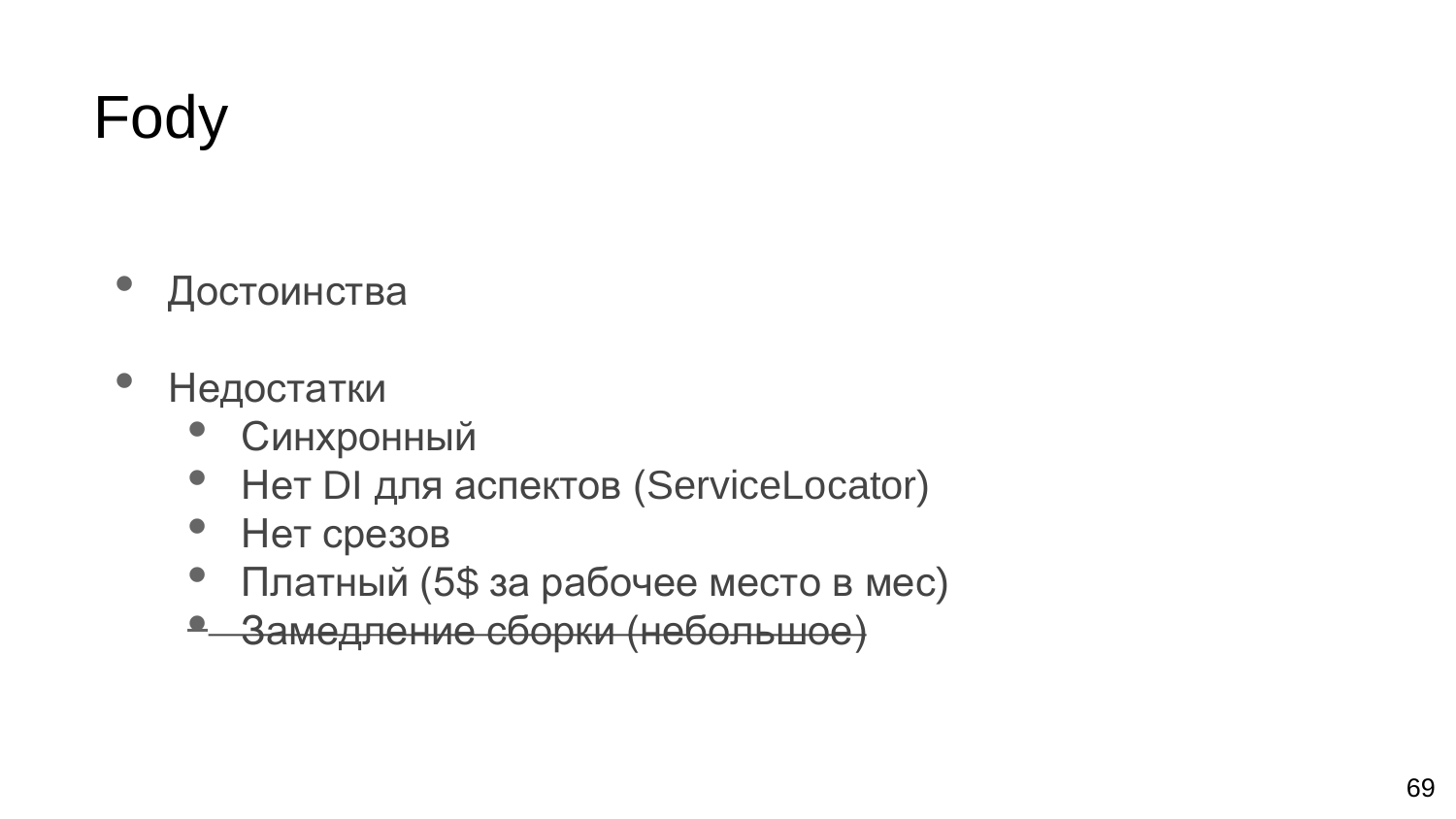## Fody

- Достоинства
- Недостатки
	- Синхронный
	- Нет DI для аспектов (ServiceLocator)
	- Нет срезов
	- Платный (5\$ за рабочее место в мес)
	- Замедление сборки (небольшое)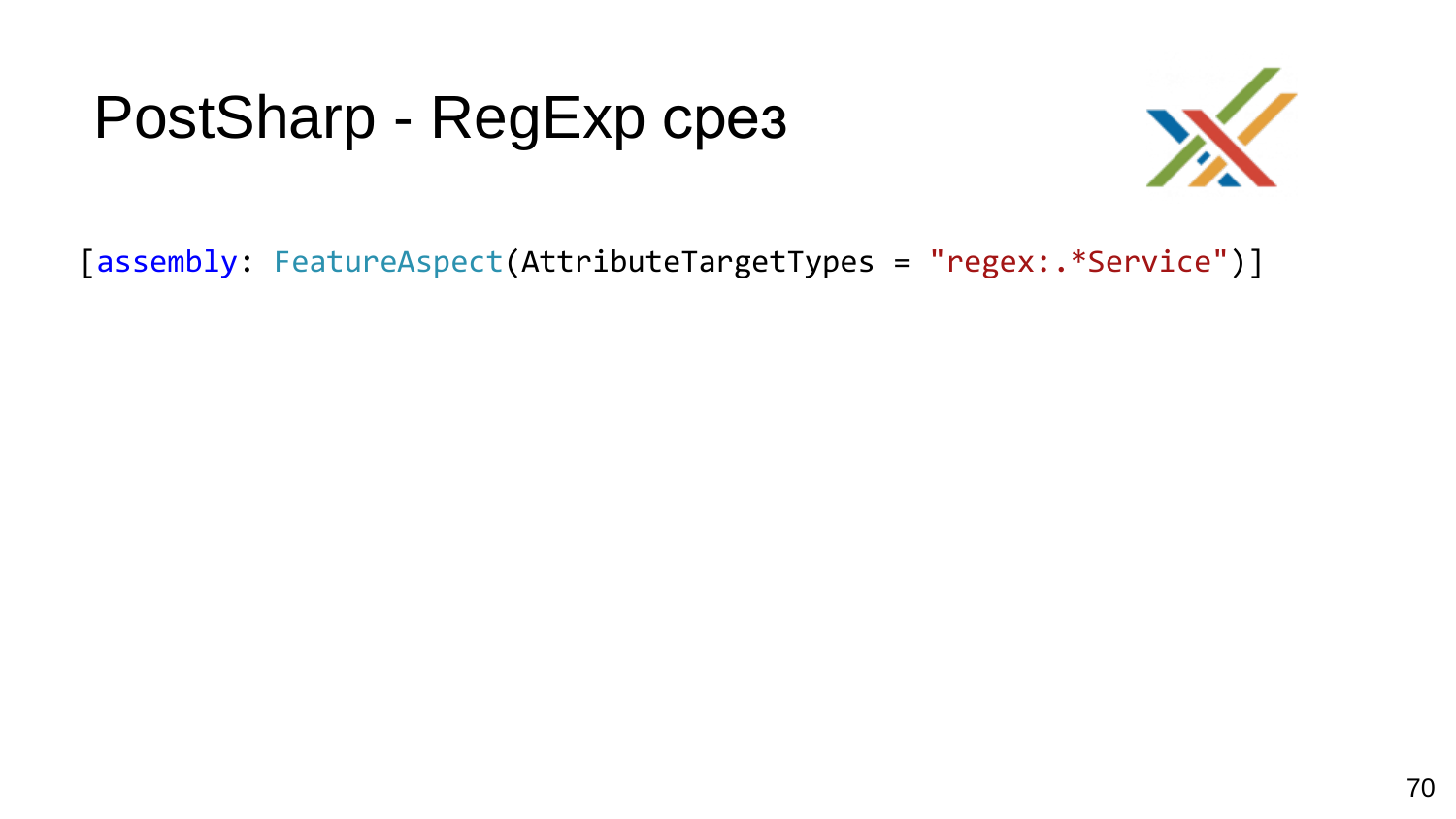## PostSharp - RegExp cpes



[assembly: FeatureAspect(AttributeTargetTypes = "regex:. \*Service")]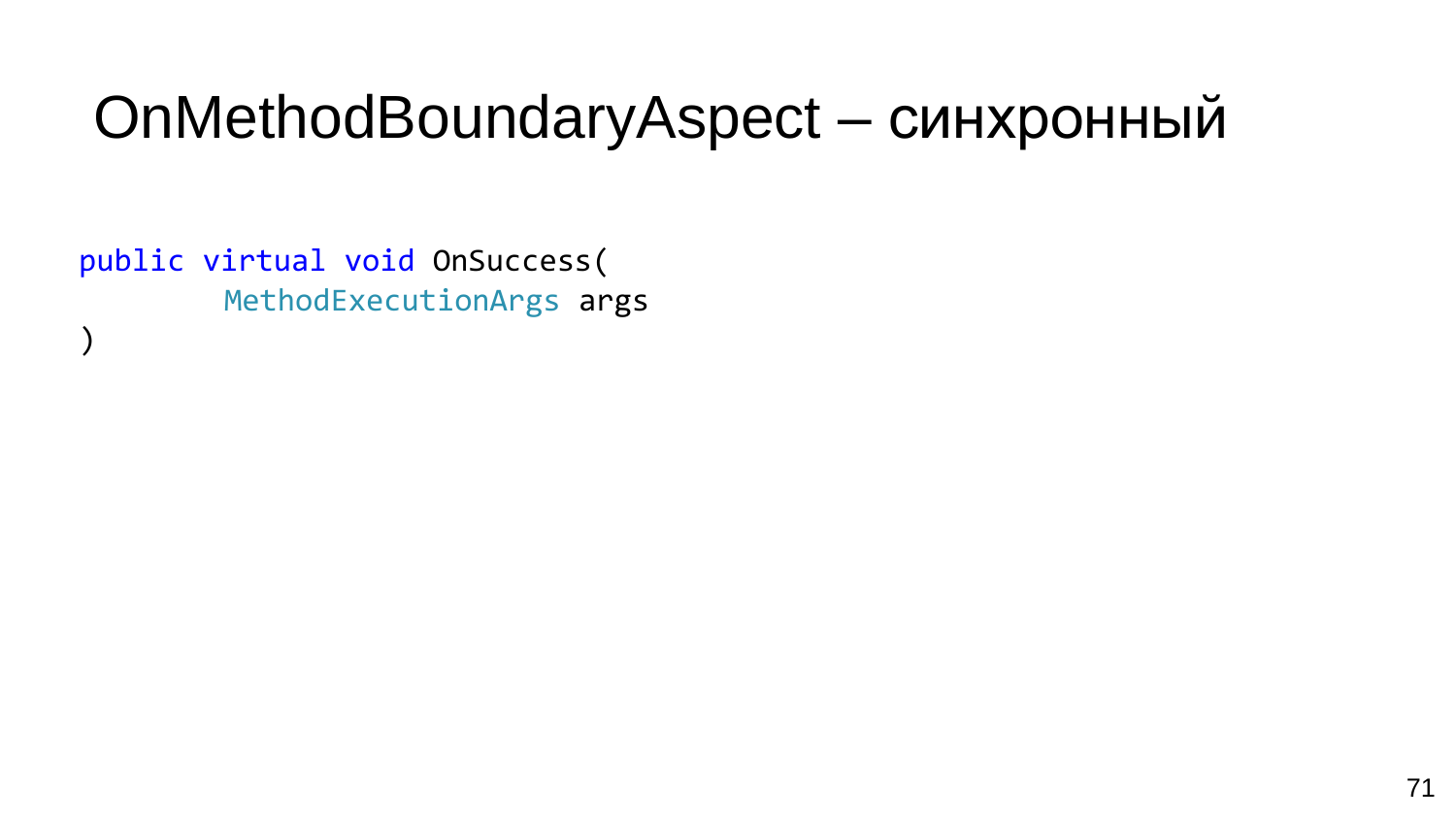#### OnMethodBoundaryAspect - синхронный

public virtual void OnSuccess( MethodExecutionArgs args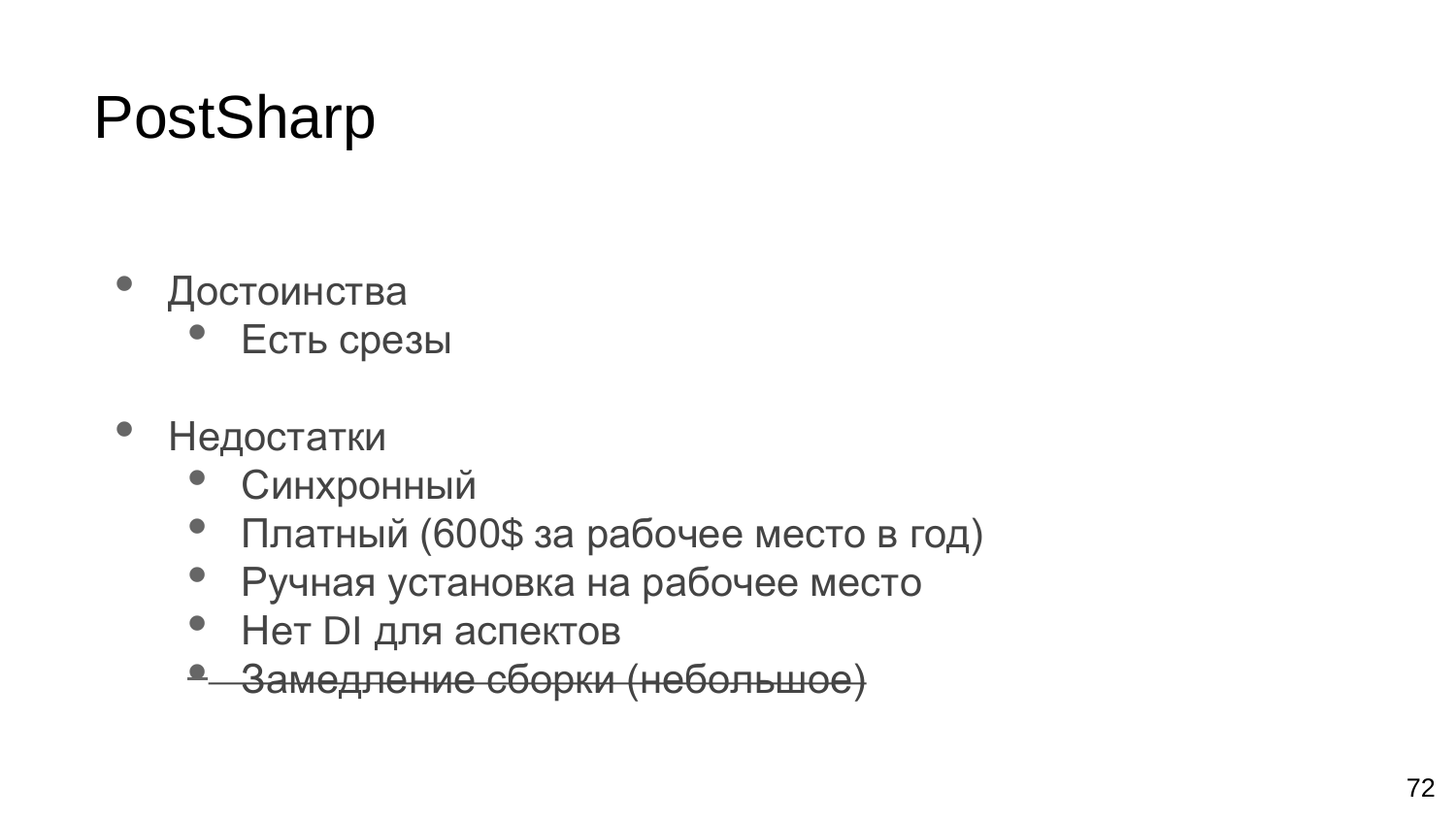## PostSharp

- Достоинства
	- Есть срезы
- Недостатки
	- Синхронный
	- Платный (600\$ за рабочее место в год)
	- Ручная установка на рабочее место
	- Нет DI для аспектов
	- Замедление сборки (небольшое)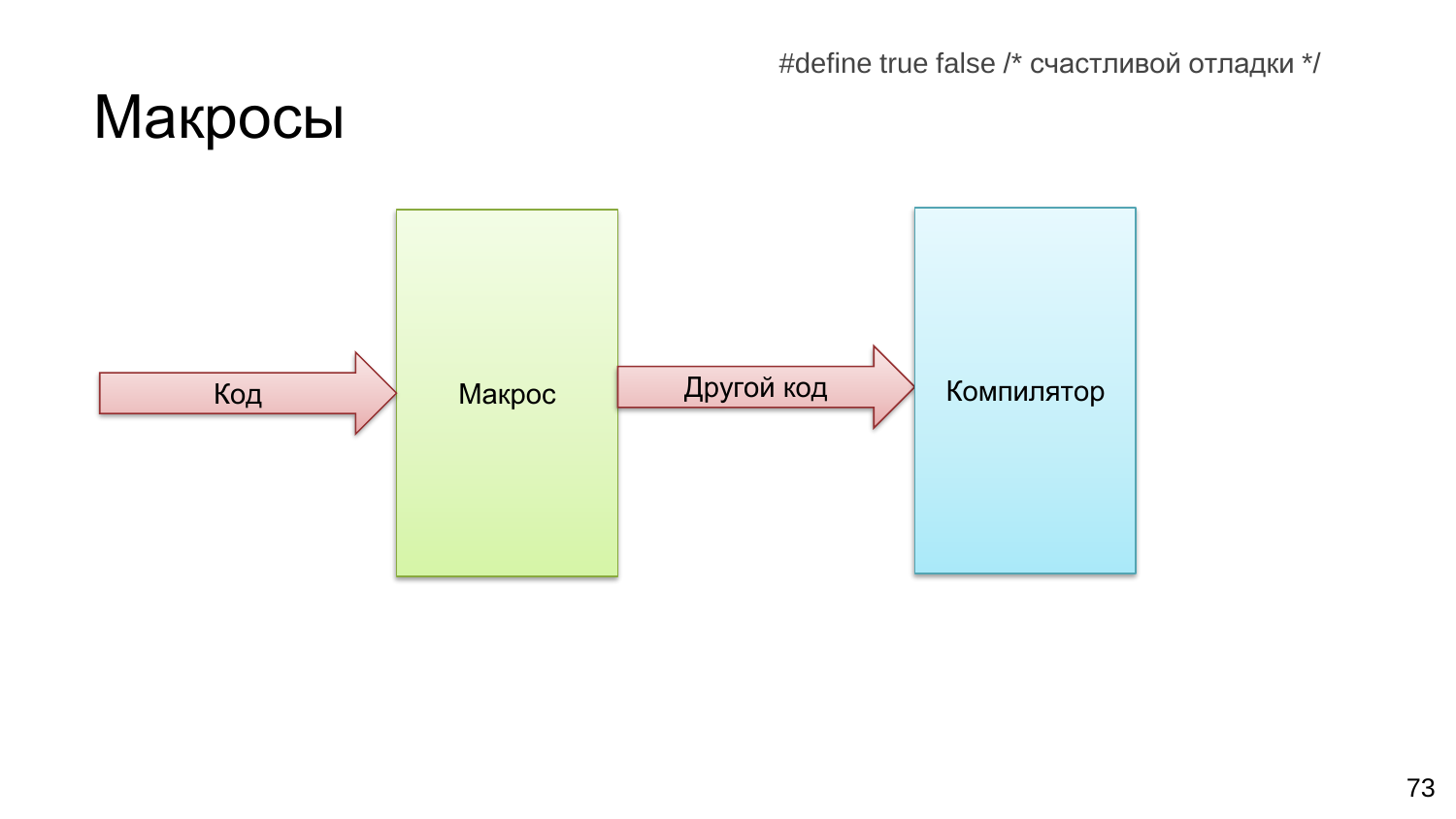#define true false /\* счастливой отладки \*/

# Макросы Код Макрос Другой код Компилятор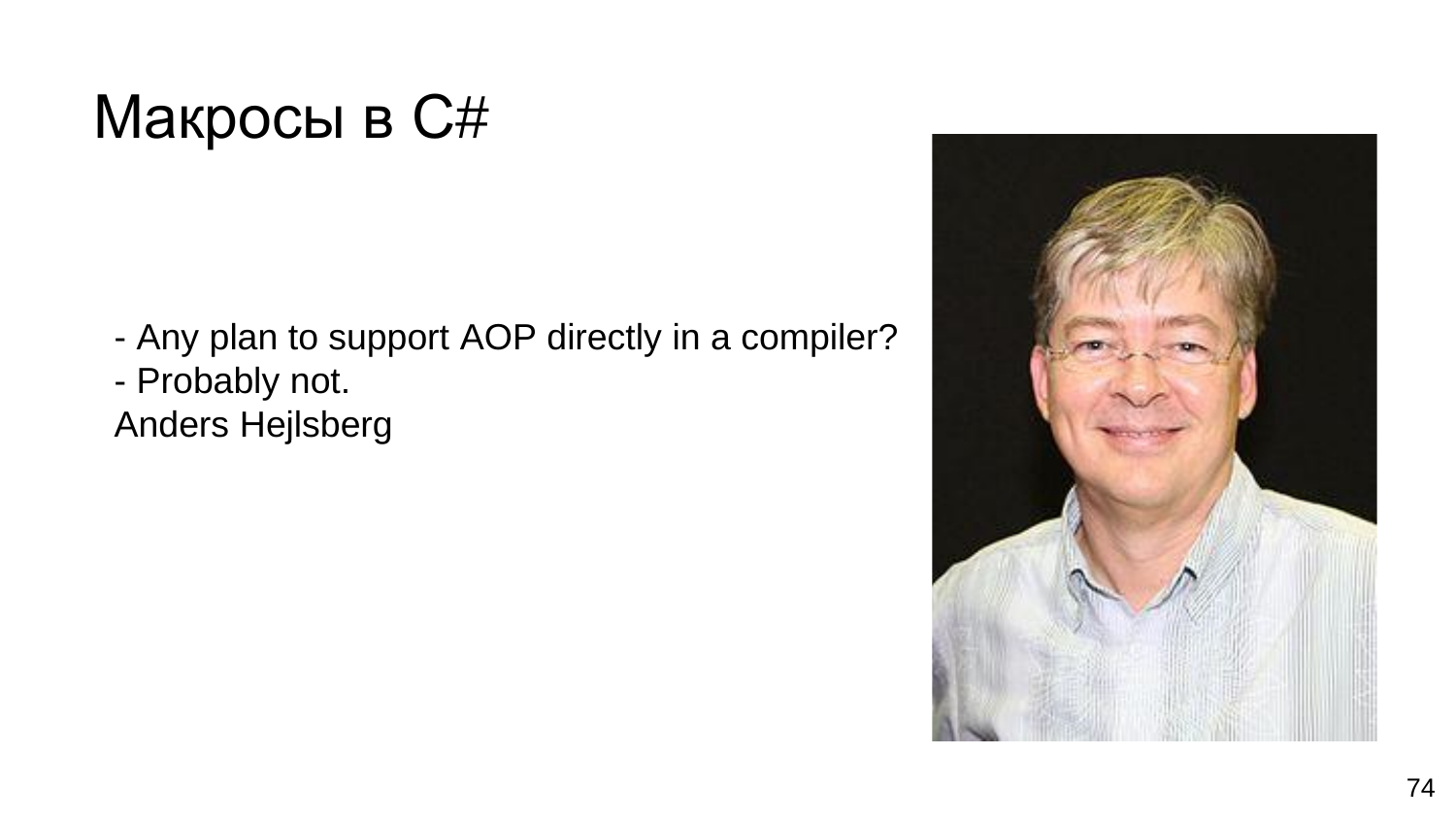## Макросы в С#

- Any plan to support AOP directly in a compiler?
- Probably not.
- Anders Hejlsberg

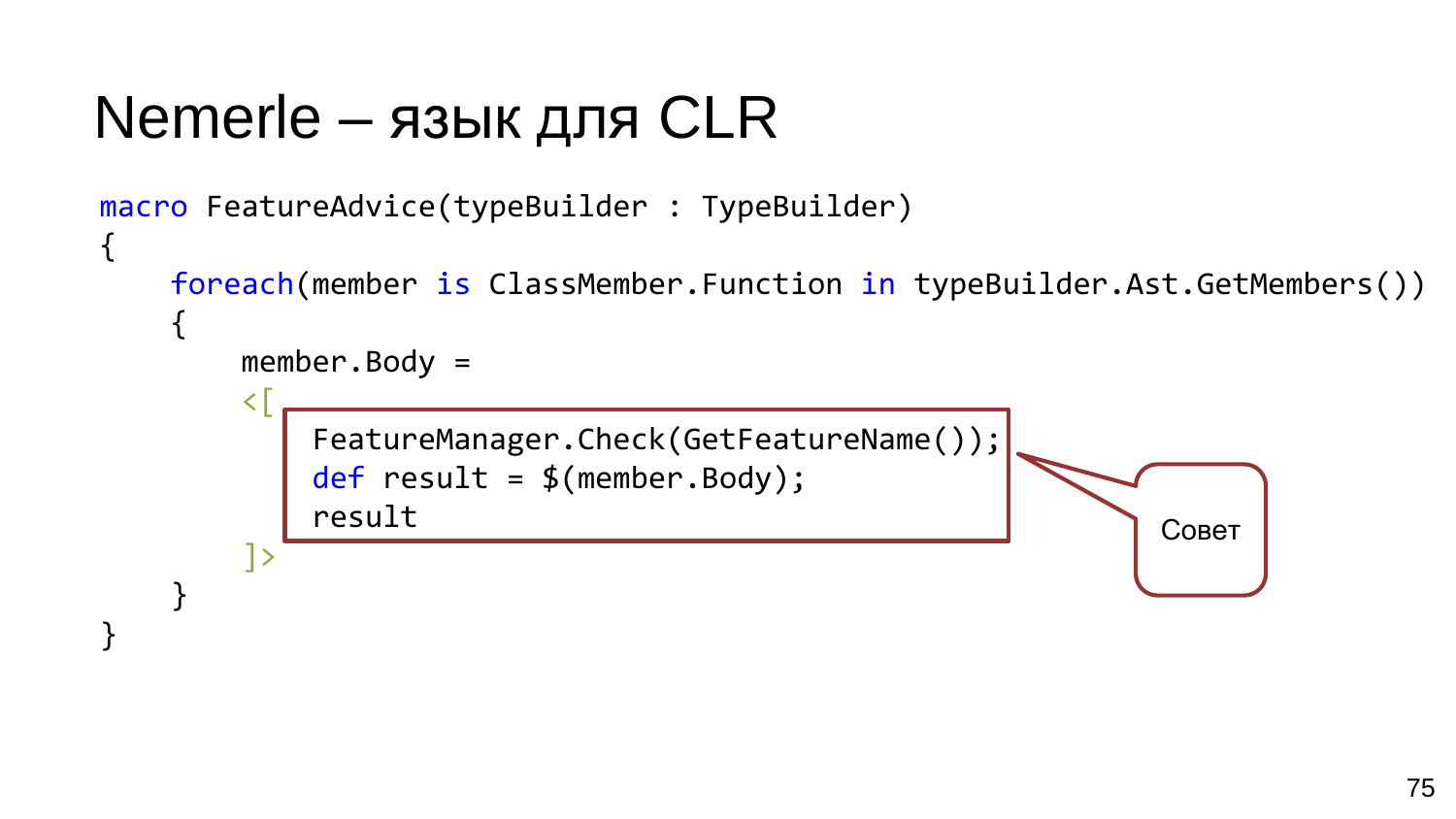### Nemerle - язык для CLR

```
macro FeatureAdvice(typeBuilder : TypeBuilder)
{
    foreach(member is ClassMember.Function in typeBuilder.Ast.GetMembers())
         member. Body =\overline{\left( \right. }%FeatureManager.Check(GetFeatureName());
             def result = $(member.Body);result
                                                                     Совет
         ]>
```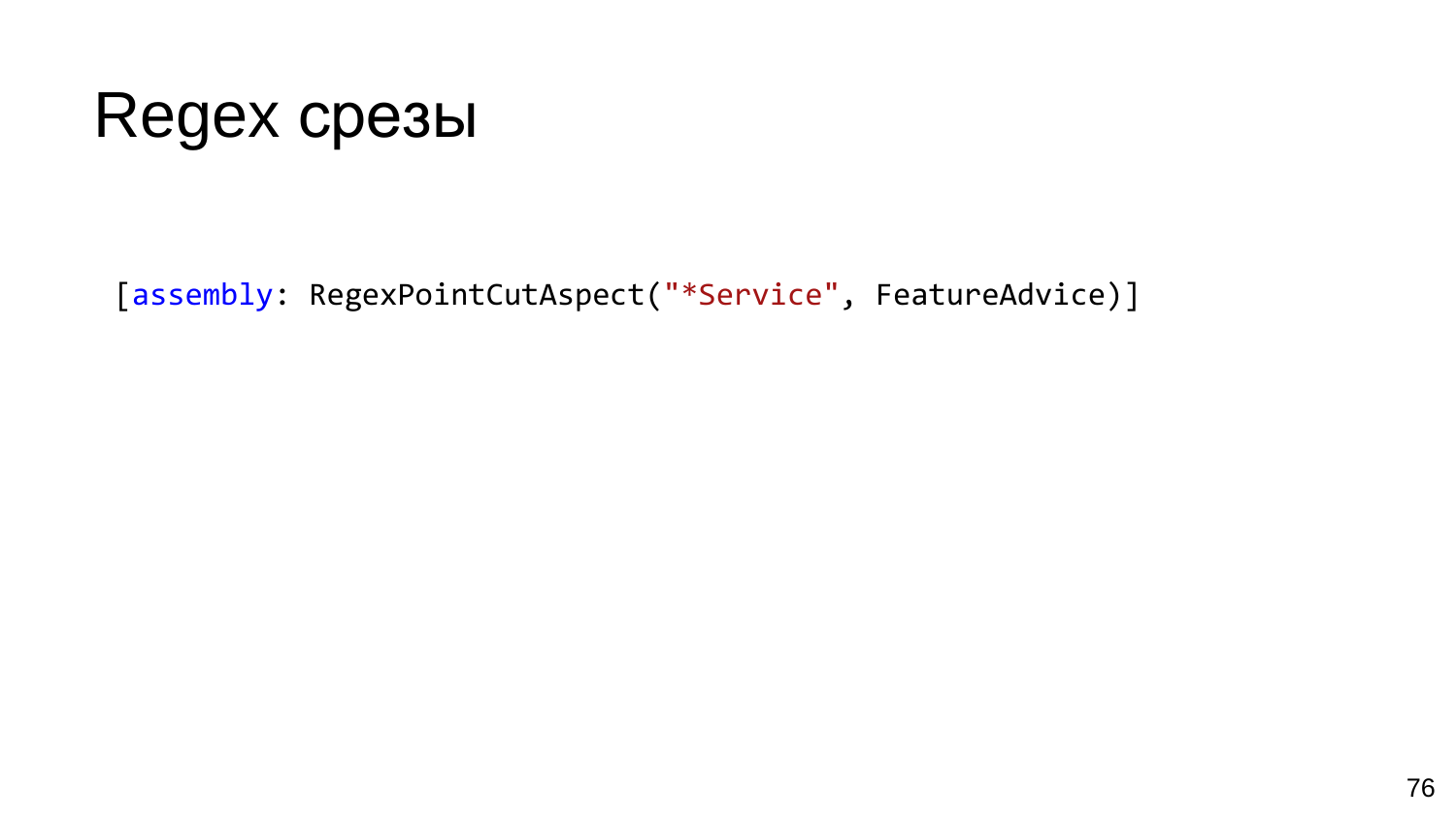## **Regex срезы**

[assembly: RegexPointCutAspect("\*Service", FeatureAdvice)]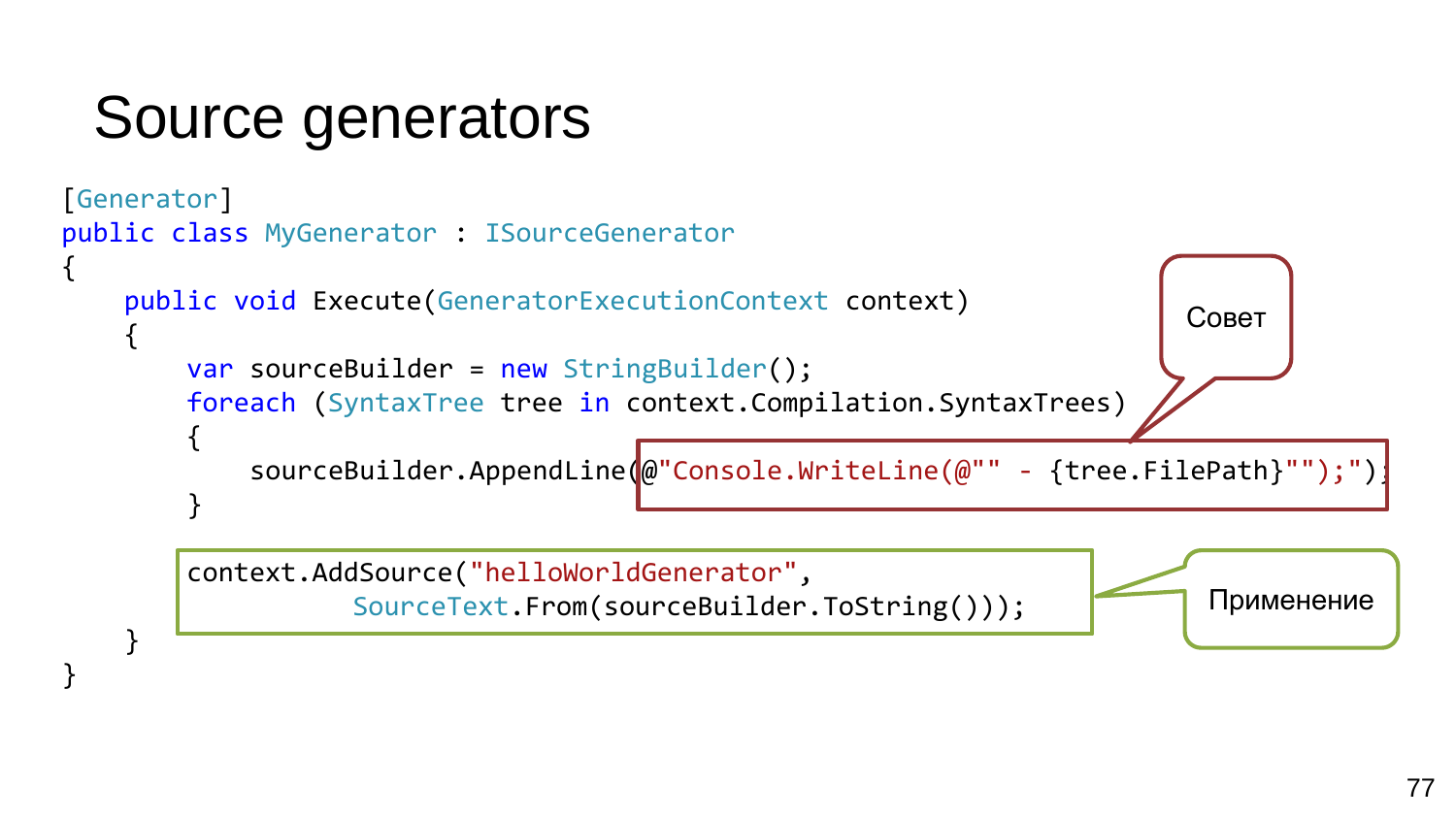## Source generators

}

}

```
[Generator]
public class MyGenerator : ISourceGenerator
{
    public void Execute(GeneratorExecutionContext context)
    {
        var sourceBuilder = new StringBuilder();
        foreach (SyntaxTree tree in context.Compilation.SyntaxTrees)
        {
            sourceBuilder.AppendLine(@"Console.WriteLine(@"" - {tree.FilePath}"");")
        }
                                                                         Совет
```
context.AddSource("helloWorldGenerator", SourceText.From(sourceBuilder.ToString()));

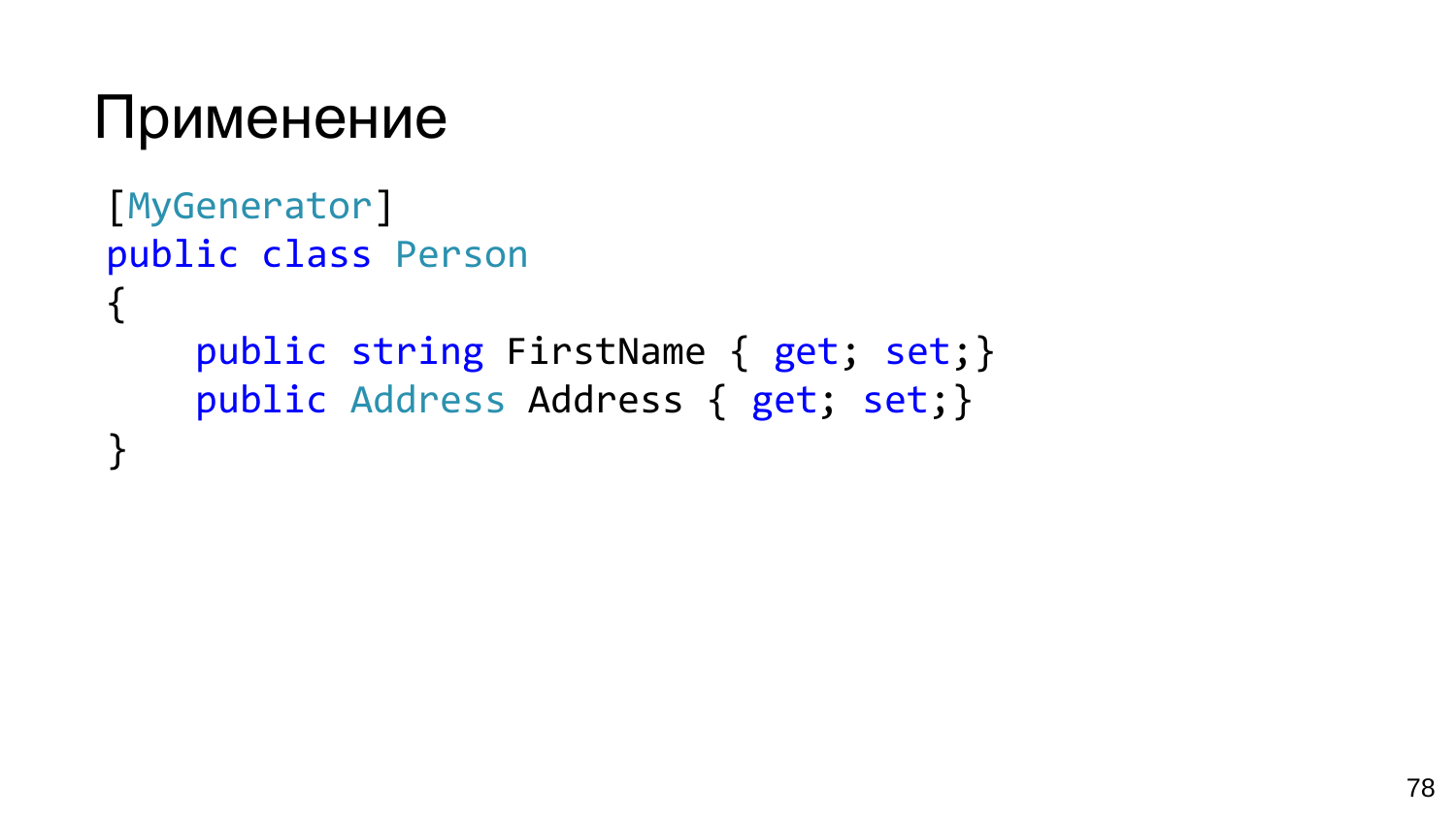#### Применение

```
[MyGenerator]
public class Person
\{public string FirstName { get; set;}
    public Address Address { get; set;}
\mathbf{\mathbf{r}}
```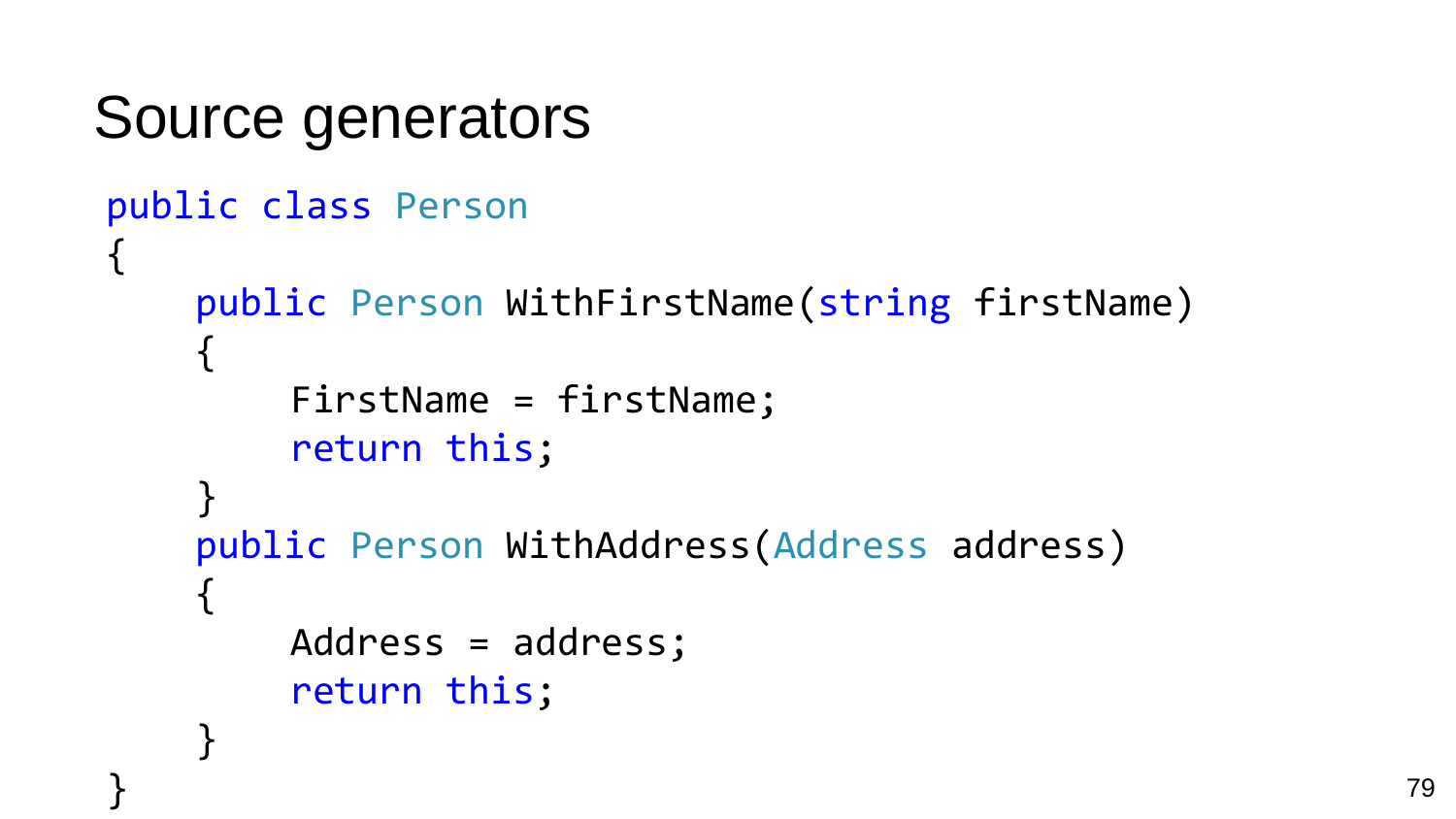```
Source generators
public class Person
{
    public Person WithFirstName(string firstName)
    {
         FirstName = firstName;
         return this;
    }
    public Person WithAddress(Address address)
    {
        Address = address;
         return this;
    }
```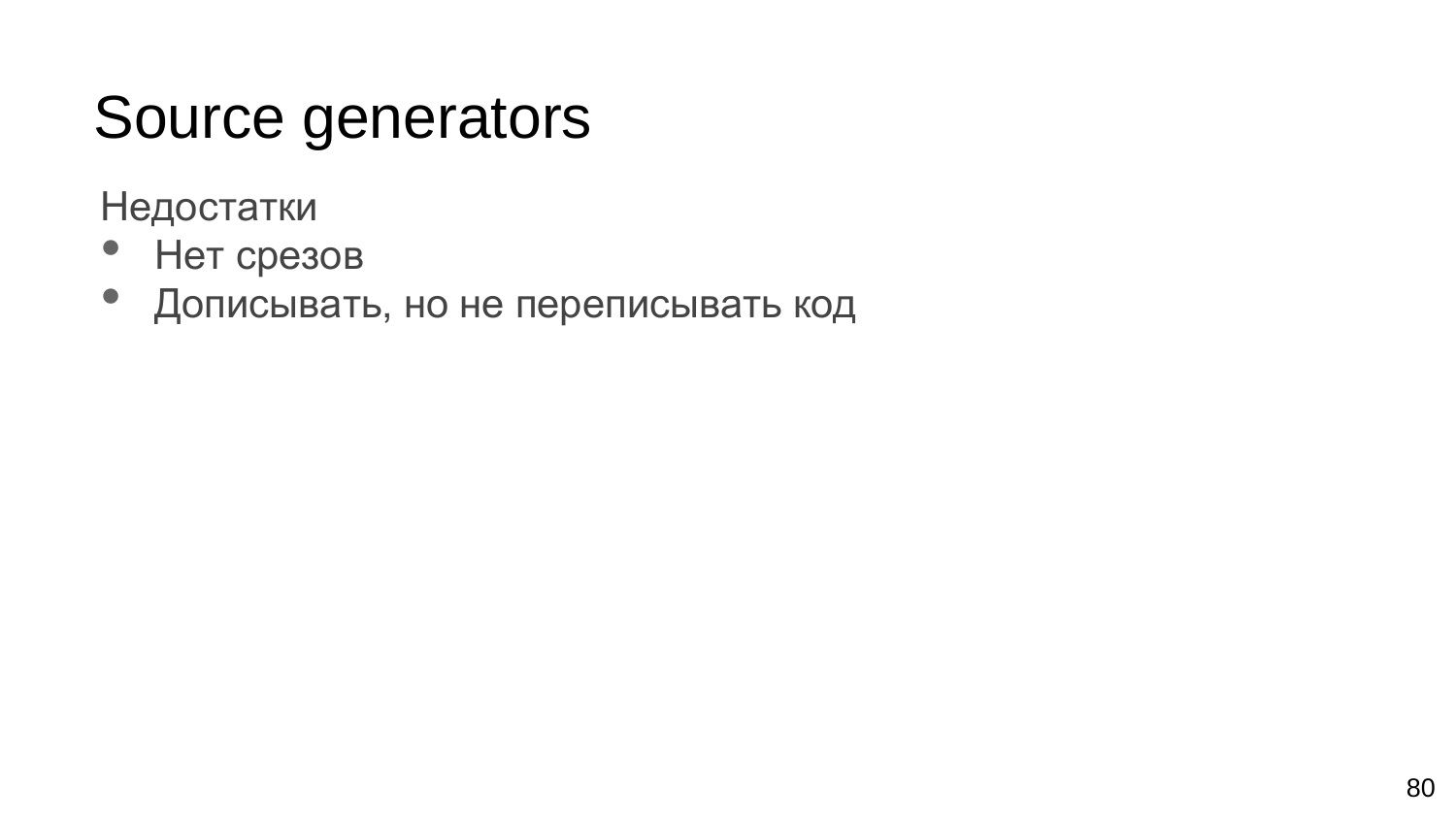## Source generators

Недостатки

- Нет срезов
- Дописывать, но не переписывать код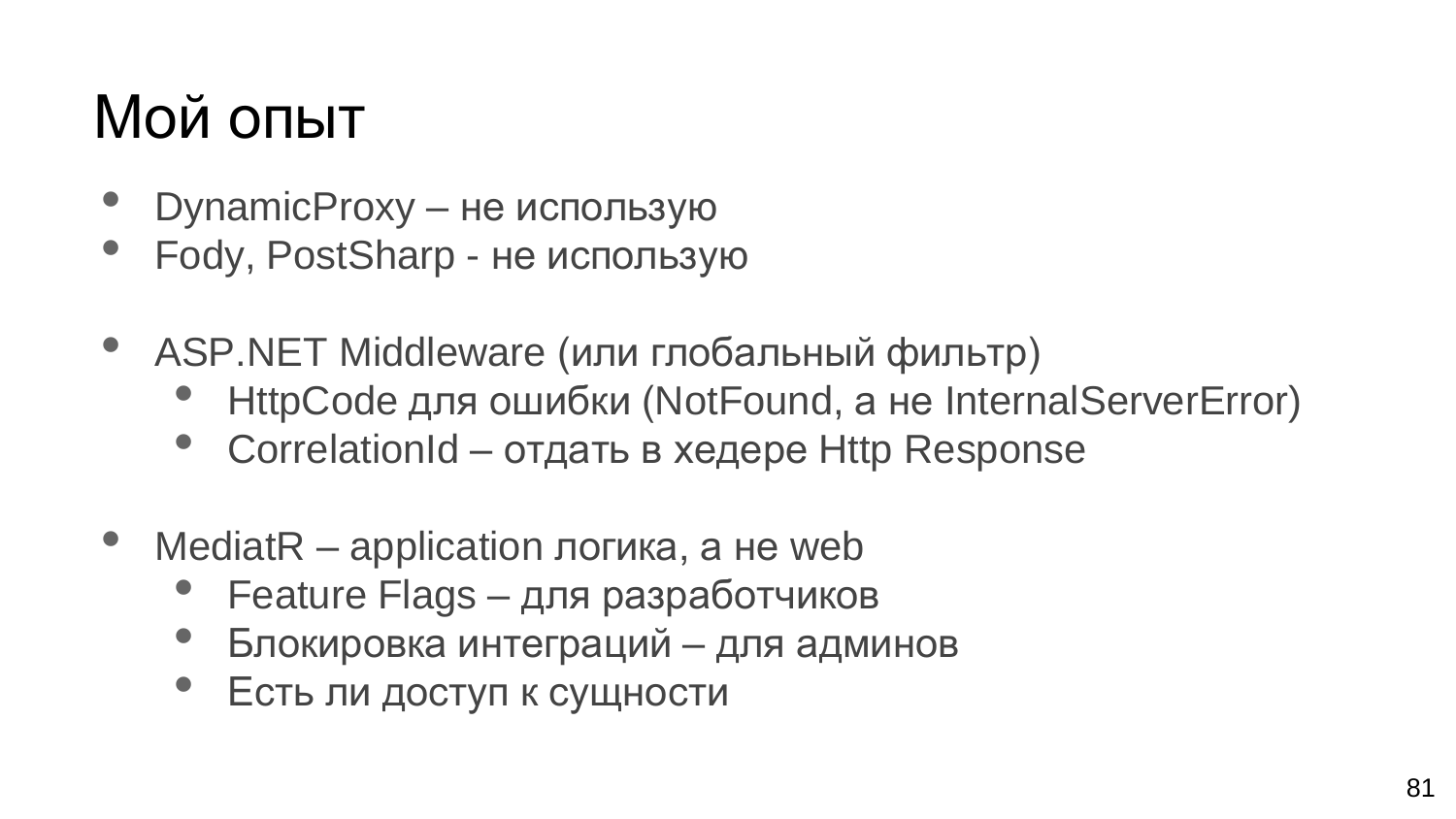## Мой опыт

- DynamicProxy не использую
- Fody, PostSharp не использую
- ASP.NET Middleware (или глобальный фильтр)
	- HttpCode для ошибки (NotFound, а не InternalServerError)
	- CorrelationId отдать в хедере Http Response
- MediatR application логика, а не web
	- Feature Flags для разработчиков
	- Блокировка интеграций для админов
	- Есть ли доступ к сущности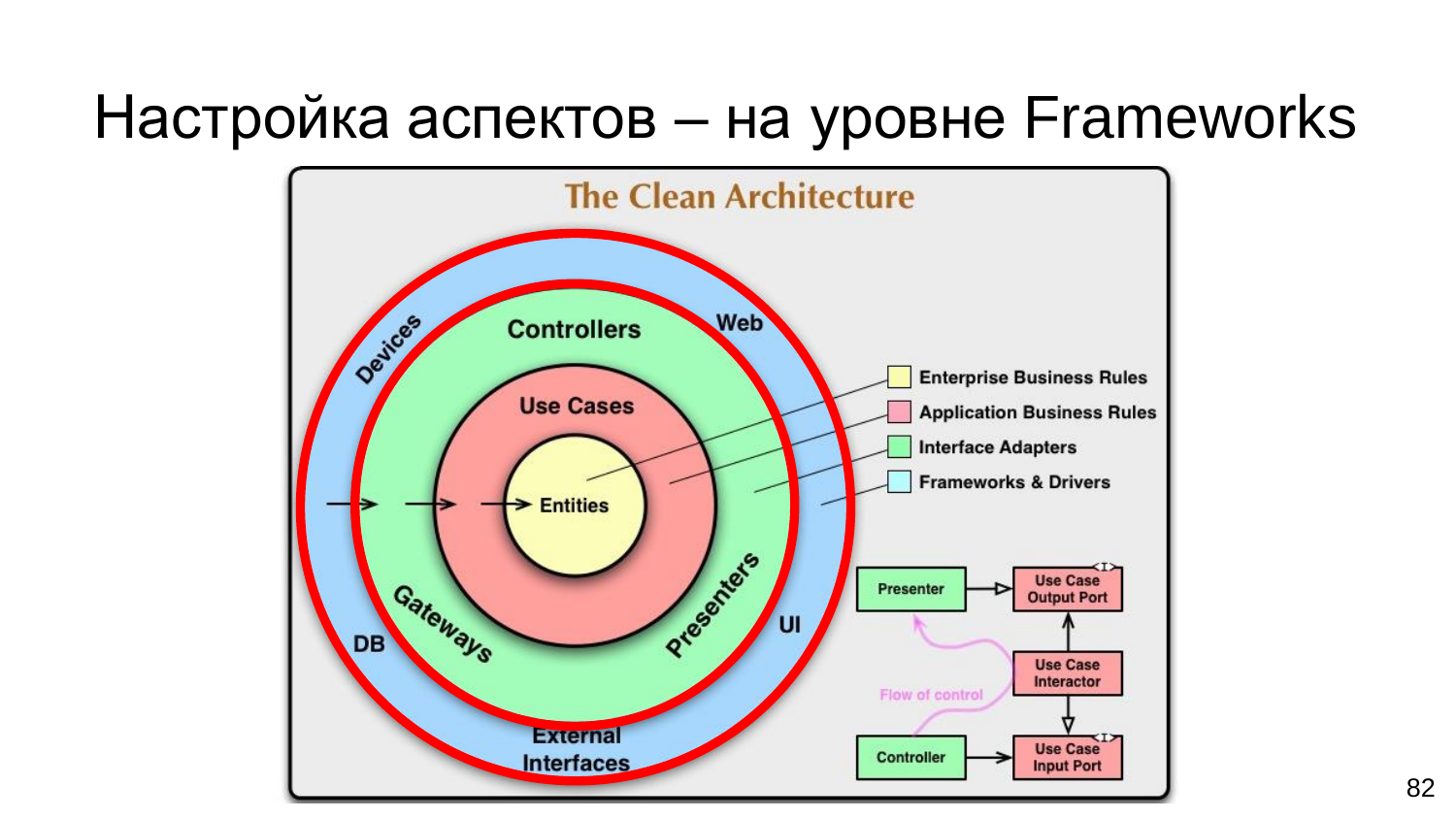#### Настройка аспектов – на уровне Frameworks

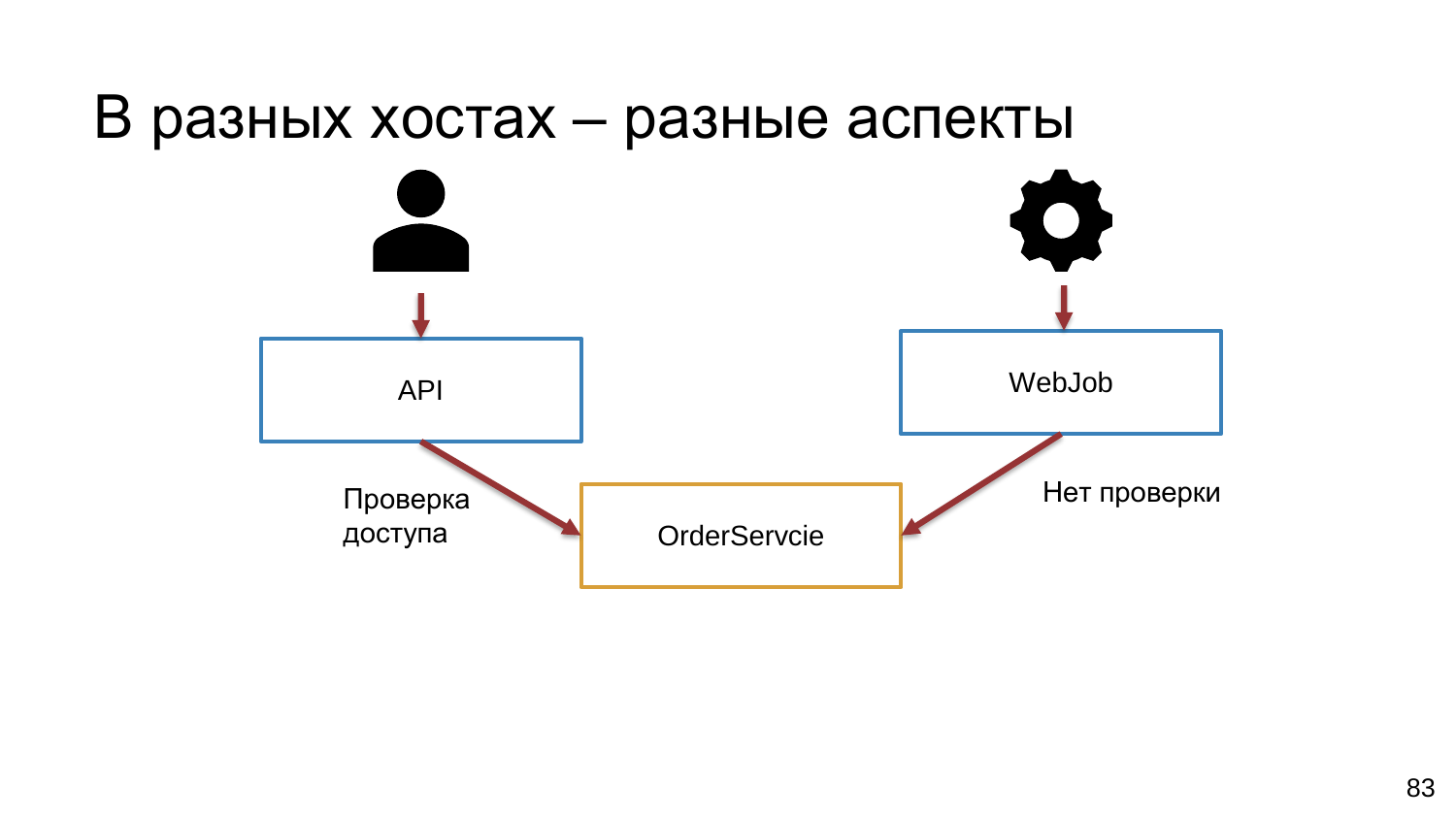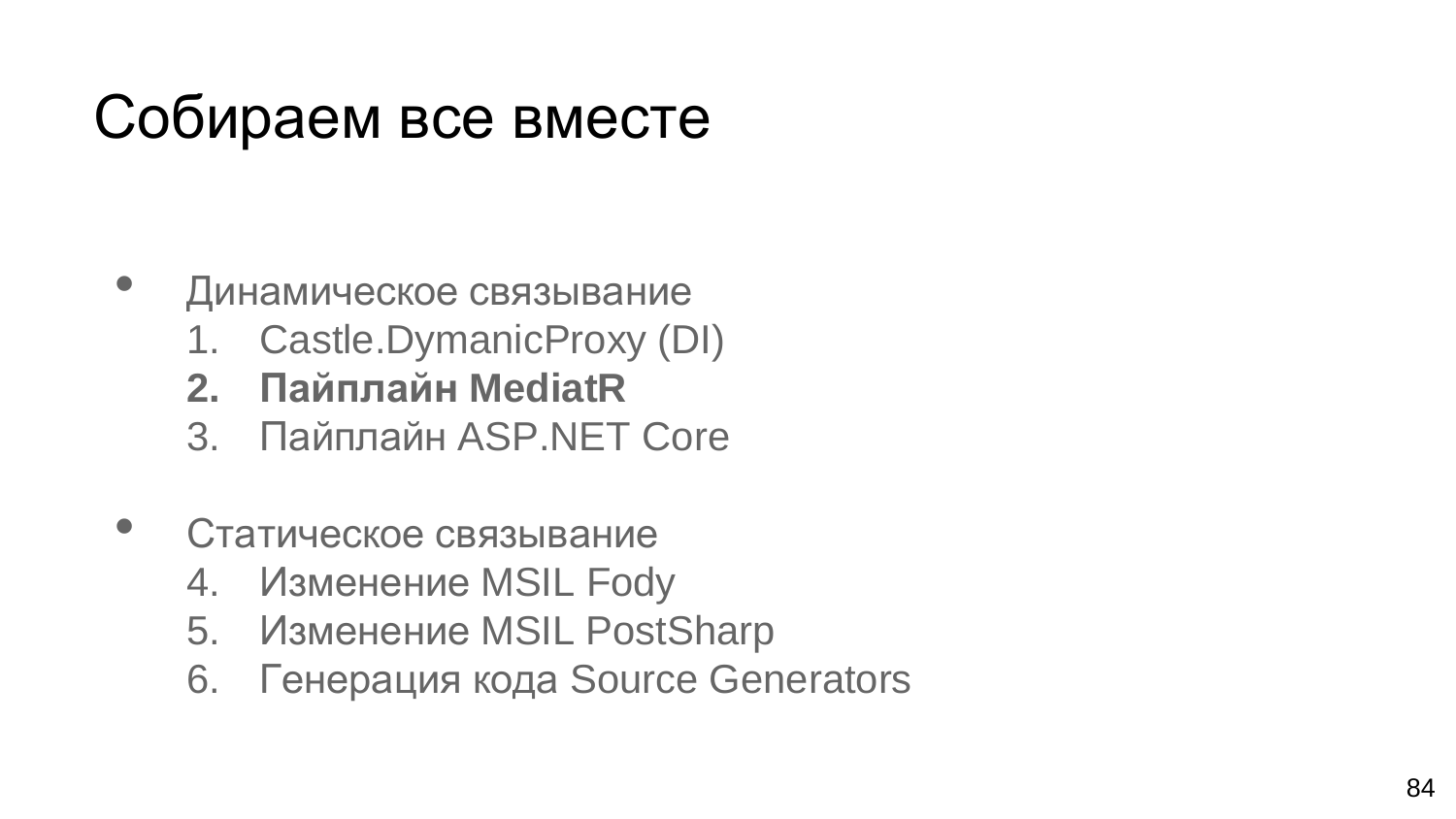## Собираем все вместе

- Динамическое связывание
	- 1. Castle.DymanicProxy (DI)
	- **2. Пайплайн MediatR**
	- 3. Пайплайн ASP.NET Core
- Статическое связывание
	- 4. Изменение MSIL Fody
	- 5. Изменение MSIL PostSharp
	- 6. Генерация кода Source Generators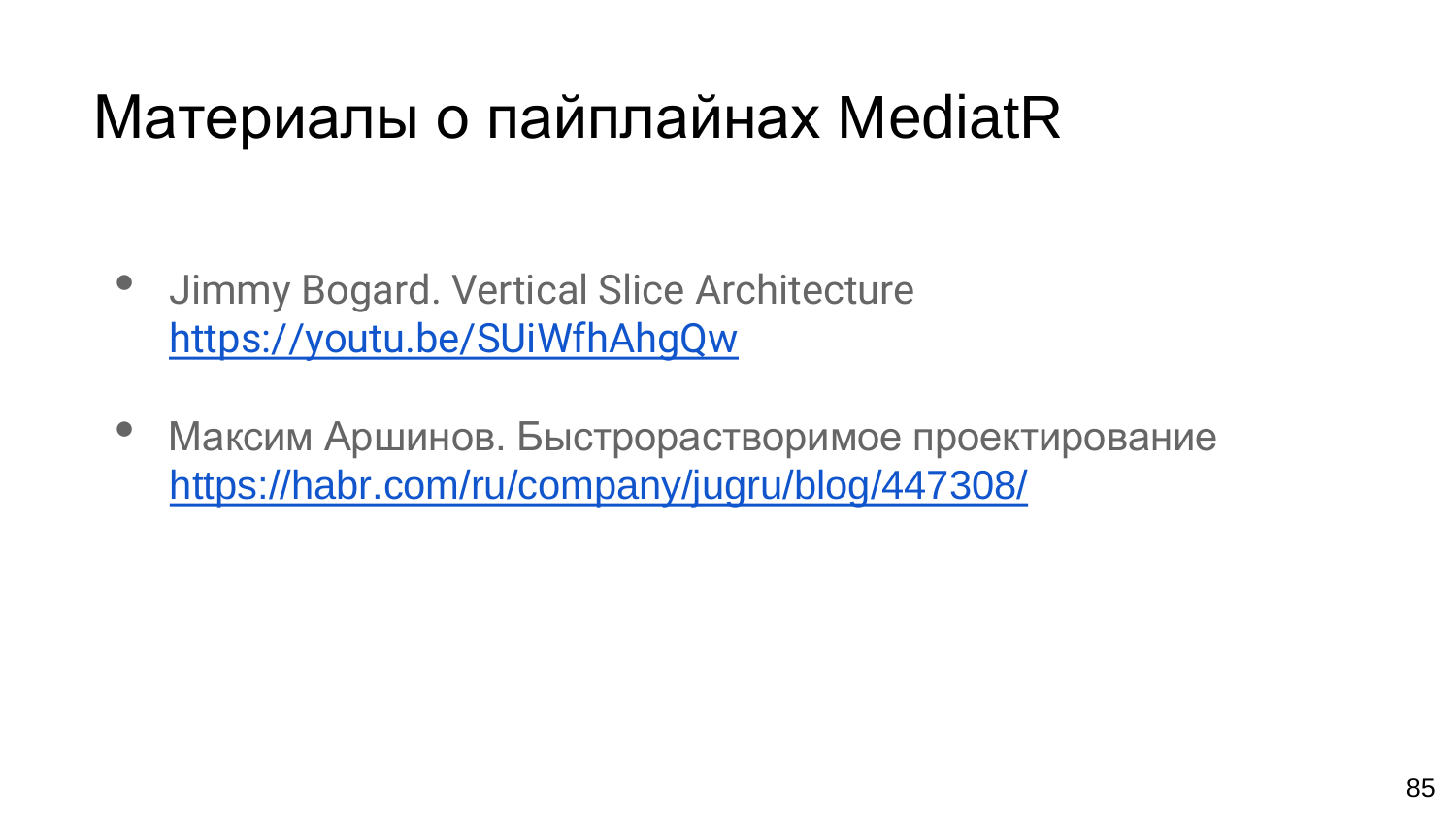## Материалы о пайплайнах MediatR

- Jimmy Bogard. Vertical Slice Architecture <https://youtu.be/SUiWfhAhgQw>
- Максим Аршинов. Быстрорастворимое проектирование <https://habr.com/ru/company/jugru/blog/447308/>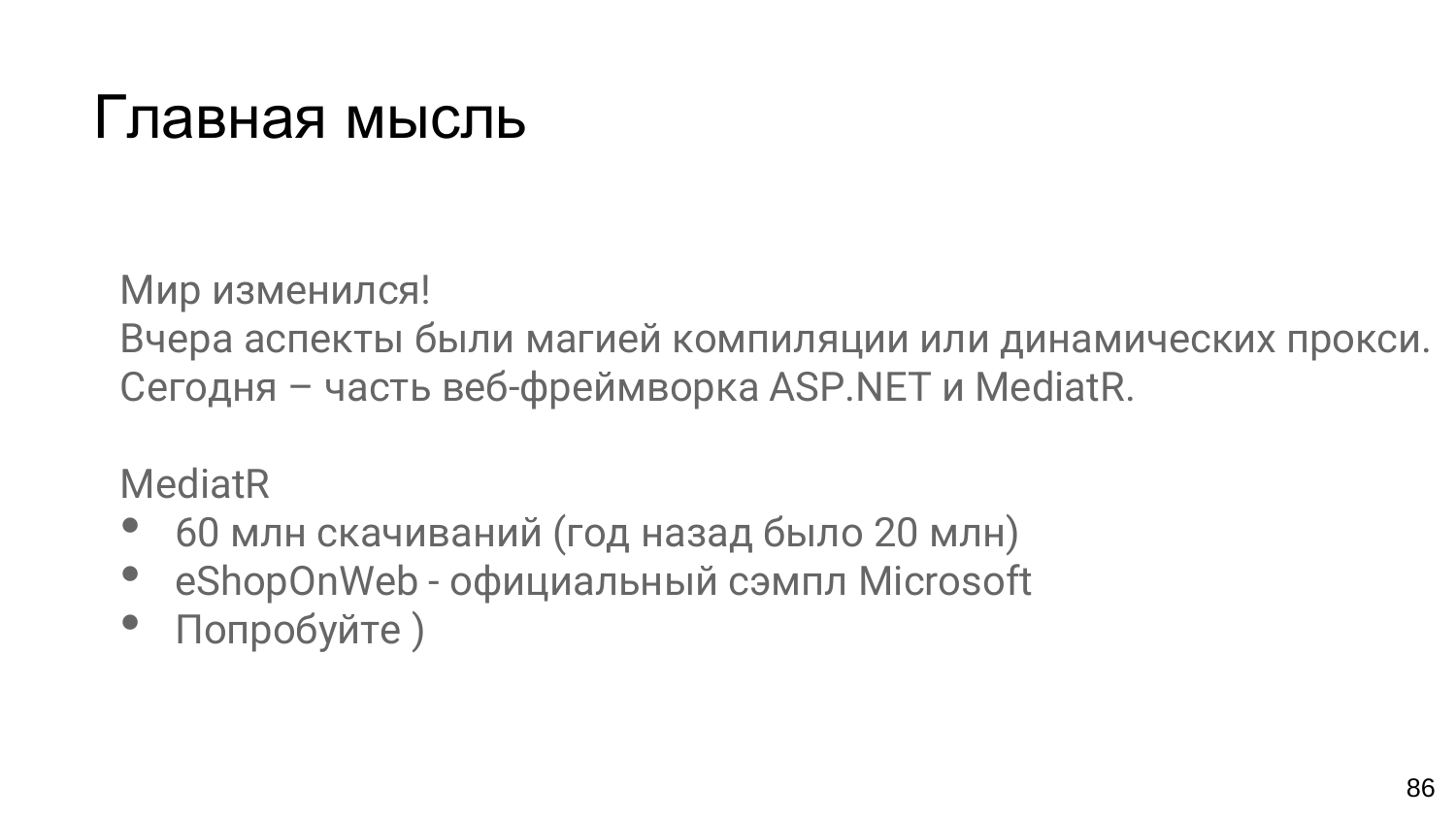#### Главная мысль

Мир изменился!

Вчера аспекты были магией компиляции или динамических прокси. Сегодня – часть веб-фреймворка ASP.NET и MediatR.

MediatR

- <sup>60</sup>млн скачиваний (год назад было 20 млн)
- eShopOnWeb официальный сэмпл Microsoft
- Попробуйте )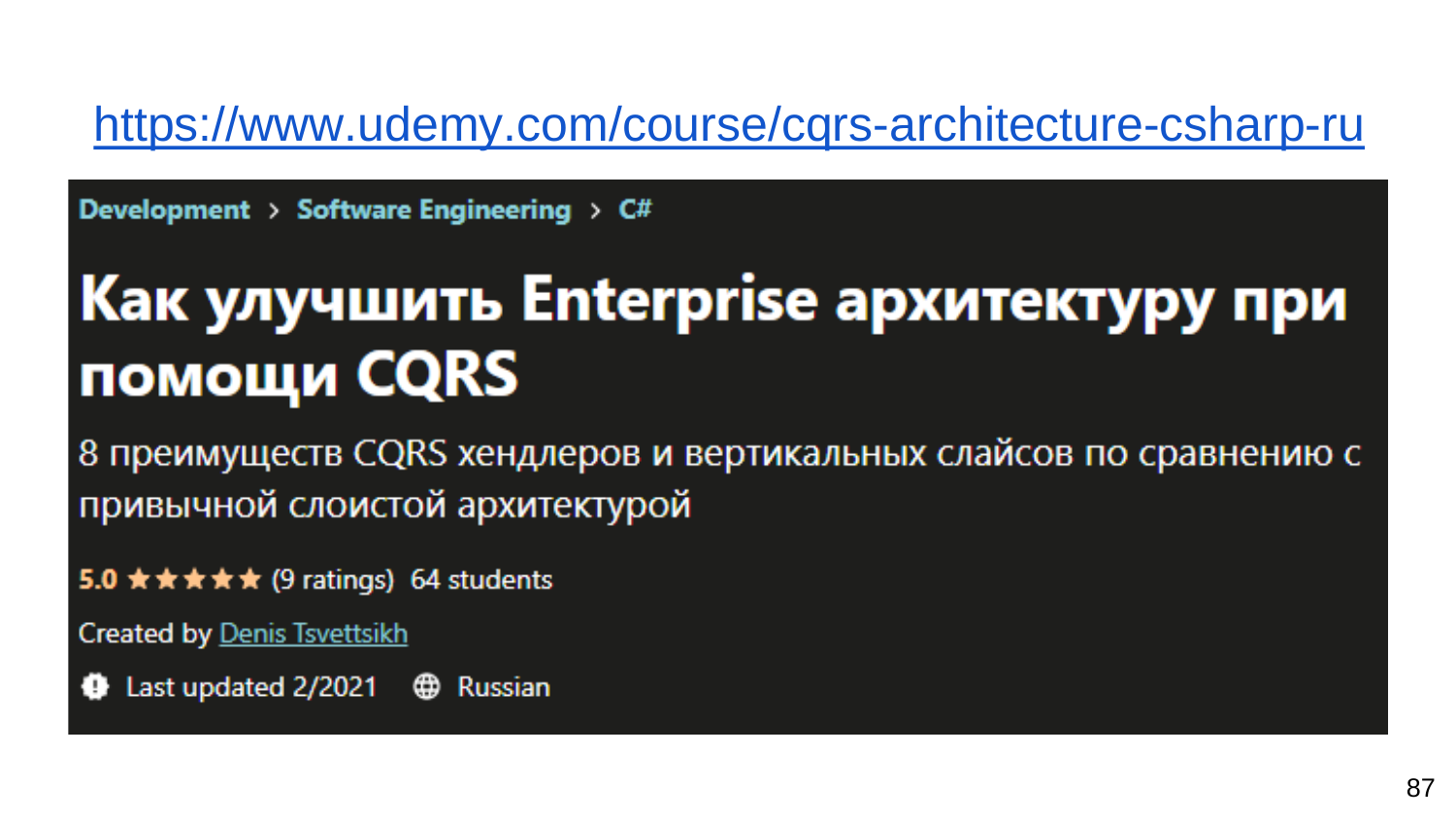#### https://www.udemy.com/course/cqrs-architecture-csharp-ru

Development > Software Engineering >  $C#$ 

## Как улучшить Enterprise архитектуру при помощи CQRS

8 преимуществ CQRS хендлеров и вертикальных слайсов по сравнению с привычной слоистой архитектурой

5.0  $\star \star \star \star \star$  (9 ratings) 64 students

**Created by Denis Tsvettsikh** 

Last updated  $2/2021$   $\oplus$  Russian